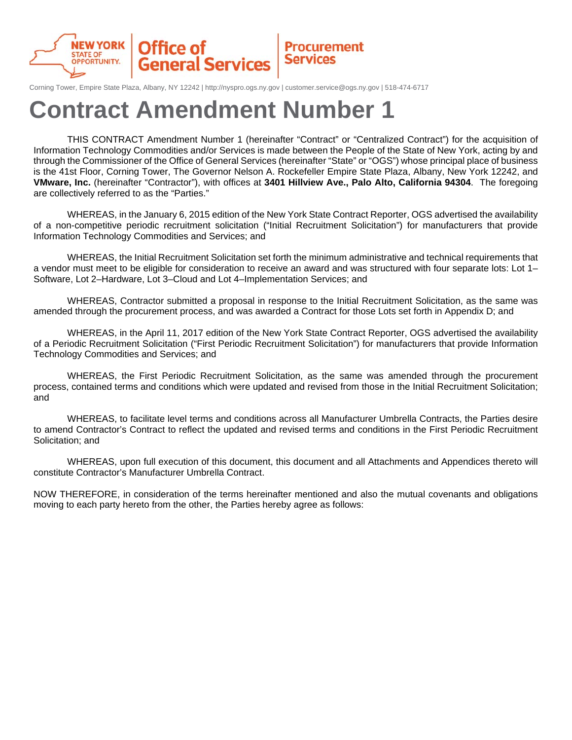

Corning Tower, Empire State Plaza, Albany, NY 12242 | http://nyspro.ogs.ny.gov | customer.service@ogs.ny.gov | 518-474-6717

# **Contract Amendment Number 1**

THIS CONTRACT Amendment Number 1 (hereinafter "Contract" or "Centralized Contract") for the acquisition of Information Technology Commodities and/or Services is made between the People of the State of New York, acting by and through the Commissioner of the Office of General Services (hereinafter "State" or "OGS") whose principal place of business is the 41st Floor, Corning Tower, The Governor Nelson A. Rockefeller Empire State Plaza, Albany, New York 12242, and **VMware, Inc.** (hereinafter "Contractor"), with offices at **3401 Hillview Ave., Palo Alto, California 94304**. The foregoing are collectively referred to as the "Parties."

 WHEREAS, in the January 6, 2015 edition of the New York State Contract Reporter, OGS advertised the availability of a non-competitive periodic recruitment solicitation ("Initial Recruitment Solicitation") for manufacturers that provide Information Technology Commodities and Services; and

WHEREAS, the Initial Recruitment Solicitation set forth the minimum administrative and technical requirements that a vendor must meet to be eligible for consideration to receive an award and was structured with four separate lots: Lot 1– Software, Lot 2–Hardware, Lot 3–Cloud and Lot 4–Implementation Services; and

WHEREAS, Contractor submitted a proposal in response to the Initial Recruitment Solicitation, as the same was amended through the procurement process, and was awarded a Contract for those Lots set forth in Appendix D; and

 WHEREAS, in the April 11, 2017 edition of the New York State Contract Reporter, OGS advertised the availability of a Periodic Recruitment Solicitation ("First Periodic Recruitment Solicitation") for manufacturers that provide Information Technology Commodities and Services; and

WHEREAS, the First Periodic Recruitment Solicitation, as the same was amended through the procurement process, contained terms and conditions which were updated and revised from those in the Initial Recruitment Solicitation; and

WHEREAS, to facilitate level terms and conditions across all Manufacturer Umbrella Contracts, the Parties desire to amend Contractor's Contract to reflect the updated and revised terms and conditions in the First Periodic Recruitment Solicitation; and

 WHEREAS, upon full execution of this document, this document and all Attachments and Appendices thereto will constitute Contractor's Manufacturer Umbrella Contract.

NOW THEREFORE, in consideration of the terms hereinafter mentioned and also the mutual covenants and obligations moving to each party hereto from the other, the Parties hereby agree as follows: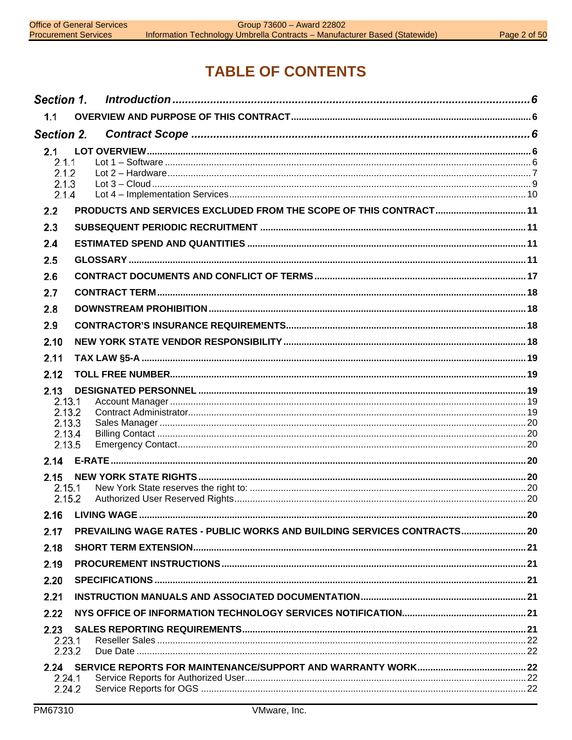# **TABLE OF CONTENTS**

| <b>Section 1.</b>                                                               |  |
|---------------------------------------------------------------------------------|--|
| 1.1                                                                             |  |
| <b>Section 2.</b>                                                               |  |
| 2.1<br>2.1.1<br>2.1.2<br>2.1.3<br>2.1.4                                         |  |
| 2.2                                                                             |  |
| 2.3                                                                             |  |
| 2.4                                                                             |  |
| 2.5                                                                             |  |
| 2.6                                                                             |  |
| 2.7                                                                             |  |
| 2.8                                                                             |  |
| 2.9                                                                             |  |
| 2.10                                                                            |  |
| 2.11                                                                            |  |
| 2.12                                                                            |  |
| 2.13<br>2.13.1<br>2.13.2<br>2.13.3<br>2.13.4<br>2.13.5                          |  |
|                                                                                 |  |
| 2.15<br>2.15.1<br>2.15.2                                                        |  |
| 2.16                                                                            |  |
| PREVAILING WAGE RATES - PUBLIC WORKS AND BUILDING SERVICES CONTRACTS 20<br>2.17 |  |
| 2.18                                                                            |  |
| 2.19                                                                            |  |
| 2.20                                                                            |  |
| 2.21                                                                            |  |
| 2.22                                                                            |  |
| 2.23<br>2.23.1<br>2.23.2                                                        |  |
|                                                                                 |  |
| 2.24.1<br>2.24.2                                                                |  |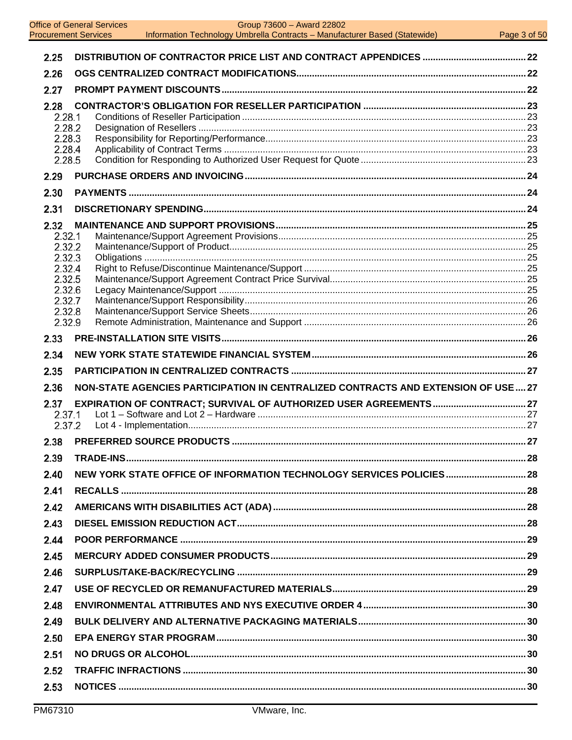|                  | Office of General Services<br>Group 73600 - Award 22802<br>Information Technology Umbrella Contracts - Manufacturer Based (Statewide)<br><b>Procurement Services</b> | Page 3 of 50 |
|------------------|----------------------------------------------------------------------------------------------------------------------------------------------------------------------|--------------|
| 2.25             |                                                                                                                                                                      |              |
| 2.26             |                                                                                                                                                                      |              |
| 2.27             |                                                                                                                                                                      |              |
| 2.28             |                                                                                                                                                                      |              |
| 2.28.1<br>2.28.2 |                                                                                                                                                                      |              |
| 2.28.3           |                                                                                                                                                                      |              |
| 2.28.4           |                                                                                                                                                                      |              |
| 2.28.5<br>2.29   |                                                                                                                                                                      |              |
| 2.30             |                                                                                                                                                                      |              |
| 2.31             |                                                                                                                                                                      |              |
| 2.32             |                                                                                                                                                                      |              |
| 2.32.1           |                                                                                                                                                                      |              |
| 2.32.2           |                                                                                                                                                                      |              |
| 2.32.3<br>2.32.4 |                                                                                                                                                                      |              |
| 2.32.5           |                                                                                                                                                                      |              |
| 2.32.6<br>2.32.7 |                                                                                                                                                                      |              |
| 2.32.8           |                                                                                                                                                                      |              |
| 2.32.9           |                                                                                                                                                                      |              |
| 2.33             |                                                                                                                                                                      |              |
| 2.34             |                                                                                                                                                                      |              |
| 2.35             |                                                                                                                                                                      |              |
| 2.36             | NON-STATE AGENCIES PARTICIPATION IN CENTRALIZED CONTRACTS AND EXTENSION OF USE  27                                                                                   |              |
| 2.37             |                                                                                                                                                                      |              |
| 2.37.1<br>2.37.2 |                                                                                                                                                                      |              |
|                  | 2.38 PREFERRED SOURCE PRODUCTS                                                                                                                                       | 27           |
| 2.39             |                                                                                                                                                                      |              |
| 2.40             |                                                                                                                                                                      |              |
| 2.41             |                                                                                                                                                                      |              |
| 2.42             |                                                                                                                                                                      |              |
| 2.43             |                                                                                                                                                                      |              |
| 2.44             |                                                                                                                                                                      |              |
| 2.45             |                                                                                                                                                                      |              |
| 2.46             |                                                                                                                                                                      |              |
| 2.47             |                                                                                                                                                                      |              |
| 2.48             |                                                                                                                                                                      |              |
| 2.49             |                                                                                                                                                                      |              |
| 2.50             |                                                                                                                                                                      |              |
| 2.51             |                                                                                                                                                                      |              |
| 2.52             |                                                                                                                                                                      |              |
| 2.53             |                                                                                                                                                                      |              |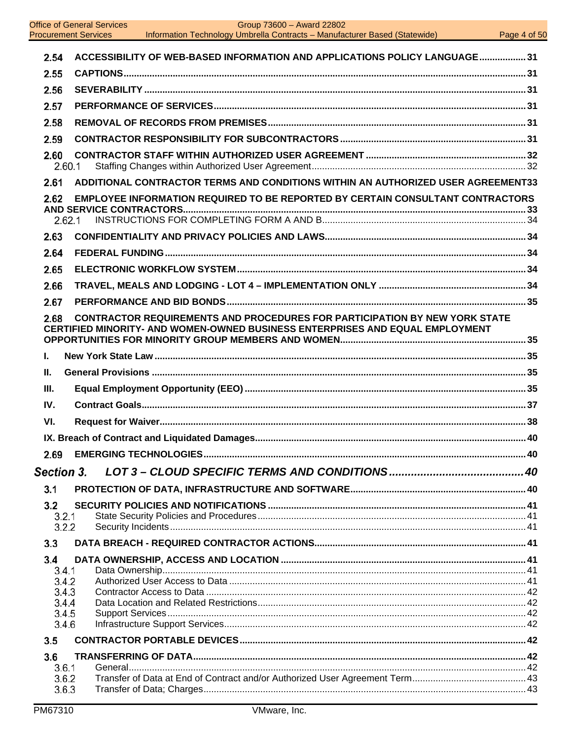| 2.54         | ACCESSIBILITY OF WEB-BASED INFORMATION AND APPLICATIONS POLICY LANGUAGE31                                                                                          |  |
|--------------|--------------------------------------------------------------------------------------------------------------------------------------------------------------------|--|
| 2.55         |                                                                                                                                                                    |  |
| 2.56         |                                                                                                                                                                    |  |
| 2.57         |                                                                                                                                                                    |  |
| 2.58         |                                                                                                                                                                    |  |
| 2.59         |                                                                                                                                                                    |  |
| 2.60         | 2.60.1                                                                                                                                                             |  |
| 2.61         | ADDITIONAL CONTRACTOR TERMS AND CONDITIONS WITHIN AN AUTHORIZED USER AGREEMENT33                                                                                   |  |
| 2.62         | <b>EMPLOYEE INFORMATION REQUIRED TO BE REPORTED BY CERTAIN CONSULTANT CONTRACTORS</b><br>2.62.1                                                                    |  |
| 2.63         |                                                                                                                                                                    |  |
| 2.64         |                                                                                                                                                                    |  |
| 2.65         |                                                                                                                                                                    |  |
| 2.66         |                                                                                                                                                                    |  |
| 2.67         |                                                                                                                                                                    |  |
| 2.68         | <b>CONTRACTOR REQUIREMENTS AND PROCEDURES FOR PARTICIPATION BY NEW YORK STATE</b><br>CERTIFIED MINORITY- AND WOMEN-OWNED BUSINESS ENTERPRISES AND EQUAL EMPLOYMENT |  |
| L.           |                                                                                                                                                                    |  |
| Ш.           |                                                                                                                                                                    |  |
| III.         |                                                                                                                                                                    |  |
| IV.          |                                                                                                                                                                    |  |
| VI.          |                                                                                                                                                                    |  |
|              |                                                                                                                                                                    |  |
| 2.69         |                                                                                                                                                                    |  |
| Section 3.   |                                                                                                                                                                    |  |
| 3.1          |                                                                                                                                                                    |  |
| 3.2          |                                                                                                                                                                    |  |
| 3.2.1        | 3.2.2                                                                                                                                                              |  |
| 3.3          |                                                                                                                                                                    |  |
| 3.4          |                                                                                                                                                                    |  |
| 3.4.1        | 3.4.2                                                                                                                                                              |  |
|              | 3.4.3                                                                                                                                                              |  |
|              | 3.4.4<br>3.4.5                                                                                                                                                     |  |
| 3.4.6        |                                                                                                                                                                    |  |
| 3.5          |                                                                                                                                                                    |  |
| 3.6<br>3.6.1 |                                                                                                                                                                    |  |
|              | 3.6.2<br>3.6.3                                                                                                                                                     |  |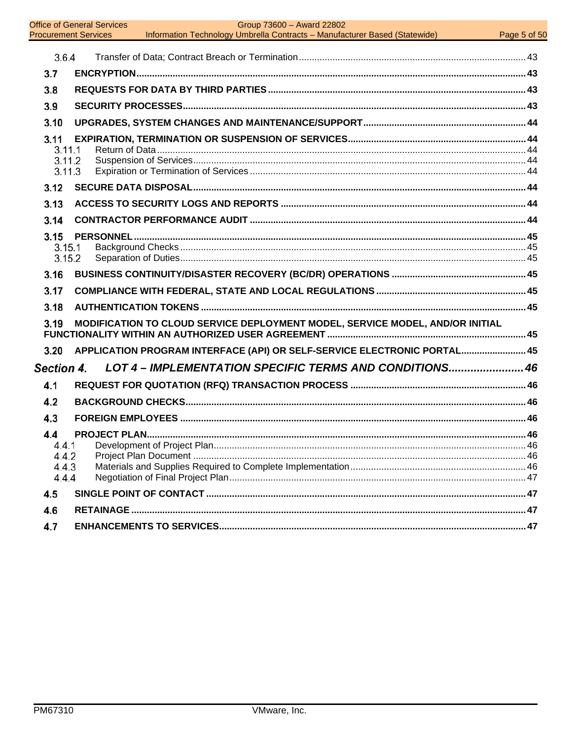| <b>Office of General Services</b><br>Group 73600 - Award 22802 |                             |                                                                               |              |
|----------------------------------------------------------------|-----------------------------|-------------------------------------------------------------------------------|--------------|
|                                                                | <b>Procurement Services</b> | Information Technology Umbrella Contracts - Manufacturer Based (Statewide)    | Page 5 of 50 |
| 3.6.4                                                          |                             |                                                                               |              |
| 3.7                                                            |                             |                                                                               |              |
| 3.8                                                            |                             |                                                                               |              |
| 3.9                                                            |                             |                                                                               |              |
| 3.10                                                           |                             |                                                                               |              |
| 3.11                                                           |                             |                                                                               |              |
|                                                                | 3.11.1<br>3.11.2            |                                                                               |              |
|                                                                | 3.11.3                      |                                                                               |              |
| 3.12                                                           |                             |                                                                               |              |
| 3.13                                                           |                             |                                                                               |              |
| 3.14                                                           |                             |                                                                               |              |
| 3.15                                                           |                             |                                                                               |              |
|                                                                | 3.15.1<br>3.15.2            |                                                                               |              |
| 3.16                                                           |                             |                                                                               |              |
| 3.17                                                           |                             |                                                                               |              |
| 3.18                                                           |                             |                                                                               |              |
| 3.19                                                           |                             | MODIFICATION TO CLOUD SERVICE DEPLOYMENT MODEL, SERVICE MODEL, AND/OR INITIAL |              |
|                                                                |                             |                                                                               |              |
| 3.20                                                           |                             | APPLICATION PROGRAM INTERFACE (API) OR SELF-SERVICE ELECTRONIC PORTAL 45      |              |
| Section 4.                                                     |                             | LOT 4 - IMPLEMENTATION SPECIFIC TERMS AND CONDITIONS 46                       |              |
| 4.1                                                            |                             |                                                                               |              |
| 4.2                                                            |                             |                                                                               |              |
| 4.3                                                            |                             |                                                                               |              |
| 4.4                                                            |                             |                                                                               |              |
| 4.4.1<br>4.4.2                                                 |                             |                                                                               |              |
| 4.4.3                                                          |                             |                                                                               |              |
| 4.4.4                                                          |                             |                                                                               |              |
| 4.5                                                            |                             |                                                                               |              |
| 4.6                                                            |                             |                                                                               |              |
| 4.7                                                            |                             |                                                                               |              |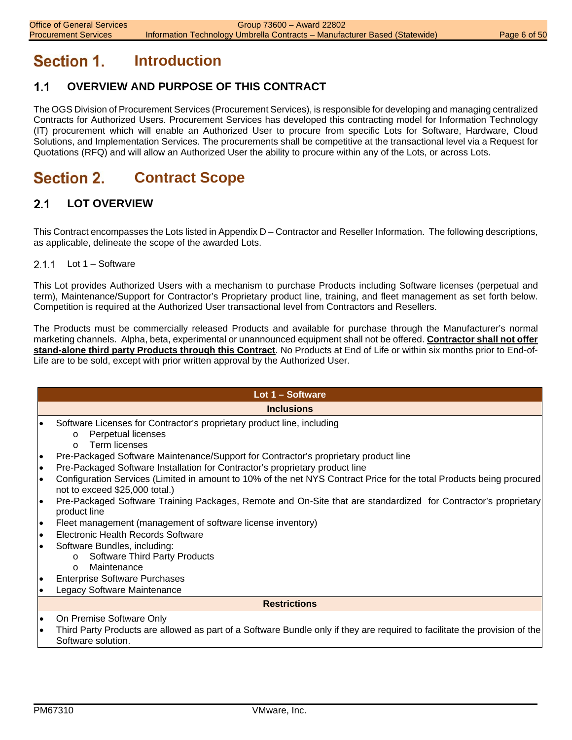#### Section 1.  **Introduction**

### **OVERVIEW AND PURPOSE OF THIS CONTRACT**

The OGS Division of Procurement Services (Procurement Services), is responsible for developing and managing centralized Contracts for Authorized Users. Procurement Services has developed this contracting model for Information Technology (IT) procurement which will enable an Authorized User to procure from specific Lots for Software, Hardware, Cloud Solutions, and Implementation Services. The procurements shall be competitive at the transactional level via a Request for Quotations (RFQ) and will allow an Authorized User the ability to procure within any of the Lots, or across Lots.

#### **Section 2. Contract Scope**

### **LOT OVERVIEW**

This Contract encompasses the Lots listed in Appendix D – Contractor and Reseller Information. The following descriptions, as applicable, delineate the scope of the awarded Lots.

#### $2.1.1$  Lot  $1 -$  Software

This Lot provides Authorized Users with a mechanism to purchase Products including Software licenses (perpetual and term), Maintenance/Support for Contractor's Proprietary product line, training, and fleet management as set forth below. Competition is required at the Authorized User transactional level from Contractors and Resellers.

The Products must be commercially released Products and available for purchase through the Manufacturer's normal marketing channels. Alpha, beta, experimental or unannounced equipment shall not be offered. **Contractor shall not offer stand-alone third party Products through this Contract**. No Products at End of Life or within six months prior to End-of-Life are to be sold, except with prior written approval by the Authorized User.

|           | Lot 1 - Software                                                                                                                                       |
|-----------|--------------------------------------------------------------------------------------------------------------------------------------------------------|
|           | <b>Inclusions</b>                                                                                                                                      |
|           | Software Licenses for Contractor's proprietary product line, including                                                                                 |
|           | Perpetual licenses<br>$\circ$                                                                                                                          |
|           | Term licenses<br>$\Omega$                                                                                                                              |
| le        | Pre-Packaged Software Maintenance/Support for Contractor's proprietary product line                                                                    |
| $\bullet$ | Pre-Packaged Software Installation for Contractor's proprietary product line                                                                           |
| $\bullet$ | Configuration Services (Limited in amount to 10% of the net NYS Contract Price for the total Products being procured<br>not to exceed \$25,000 total.) |
| $\bullet$ | Pre-Packaged Software Training Packages, Remote and On-Site that are standardized for Contractor's proprietary<br>product line                         |
| $\bullet$ | Fleet management (management of software license inventory)                                                                                            |
| $\bullet$ | <b>Electronic Health Records Software</b>                                                                                                              |
|           | Software Bundles, including:                                                                                                                           |
|           | <b>Software Third Party Products</b><br>$\circ$                                                                                                        |
|           | Maintenance<br>$\cap$                                                                                                                                  |
|           | <b>Enterprise Software Purchases</b>                                                                                                                   |
|           | Legacy Software Maintenance                                                                                                                            |
|           | <b>Restrictions</b>                                                                                                                                    |
| I۰        | On Premise Software Only                                                                                                                               |
|           | Third Party Products are allowed as part of a Software Bundle only if they are required to facilitate the provision of the<br>Software solution.       |
|           |                                                                                                                                                        |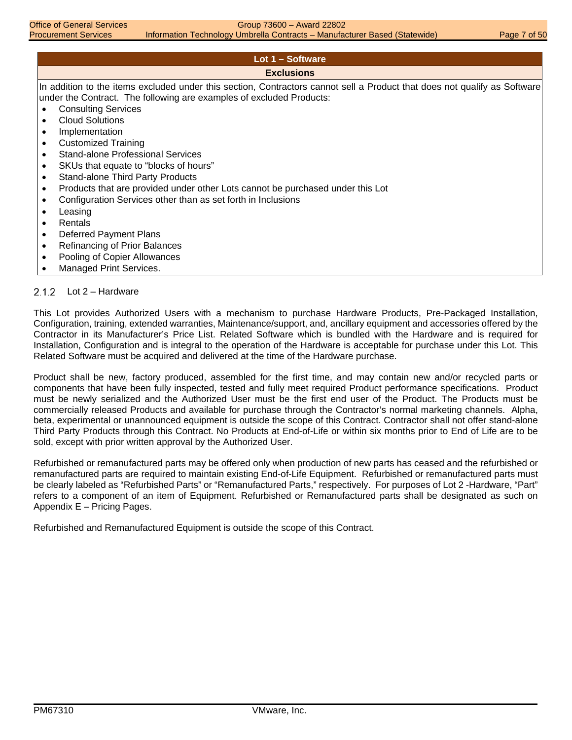#### Information Technology Umbrella Contracts – Manufacturer Based (Statewide) Page 7 of 50

| Lot 1 – Software                                                                                                          |  |  |
|---------------------------------------------------------------------------------------------------------------------------|--|--|
| <b>Exclusions</b>                                                                                                         |  |  |
| In addition to the items excluded under this section, Contractors cannot sell a Product that does not qualify as Software |  |  |
| under the Contract. The following are examples of excluded Products:                                                      |  |  |
| <b>Consulting Services</b>                                                                                                |  |  |
| <b>Cloud Solutions</b>                                                                                                    |  |  |
| Implementation                                                                                                            |  |  |
| <b>Customized Training</b><br>$\bullet$                                                                                   |  |  |
| Stand-alone Professional Services                                                                                         |  |  |
| SKUs that equate to "blocks of hours"                                                                                     |  |  |
| <b>Stand-alone Third Party Products</b><br>$\bullet$                                                                      |  |  |
| Products that are provided under other Lots cannot be purchased under this Lot                                            |  |  |
| Configuration Services other than as set forth in Inclusions                                                              |  |  |
| Leasing                                                                                                                   |  |  |
| Rentals                                                                                                                   |  |  |
| Deferred Payment Plans                                                                                                    |  |  |
| Refinancing of Prior Balances                                                                                             |  |  |
| Pooling of Copier Allowances                                                                                              |  |  |
| Managed Print Services.                                                                                                   |  |  |

#### $2.1.2$  Lot  $2$  – Hardware

This Lot provides Authorized Users with a mechanism to purchase Hardware Products, Pre-Packaged Installation, Configuration, training, extended warranties, Maintenance/support, and, ancillary equipment and accessories offered by the Contractor in its Manufacturer's Price List. Related Software which is bundled with the Hardware and is required for Installation, Configuration and is integral to the operation of the Hardware is acceptable for purchase under this Lot. This Related Software must be acquired and delivered at the time of the Hardware purchase.

Product shall be new, factory produced, assembled for the first time, and may contain new and/or recycled parts or components that have been fully inspected, tested and fully meet required Product performance specifications. Product must be newly serialized and the Authorized User must be the first end user of the Product. The Products must be commercially released Products and available for purchase through the Contractor's normal marketing channels. Alpha, beta, experimental or unannounced equipment is outside the scope of this Contract. Contractor shall not offer stand-alone Third Party Products through this Contract. No Products at End-of-Life or within six months prior to End of Life are to be sold, except with prior written approval by the Authorized User.

Refurbished or remanufactured parts may be offered only when production of new parts has ceased and the refurbished or remanufactured parts are required to maintain existing End-of-Life Equipment. Refurbished or remanufactured parts must be clearly labeled as "Refurbished Parts" or "Remanufactured Parts," respectively. For purposes of Lot 2 -Hardware, "Part" refers to a component of an item of Equipment. Refurbished or Remanufactured parts shall be designated as such on Appendix E – Pricing Pages.

Refurbished and Remanufactured Equipment is outside the scope of this Contract.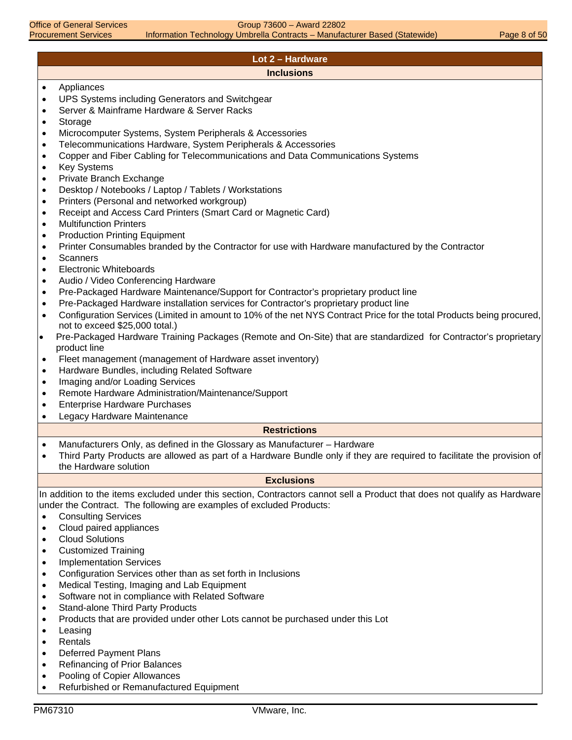#### Information Technology Umbrella Contracts – Manufacturer Based (Statewide) Page 8 of 50  **Lot 2 – Hardware Inclusions**  • Appliances UPS Systems including Generators and Switchgear • Server & Mainframe Hardware & Server Racks • Storage Microcomputer Systems, System Peripherals & Accessories Telecommunications Hardware, System Peripherals & Accessories Copper and Fiber Cabling for Telecommunications and Data Communications Systems • Key Systems • Private Branch Exchange Desktop / Notebooks / Laptop / Tablets / Workstations • Printers (Personal and networked workgroup) Receipt and Access Card Printers (Smart Card or Magnetic Card) • Multifunction Printers • Production Printing Equipment Printer Consumables branded by the Contractor for use with Hardware manufactured by the Contractor • Scanners • Electronic Whiteboards Audio / Video Conferencing Hardware Pre-Packaged Hardware Maintenance/Support for Contractor's proprietary product line Pre-Packaged Hardware installation services for Contractor's proprietary product line Configuration Services (Limited in amount to 10% of the net NYS Contract Price for the total Products being procured, not to exceed \$25,000 total.) Pre-Packaged Hardware Training Packages (Remote and On-Site) that are standardized for Contractor's proprietary product line Fleet management (management of Hardware asset inventory) • Hardware Bundles, including Related Software • Imaging and/or Loading Services Remote Hardware Administration/Maintenance/Support • Enterprise Hardware Purchases Legacy Hardware Maintenance **Restrictions**  Manufacturers Only, as defined in the Glossary as Manufacturer – Hardware Third Party Products are allowed as part of a Hardware Bundle only if they are required to facilitate the provision of the Hardware solution **Exclusions** In addition to the items excluded under this section, Contractors cannot sell a Product that does not qualify as Hardware under the Contract. The following are examples of excluded Products: • Consulting Services • Cloud paired appliances Cloud Solutions Customized Training Implementation Services Configuration Services other than as set forth in Inclusions Medical Testing, Imaging and Lab Equipment • Software not in compliance with Related Software

- Stand-alone Third Party Products
- Products that are provided under other Lots cannot be purchased under this Lot
- Leasing
- Rentals
- Deferred Payment Plans
- Refinancing of Prior Balances
- Pooling of Copier Allowances
- Refurbished or Remanufactured Equipment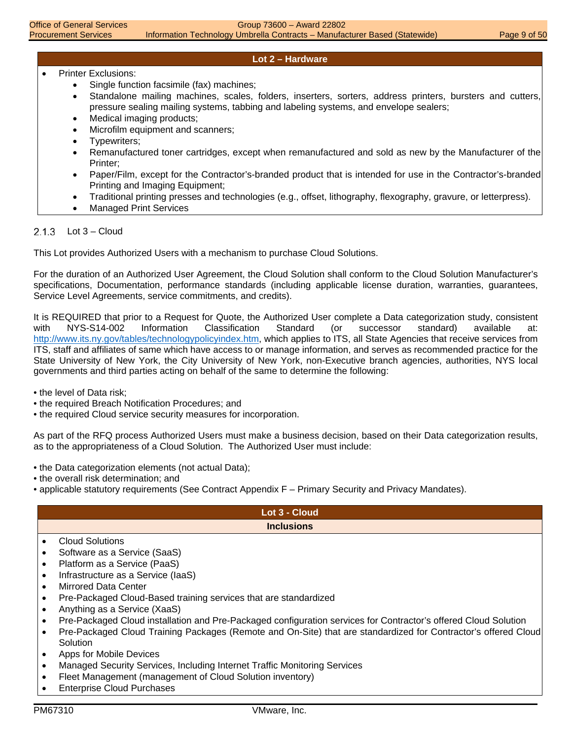Information Technology Umbrella Contracts – Manufacturer Based (Statewide) Page 9 of 50

## **Lot 2 – Hardware**

#### Printer Exclusions:

Single function facsimile (fax) machines;

 Standalone mailing machines, scales, folders, inserters, sorters, address printers, bursters and cutters, pressure sealing mailing systems, tabbing and labeling systems, and envelope sealers;

- Medical imaging products;
- Microfilm equipment and scanners;
- Typewriters;
- Remanufactured toner cartridges, except when remanufactured and sold as new by the Manufacturer of the Printer;
- Paper/Film, except for the Contractor's-branded product that is intended for use in the Contractor's-branded Printing and Imaging Equipment;
- Traditional printing presses and technologies (e.g., offset, lithography, flexography, gravure, or letterpress).
- Managed Print Services

#### $2.1.3$  Lot  $3 -$  Cloud

This Lot provides Authorized Users with a mechanism to purchase Cloud Solutions.

For the duration of an Authorized User Agreement, the Cloud Solution shall conform to the Cloud Solution Manufacturer's specifications, Documentation, performance standards (including applicable license duration, warranties, guarantees, Service Level Agreements, service commitments, and credits).

It is REQUIRED that prior to a Request for Quote, the Authorized User complete a Data categorization study, consistent with NYS-S14-002 Information Classification Standard (or successor standard) available at: with NYS-S14-002 Information Classification Standard (or successor standard) available at: http://www.its.ny.gov/tables/technologypolicyindex.htm, which applies to ITS, all State Agencies that receive services from ITS, staff and affiliates of same which have access to or manage information, and serves as recommended practice for the State University of New York, the City University of New York, non-Executive branch agencies, authorities, NYS local governments and third parties acting on behalf of the same to determine the following:

• the level of Data risk;

- the required Breach Notification Procedures; and
- the required Cloud service security measures for incorporation.

As part of the RFQ process Authorized Users must make a business decision, based on their Data categorization results, as to the appropriateness of a Cloud Solution. The Authorized User must include:

- the Data categorization elements (not actual Data);
- the overall risk determination; and
- applicable statutory requirements (See Contract Appendix F Primary Security and Privacy Mandates).

| Lot 3 - Cloud                                                                                                                |
|------------------------------------------------------------------------------------------------------------------------------|
| <b>Inclusions</b>                                                                                                            |
| <b>Cloud Solutions</b><br>$\bullet$                                                                                          |
| Software as a Service (SaaS)<br>$\bullet$                                                                                    |
| Platform as a Service (PaaS)<br>$\bullet$                                                                                    |
| Infrastructure as a Service (IaaS)<br>$\bullet$                                                                              |
| Mirrored Data Center<br>$\bullet$                                                                                            |
| Pre-Packaged Cloud-Based training services that are standardized<br>$\bullet$                                                |
| Anything as a Service (XaaS)<br>$\bullet$                                                                                    |
| Pre-Packaged Cloud installation and Pre-Packaged configuration services for Contractor's offered Cloud Solution<br>$\bullet$ |
| Pre-Packaged Cloud Training Packages (Remote and On-Site) that are standardized for Contractor's offered Cloud<br>$\bullet$  |
| Solution                                                                                                                     |
| Apps for Mobile Devices<br>٠                                                                                                 |
| Managed Security Services, Including Internet Traffic Monitoring Services<br>$\bullet$                                       |
| Fleet Management (management of Cloud Solution inventory)                                                                    |

Enterprise Cloud Purchases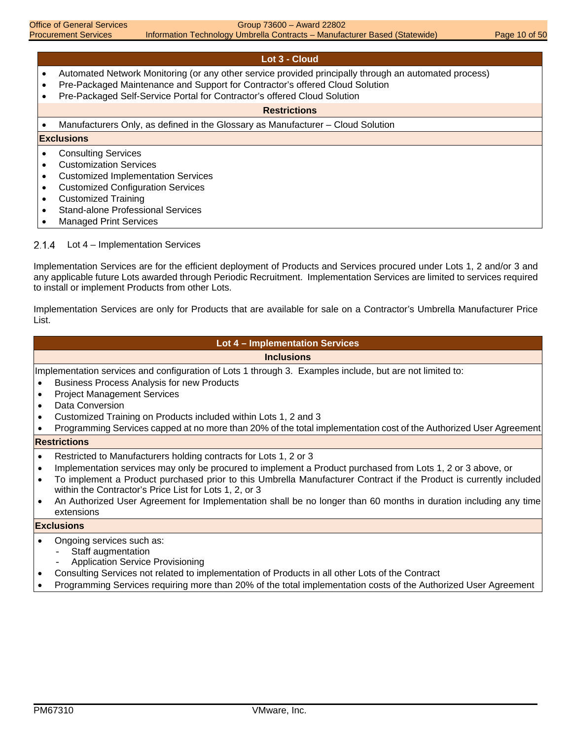#### **Lot 3 - Cloud**

- Automated Network Monitoring (or any other service provided principally through an automated process)
- Pre-Packaged Maintenance and Support for Contractor's offered Cloud Solution
- Pre-Packaged Self-Service Portal for Contractor's offered Cloud Solution

#### **Restrictions**

Manufacturers Only, as defined in the Glossary as Manufacturer – Cloud Solution

#### **Exclusions**

- Consulting Services
- Customization Services
- Customized Implementation Services
- Customized Configuration Services
- Customized Training
- Stand-alone Professional Services
- Managed Print Services

#### 2.1.4 Lot 4 – Implementation Services

Implementation Services are for the efficient deployment of Products and Services procured under Lots 1, 2 and/or 3 and any applicable future Lots awarded through Periodic Recruitment. Implementation Services are limited to services required to install or implement Products from other Lots.

Implementation Services are only for Products that are available for sale on a Contractor's Umbrella Manufacturer Price List.

| <b>Lot 4 - Implementation Services</b>                                                                                                                                                                                                                                                                                                                                                                                                                                                                                                                |  |  |
|-------------------------------------------------------------------------------------------------------------------------------------------------------------------------------------------------------------------------------------------------------------------------------------------------------------------------------------------------------------------------------------------------------------------------------------------------------------------------------------------------------------------------------------------------------|--|--|
| <b>Inclusions</b>                                                                                                                                                                                                                                                                                                                                                                                                                                                                                                                                     |  |  |
| Implementation services and configuration of Lots 1 through 3. Examples include, but are not limited to:<br><b>Business Process Analysis for new Products</b><br><b>Project Management Services</b><br>$\bullet$<br>Data Conversion<br>$\bullet$<br>Customized Training on Products included within Lots 1, 2 and 3<br>$\bullet$<br>Programming Services capped at no more than 20% of the total implementation cost of the Authorized User Agreement<br>$\bullet$                                                                                    |  |  |
| <b>Restrictions</b>                                                                                                                                                                                                                                                                                                                                                                                                                                                                                                                                   |  |  |
| Restricted to Manufacturers holding contracts for Lots 1, 2 or 3<br>$\bullet$<br>Implementation services may only be procured to implement a Product purchased from Lots 1, 2 or 3 above, or<br>$\bullet$<br>To implement a Product purchased prior to this Umbrella Manufacturer Contract if the Product is currently included<br>$\bullet$<br>within the Contractor's Price List for Lots 1, 2, or 3<br>An Authorized User Agreement for Implementation shall be no longer than 60 months in duration including any time<br>$\bullet$<br>extensions |  |  |
| <b>Exclusions</b>                                                                                                                                                                                                                                                                                                                                                                                                                                                                                                                                     |  |  |
| Ongoing services such as:<br>Staff augmentation<br><b>Application Service Provisioning</b><br>Consulting Services not related to implementation of Products in all other Lots of the Contract                                                                                                                                                                                                                                                                                                                                                         |  |  |

Programming Services requiring more than 20% of the total implementation costs of the Authorized User Agreement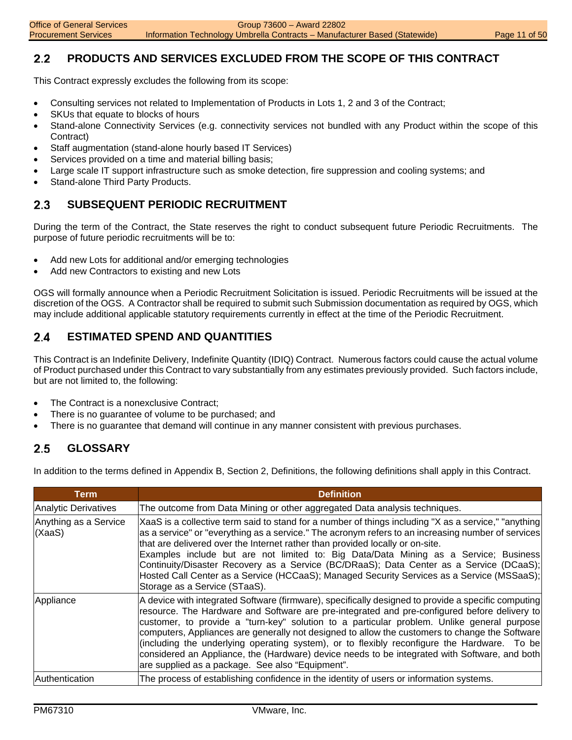### **PRODUCTS AND SERVICES EXCLUDED FROM THE SCOPE OF THIS CONTRACT**

This Contract expressly excludes the following from its scope:

- Consulting services not related to Implementation of Products in Lots 1, 2 and 3 of the Contract;
- SKUs that equate to blocks of hours
- Stand-alone Connectivity Services (e.g. connectivity services not bundled with any Product within the scope of this Contract)
- Staff augmentation (stand-alone hourly based IT Services)
- Services provided on a time and material billing basis;
- Large scale IT support infrastructure such as smoke detection, fire suppression and cooling systems; and
- Stand-alone Third Party Products.

### **SUBSEQUENT PERIODIC RECRUITMENT**

During the term of the Contract, the State reserves the right to conduct subsequent future Periodic Recruitments. The purpose of future periodic recruitments will be to:

- Add new Lots for additional and/or emerging technologies
- Add new Contractors to existing and new Lots

OGS will formally announce when a Periodic Recruitment Solicitation is issued. Periodic Recruitments will be issued at the discretion of the OGS. A Contractor shall be required to submit such Submission documentation as required by OGS, which may include additional applicable statutory requirements currently in effect at the time of the Periodic Recruitment.

### **ESTIMATED SPEND AND QUANTITIES**

This Contract is an Indefinite Delivery, Indefinite Quantity (IDIQ) Contract. Numerous factors could cause the actual volume of Product purchased under this Contract to vary substantially from any estimates previously provided. Such factors include, but are not limited to, the following:

- The Contract is a nonexclusive Contract:
- There is no guarantee of volume to be purchased; and
- There is no guarantee that demand will continue in any manner consistent with previous purchases.

### **GLOSSARY**

In addition to the terms defined in Appendix B, Section 2, Definitions, the following definitions shall apply in this Contract.

| Term.                           | <b>Definition</b>                                                                                                                                                                                                                                                                                                                                                                                                                                                                                                                                                                                                                                       |
|---------------------------------|---------------------------------------------------------------------------------------------------------------------------------------------------------------------------------------------------------------------------------------------------------------------------------------------------------------------------------------------------------------------------------------------------------------------------------------------------------------------------------------------------------------------------------------------------------------------------------------------------------------------------------------------------------|
| Analytic Derivatives            | The outcome from Data Mining or other aggregated Data analysis techniques.                                                                                                                                                                                                                                                                                                                                                                                                                                                                                                                                                                              |
| Anything as a Service<br>(XaaS) | XaaS is a collective term said to stand for a number of things including "X as a service," "anything<br>as a service" or "everything as a service." The acronym refers to an increasing number of services<br>that are delivered over the Internet rather than provided locally or on-site.<br>Examples include but are not limited to: Big Data/Data Mining as a Service; Business<br>Continuity/Disaster Recovery as a Service (BC/DRaaS); Data Center as a Service (DCaaS);<br>Hosted Call Center as a Service (HCCaaS); Managed Security Services as a Service (MSSaaS);<br>Storage as a Service (STaaS).                                           |
| Appliance                       | A device with integrated Software (firmware), specifically designed to provide a specific computing<br>resource. The Hardware and Software are pre-integrated and pre-configured before delivery to<br>customer, to provide a "turn-key" solution to a particular problem. Unlike general purpose<br>computers, Appliances are generally not designed to allow the customers to change the Software<br>(including the underlying operating system), or to flexibly reconfigure the Hardware. To be<br>considered an Appliance, the (Hardware) device needs to be integrated with Software, and both<br>are supplied as a package. See also "Equipment". |
| Authentication                  | The process of establishing confidence in the identity of users or information systems.                                                                                                                                                                                                                                                                                                                                                                                                                                                                                                                                                                 |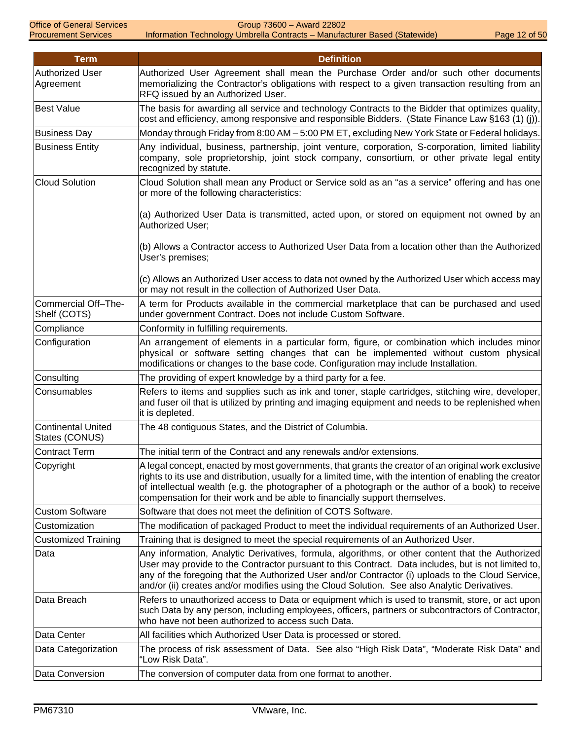Information Technology Umbrella Contracts - Manufacturer Based (Statewide) Page 12 of 50

| <b>Term</b>                                 | <b>Definition</b>                                                                                                                                                                                                                                                                                                                                                                                            |
|---------------------------------------------|--------------------------------------------------------------------------------------------------------------------------------------------------------------------------------------------------------------------------------------------------------------------------------------------------------------------------------------------------------------------------------------------------------------|
| <b>Authorized User</b>                      | Authorized User Agreement shall mean the Purchase Order and/or such other documents                                                                                                                                                                                                                                                                                                                          |
| Agreement                                   | memorializing the Contractor's obligations with respect to a given transaction resulting from an<br>RFQ issued by an Authorized User.                                                                                                                                                                                                                                                                        |
| <b>Best Value</b>                           | The basis for awarding all service and technology Contracts to the Bidder that optimizes quality,<br>cost and efficiency, among responsive and responsible Bidders. (State Finance Law §163 (1) (j)).                                                                                                                                                                                                        |
| <b>Business Day</b>                         | Monday through Friday from 8:00 AM - 5:00 PM ET, excluding New York State or Federal holidays.                                                                                                                                                                                                                                                                                                               |
| <b>Business Entity</b>                      | Any individual, business, partnership, joint venture, corporation, S-corporation, limited liability<br>company, sole proprietorship, joint stock company, consortium, or other private legal entity<br>recognized by statute.                                                                                                                                                                                |
| <b>Cloud Solution</b>                       | Cloud Solution shall mean any Product or Service sold as an "as a service" offering and has one<br>or more of the following characteristics:                                                                                                                                                                                                                                                                 |
|                                             | (a) Authorized User Data is transmitted, acted upon, or stored on equipment not owned by an<br>Authorized User;                                                                                                                                                                                                                                                                                              |
|                                             | (b) Allows a Contractor access to Authorized User Data from a location other than the Authorized<br>User's premises;                                                                                                                                                                                                                                                                                         |
|                                             | (c) Allows an Authorized User access to data not owned by the Authorized User which access may<br>or may not result in the collection of Authorized User Data.                                                                                                                                                                                                                                               |
| Commercial Off-The-<br>Shelf (COTS)         | A term for Products available in the commercial marketplace that can be purchased and used<br>under government Contract. Does not include Custom Software.                                                                                                                                                                                                                                                   |
| Compliance                                  | Conformity in fulfilling requirements.                                                                                                                                                                                                                                                                                                                                                                       |
| Configuration                               | An arrangement of elements in a particular form, figure, or combination which includes minor<br>physical or software setting changes that can be implemented without custom physical<br>modifications or changes to the base code. Configuration may include Installation.                                                                                                                                   |
| Consulting                                  | The providing of expert knowledge by a third party for a fee.                                                                                                                                                                                                                                                                                                                                                |
| Consumables                                 | Refers to items and supplies such as ink and toner, staple cartridges, stitching wire, developer,<br>and fuser oil that is utilized by printing and imaging equipment and needs to be replenished when<br>it is depleted.                                                                                                                                                                                    |
| <b>Continental United</b><br>States (CONUS) | The 48 contiguous States, and the District of Columbia.                                                                                                                                                                                                                                                                                                                                                      |
| <b>Contract Term</b>                        | The initial term of the Contract and any renewals and/or extensions.                                                                                                                                                                                                                                                                                                                                         |
| Copyright                                   | A legal concept, enacted by most governments, that grants the creator of an original work exclusive<br>rights to its use and distribution, usually for a limited time, with the intention of enabling the creator<br>of intellectual wealth (e.g. the photographer of a photograph or the author of a book) to receive<br>compensation for their work and be able to financially support themselves.         |
| <b>Custom Software</b>                      | Software that does not meet the definition of COTS Software.                                                                                                                                                                                                                                                                                                                                                 |
| Customization                               | The modification of packaged Product to meet the individual requirements of an Authorized User.                                                                                                                                                                                                                                                                                                              |
| <b>Customized Training</b>                  | Training that is designed to meet the special requirements of an Authorized User.                                                                                                                                                                                                                                                                                                                            |
| Data                                        | Any information, Analytic Derivatives, formula, algorithms, or other content that the Authorized<br>User may provide to the Contractor pursuant to this Contract. Data includes, but is not limited to,<br>any of the foregoing that the Authorized User and/or Contractor (i) uploads to the Cloud Service,<br>and/or (ii) creates and/or modifies using the Cloud Solution. See also Analytic Derivatives. |
| Data Breach                                 | Refers to unauthorized access to Data or equipment which is used to transmit, store, or act upon<br>such Data by any person, including employees, officers, partners or subcontractors of Contractor,<br>who have not been authorized to access such Data.                                                                                                                                                   |
| Data Center                                 | All facilities which Authorized User Data is processed or stored.                                                                                                                                                                                                                                                                                                                                            |
| Data Categorization                         | The process of risk assessment of Data. See also "High Risk Data", "Moderate Risk Data" and<br>"Low Risk Data".                                                                                                                                                                                                                                                                                              |
| Data Conversion                             | The conversion of computer data from one format to another.                                                                                                                                                                                                                                                                                                                                                  |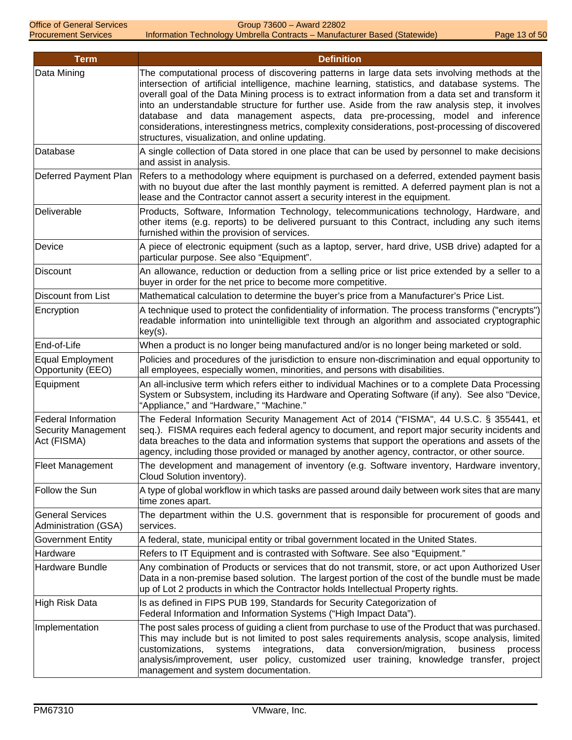Information Technology Umbrella Contracts - Manufacturer Based (Statewide) Page 13 of 50

| <b>Term</b>                                                             | <b>Definition</b>                                                                                                                                                                                                                                                                                                                                                                                                                                                                                                                                                                                                                                    |
|-------------------------------------------------------------------------|------------------------------------------------------------------------------------------------------------------------------------------------------------------------------------------------------------------------------------------------------------------------------------------------------------------------------------------------------------------------------------------------------------------------------------------------------------------------------------------------------------------------------------------------------------------------------------------------------------------------------------------------------|
| Data Mining                                                             | The computational process of discovering patterns in large data sets involving methods at the<br>intersection of artificial intelligence, machine learning, statistics, and database systems. The<br>overall goal of the Data Mining process is to extract information from a data set and transform it<br>into an understandable structure for further use. Aside from the raw analysis step, it involves<br>database and data management aspects, data pre-processing, model and inference<br>considerations, interestingness metrics, complexity considerations, post-processing of discovered<br>structures, visualization, and online updating. |
| Database                                                                | A single collection of Data stored in one place that can be used by personnel to make decisions<br>and assist in analysis.                                                                                                                                                                                                                                                                                                                                                                                                                                                                                                                           |
| Deferred Payment Plan                                                   | Refers to a methodology where equipment is purchased on a deferred, extended payment basis<br>with no buyout due after the last monthly payment is remitted. A deferred payment plan is not a<br>lease and the Contractor cannot assert a security interest in the equipment.                                                                                                                                                                                                                                                                                                                                                                        |
| Deliverable                                                             | Products, Software, Information Technology, telecommunications technology, Hardware, and<br>other items (e.g. reports) to be delivered pursuant to this Contract, including any such items<br>furnished within the provision of services.                                                                                                                                                                                                                                                                                                                                                                                                            |
| Device                                                                  | A piece of electronic equipment (such as a laptop, server, hard drive, USB drive) adapted for a<br>particular purpose. See also "Equipment".                                                                                                                                                                                                                                                                                                                                                                                                                                                                                                         |
| Discount                                                                | An allowance, reduction or deduction from a selling price or list price extended by a seller to a<br>buyer in order for the net price to become more competitive.                                                                                                                                                                                                                                                                                                                                                                                                                                                                                    |
| Discount from List                                                      | Mathematical calculation to determine the buyer's price from a Manufacturer's Price List.                                                                                                                                                                                                                                                                                                                                                                                                                                                                                                                                                            |
| Encryption                                                              | A technique used to protect the confidentiality of information. The process transforms ("encrypts")<br>readable information into unintelligible text through an algorithm and associated cryptographic<br>$key(s)$ .                                                                                                                                                                                                                                                                                                                                                                                                                                 |
| End-of-Life                                                             | When a product is no longer being manufactured and/or is no longer being marketed or sold.                                                                                                                                                                                                                                                                                                                                                                                                                                                                                                                                                           |
| <b>Equal Employment</b><br>Opportunity (EEO)                            | Policies and procedures of the jurisdiction to ensure non-discrimination and equal opportunity to<br>all employees, especially women, minorities, and persons with disabilities.                                                                                                                                                                                                                                                                                                                                                                                                                                                                     |
| Equipment                                                               | An all-inclusive term which refers either to individual Machines or to a complete Data Processing<br>System or Subsystem, including its Hardware and Operating Software (if any). See also "Device,<br>"Appliance," and "Hardware," "Machine."                                                                                                                                                                                                                                                                                                                                                                                                       |
| <b>Federal Information</b><br><b>Security Management</b><br>Act (FISMA) | The Federal Information Security Management Act of 2014 ("FISMA", 44 U.S.C. § 355441, et<br>seq.). FISMA requires each federal agency to document, and report major security incidents and<br>data breaches to the data and information systems that support the operations and assets of the<br>agency, including those provided or managed by another agency, contractor, or other source.                                                                                                                                                                                                                                                         |
| <b>Fleet Management</b>                                                 | The development and management of inventory (e.g. Software inventory, Hardware inventory,<br>Cloud Solution inventory).                                                                                                                                                                                                                                                                                                                                                                                                                                                                                                                              |
| Follow the Sun                                                          | A type of global workflow in which tasks are passed around daily between work sites that are many<br>time zones apart.                                                                                                                                                                                                                                                                                                                                                                                                                                                                                                                               |
| <b>General Services</b><br>Administration (GSA)                         | The department within the U.S. government that is responsible for procurement of goods and<br>services.                                                                                                                                                                                                                                                                                                                                                                                                                                                                                                                                              |
| <b>Government Entity</b>                                                | A federal, state, municipal entity or tribal government located in the United States.                                                                                                                                                                                                                                                                                                                                                                                                                                                                                                                                                                |
| Hardware                                                                | Refers to IT Equipment and is contrasted with Software. See also "Equipment."                                                                                                                                                                                                                                                                                                                                                                                                                                                                                                                                                                        |
| Hardware Bundle                                                         | Any combination of Products or services that do not transmit, store, or act upon Authorized User<br>Data in a non-premise based solution. The largest portion of the cost of the bundle must be made<br>up of Lot 2 products in which the Contractor holds Intellectual Property rights.                                                                                                                                                                                                                                                                                                                                                             |
| High Risk Data                                                          | Is as defined in FIPS PUB 199, Standards for Security Categorization of<br>Federal Information and Information Systems ("High Impact Data").                                                                                                                                                                                                                                                                                                                                                                                                                                                                                                         |
| Implementation                                                          | The post sales process of guiding a client from purchase to use of the Product that was purchased.<br>This may include but is not limited to post sales requirements analysis, scope analysis, limited<br>integrations,<br>data<br>conversion/migration,<br>customizations,<br>systems<br>business<br>process<br>analysis/improvement, user policy, customized user training, knowledge transfer, project<br>management and system documentation.                                                                                                                                                                                                    |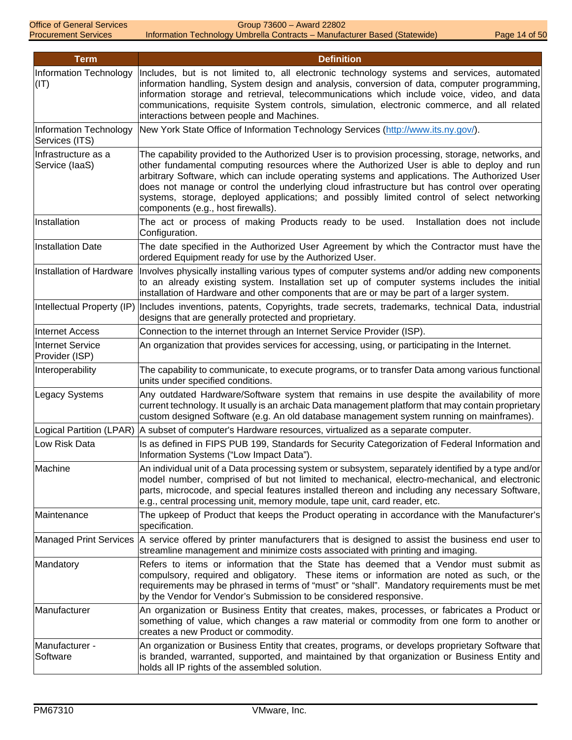Information Technology Umbrella Contracts - Manufacturer Based (Statewide) Page 14 of 50

| <b>Term</b>                               | <b>Definition</b>                                                                                                                                                                                                                                                                                                                                                                                                                                                                                                                    |
|-------------------------------------------|--------------------------------------------------------------------------------------------------------------------------------------------------------------------------------------------------------------------------------------------------------------------------------------------------------------------------------------------------------------------------------------------------------------------------------------------------------------------------------------------------------------------------------------|
| Information Technology<br>(IT)            | Includes, but is not limited to, all electronic technology systems and services, automated<br>information handling, System design and analysis, conversion of data, computer programming,<br>information storage and retrieval, telecommunications which include voice, video, and data<br>communications, requisite System controls, simulation, electronic commerce, and all related<br>interactions between people and Machines.                                                                                                  |
| Information Technology<br>Services (ITS)  | New York State Office of Information Technology Services (http://www.its.ny.gov/).                                                                                                                                                                                                                                                                                                                                                                                                                                                   |
| Infrastructure as a<br>Service (laaS)     | The capability provided to the Authorized User is to provision processing, storage, networks, and<br>other fundamental computing resources where the Authorized User is able to deploy and run<br>arbitrary Software, which can include operating systems and applications. The Authorized User<br>does not manage or control the underlying cloud infrastructure but has control over operating<br>systems, storage, deployed applications; and possibly limited control of select networking<br>components (e.g., host firewalls). |
| Installation                              | The act or process of making Products ready to be used.<br>Installation does not include<br>Configuration.                                                                                                                                                                                                                                                                                                                                                                                                                           |
| <b>Installation Date</b>                  | The date specified in the Authorized User Agreement by which the Contractor must have the<br>ordered Equipment ready for use by the Authorized User.                                                                                                                                                                                                                                                                                                                                                                                 |
|                                           | Installation of Hardware   Involves physically installing various types of computer systems and/or adding new components<br>to an already existing system. Installation set up of computer systems includes the initial<br>installation of Hardware and other components that are or may be part of a larger system.                                                                                                                                                                                                                 |
|                                           | Intellectual Property (IP)  Includes inventions, patents, Copyrights, trade secrets, trademarks, technical Data, industrial<br>designs that are generally protected and proprietary.                                                                                                                                                                                                                                                                                                                                                 |
| <b>Internet Access</b>                    | Connection to the internet through an Internet Service Provider (ISP).                                                                                                                                                                                                                                                                                                                                                                                                                                                               |
| <b>Internet Service</b><br>Provider (ISP) | An organization that provides services for accessing, using, or participating in the Internet.                                                                                                                                                                                                                                                                                                                                                                                                                                       |
| Interoperability                          | The capability to communicate, to execute programs, or to transfer Data among various functional<br>units under specified conditions.                                                                                                                                                                                                                                                                                                                                                                                                |
| <b>Legacy Systems</b>                     | Any outdated Hardware/Software system that remains in use despite the availability of more<br>current technology. It usually is an archaic Data management platform that may contain proprietary<br>custom designed Software (e.g. An old database management system running on mainframes).                                                                                                                                                                                                                                         |
|                                           | Logical Partition (LPAR) A subset of computer's Hardware resources, virtualized as a separate computer.                                                                                                                                                                                                                                                                                                                                                                                                                              |
| Low Risk Data                             | Is as defined in FIPS PUB 199, Standards for Security Categorization of Federal Information and<br>Information Systems ("Low Impact Data").                                                                                                                                                                                                                                                                                                                                                                                          |
| Machine                                   | An individual unit of a Data processing system or subsystem, separately identified by a type and/or<br>model number, comprised of but not limited to mechanical, electro-mechanical, and electronic<br>parts, microcode, and special features installed thereon and including any necessary Software,<br>e.g., central processing unit, memory module, tape unit, card reader, etc.                                                                                                                                                  |
| Maintenance                               | The upkeep of Product that keeps the Product operating in accordance with the Manufacturer's<br>specification.                                                                                                                                                                                                                                                                                                                                                                                                                       |
| <b>Managed Print Services</b>             | A service offered by printer manufacturers that is designed to assist the business end user to<br>streamline management and minimize costs associated with printing and imaging.                                                                                                                                                                                                                                                                                                                                                     |
| Mandatory                                 | Refers to items or information that the State has deemed that a Vendor must submit as<br>compulsory, required and obligatory. These items or information are noted as such, or the<br>requirements may be phrased in terms of "must" or "shall". Mandatory requirements must be met<br>by the Vendor for Vendor's Submission to be considered responsive.                                                                                                                                                                            |
| Manufacturer                              | An organization or Business Entity that creates, makes, processes, or fabricates a Product or<br>something of value, which changes a raw material or commodity from one form to another or<br>creates a new Product or commodity.                                                                                                                                                                                                                                                                                                    |
| Manufacturer -<br>Software                | An organization or Business Entity that creates, programs, or develops proprietary Software that<br>is branded, warranted, supported, and maintained by that organization or Business Entity and<br>holds all IP rights of the assembled solution.                                                                                                                                                                                                                                                                                   |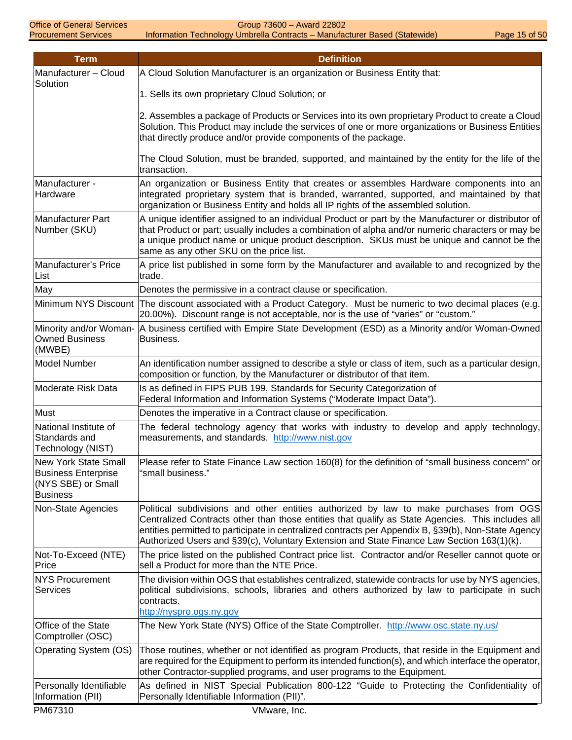| <b>Term</b>                                                                           | <b>Definition</b>                                                                                                                                                                                                                                                                                                                                                                               |  |  |  |  |  |
|---------------------------------------------------------------------------------------|-------------------------------------------------------------------------------------------------------------------------------------------------------------------------------------------------------------------------------------------------------------------------------------------------------------------------------------------------------------------------------------------------|--|--|--|--|--|
| Manufacturer - Cloud<br>Solution                                                      | A Cloud Solution Manufacturer is an organization or Business Entity that:                                                                                                                                                                                                                                                                                                                       |  |  |  |  |  |
|                                                                                       | 1. Sells its own proprietary Cloud Solution; or                                                                                                                                                                                                                                                                                                                                                 |  |  |  |  |  |
|                                                                                       | 2. Assembles a package of Products or Services into its own proprietary Product to create a Cloud<br>Solution. This Product may include the services of one or more organizations or Business Entities<br>that directly produce and/or provide components of the package.                                                                                                                       |  |  |  |  |  |
|                                                                                       | The Cloud Solution, must be branded, supported, and maintained by the entity for the life of the<br>transaction.                                                                                                                                                                                                                                                                                |  |  |  |  |  |
| Manufacturer -<br>Hardware                                                            | An organization or Business Entity that creates or assembles Hardware components into an<br>integrated proprietary system that is branded, warranted, supported, and maintained by that<br>organization or Business Entity and holds all IP rights of the assembled solution.                                                                                                                   |  |  |  |  |  |
| Manufacturer Part<br>Number (SKU)                                                     | A unique identifier assigned to an individual Product or part by the Manufacturer or distributor of<br>that Product or part; usually includes a combination of alpha and/or numeric characters or may be<br>a unique product name or unique product description. SKUs must be unique and cannot be the<br>same as any other SKU on the price list.                                              |  |  |  |  |  |
| Manufacturer's Price<br>List                                                          | A price list published in some form by the Manufacturer and available to and recognized by the<br>trade.                                                                                                                                                                                                                                                                                        |  |  |  |  |  |
| May                                                                                   | Denotes the permissive in a contract clause or specification.                                                                                                                                                                                                                                                                                                                                   |  |  |  |  |  |
| Minimum NYS Discount                                                                  | The discount associated with a Product Category. Must be numeric to two decimal places (e.g.<br>20.00%). Discount range is not acceptable, nor is the use of "varies" or "custom."                                                                                                                                                                                                              |  |  |  |  |  |
| <b>Owned Business</b><br>(MWBE)                                                       | Minority and/or Woman- A business certified with Empire State Development (ESD) as a Minority and/or Woman-Owned<br>Business.                                                                                                                                                                                                                                                                   |  |  |  |  |  |
| <b>Model Number</b>                                                                   | An identification number assigned to describe a style or class of item, such as a particular design,<br>composition or function, by the Manufacturer or distributor of that item.                                                                                                                                                                                                               |  |  |  |  |  |
| Moderate Risk Data                                                                    | Is as defined in FIPS PUB 199, Standards for Security Categorization of<br>Federal Information and Information Systems ("Moderate Impact Data").                                                                                                                                                                                                                                                |  |  |  |  |  |
| Must                                                                                  | Denotes the imperative in a Contract clause or specification.                                                                                                                                                                                                                                                                                                                                   |  |  |  |  |  |
| National Institute of<br>Standards and<br>Technology (NIST)                           | The federal technology agency that works with industry to develop and apply technology,<br>measurements, and standards. http://www.nist.gov                                                                                                                                                                                                                                                     |  |  |  |  |  |
| New York State Small<br><b>Business Enterprise</b><br>(NYS SBE) or Small<br>lBusiness | Please refer to State Finance Law section 160(8) for the definition of "small business concern" or<br>"small business."                                                                                                                                                                                                                                                                         |  |  |  |  |  |
| Non-State Agencies                                                                    | Political subdivisions and other entities authorized by law to make purchases from OGS<br>Centralized Contracts other than those entities that qualify as State Agencies. This includes all<br>entities permitted to participate in centralized contracts per Appendix B, §39(b), Non-State Agency<br>Authorized Users and §39(c), Voluntary Extension and State Finance Law Section 163(1)(k). |  |  |  |  |  |
| Not-To-Exceed (NTE)<br>Price                                                          | The price listed on the published Contract price list. Contractor and/or Reseller cannot quote or<br>sell a Product for more than the NTE Price.                                                                                                                                                                                                                                                |  |  |  |  |  |
| <b>NYS Procurement</b><br>Services                                                    | The division within OGS that establishes centralized, statewide contracts for use by NYS agencies,<br>political subdivisions, schools, libraries and others authorized by law to participate in such<br>contracts.<br>http://nyspro.ogs.ny.gov                                                                                                                                                  |  |  |  |  |  |
| Office of the State<br>Comptroller (OSC)                                              | The New York State (NYS) Office of the State Comptroller. http://www.osc.state.ny.us/                                                                                                                                                                                                                                                                                                           |  |  |  |  |  |
| Operating System (OS)                                                                 | Those routines, whether or not identified as program Products, that reside in the Equipment and<br>are required for the Equipment to perform its intended function(s), and which interface the operator,<br>other Contractor-supplied programs, and user programs to the Equipment.                                                                                                             |  |  |  |  |  |
| Personally Identifiable<br>Information (PII)                                          | As defined in NIST Special Publication 800-122 "Guide to Protecting the Confidentiality of<br>Personally Identifiable Information (PII)".                                                                                                                                                                                                                                                       |  |  |  |  |  |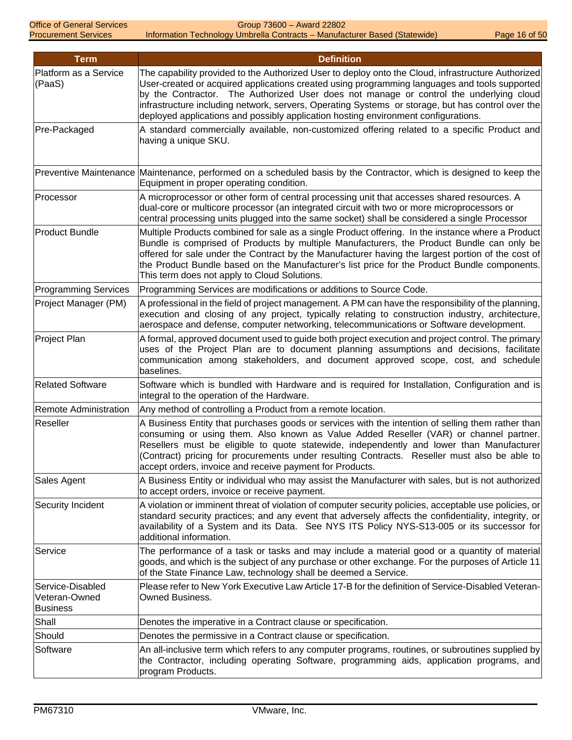Information Technology Umbrella Contracts - Manufacturer Based (Statewide) Page 16 of 50

| <b>Term</b>                                          | <b>Definition</b>                                                                                                                                                                                                                                                                                                                                                                                                                                                                        |  |  |  |
|------------------------------------------------------|------------------------------------------------------------------------------------------------------------------------------------------------------------------------------------------------------------------------------------------------------------------------------------------------------------------------------------------------------------------------------------------------------------------------------------------------------------------------------------------|--|--|--|
| Platform as a Service<br>(PaaS)                      | The capability provided to the Authorized User to deploy onto the Cloud, infrastructure Authorized<br>User-created or acquired applications created using programming languages and tools supported<br>by the Contractor. The Authorized User does not manage or control the underlying cloud<br>infrastructure including network, servers, Operating Systems or storage, but has control over the<br>deployed applications and possibly application hosting environment configurations. |  |  |  |
| Pre-Packaged                                         | A standard commercially available, non-customized offering related to a specific Product and<br>having a unique SKU.                                                                                                                                                                                                                                                                                                                                                                     |  |  |  |
|                                                      | Preventive Maintenance Maintenance, performed on a scheduled basis by the Contractor, which is designed to keep the<br>Equipment in proper operating condition.                                                                                                                                                                                                                                                                                                                          |  |  |  |
| Processor                                            | A microprocessor or other form of central processing unit that accesses shared resources. A<br>dual-core or multicore processor (an integrated circuit with two or more microprocessors or<br>central processing units plugged into the same socket) shall be considered a single Processor                                                                                                                                                                                              |  |  |  |
| <b>Product Bundle</b>                                | Multiple Products combined for sale as a single Product offering. In the instance where a Product<br>Bundle is comprised of Products by multiple Manufacturers, the Product Bundle can only be<br>offered for sale under the Contract by the Manufacturer having the largest portion of the cost of<br>the Product Bundle based on the Manufacturer's list price for the Product Bundle components.<br>This term does not apply to Cloud Solutions.                                      |  |  |  |
| <b>Programming Services</b>                          | Programming Services are modifications or additions to Source Code.                                                                                                                                                                                                                                                                                                                                                                                                                      |  |  |  |
| Project Manager (PM)                                 | A professional in the field of project management. A PM can have the responsibility of the planning,<br>execution and closing of any project, typically relating to construction industry, architecture,<br>aerospace and defense, computer networking, telecommunications or Software development.                                                                                                                                                                                      |  |  |  |
| Project Plan                                         | A formal, approved document used to guide both project execution and project control. The primary<br>uses of the Project Plan are to document planning assumptions and decisions, facilitate<br>communication among stakeholders, and document approved scope, cost, and schedule<br>baselines.                                                                                                                                                                                          |  |  |  |
| <b>Related Software</b>                              | Software which is bundled with Hardware and is required for Installation, Configuration and is<br>integral to the operation of the Hardware.                                                                                                                                                                                                                                                                                                                                             |  |  |  |
| <b>Remote Administration</b>                         | Any method of controlling a Product from a remote location.                                                                                                                                                                                                                                                                                                                                                                                                                              |  |  |  |
| Reseller                                             | A Business Entity that purchases goods or services with the intention of selling them rather than<br>consuming or using them. Also known as Value Added Reseller (VAR) or channel partner.<br>Resellers must be eligible to quote statewide, independently and lower than Manufacturer<br>(Contract) pricing for procurements under resulting Contracts. Reseller must also be able to<br>accept orders, invoice and receive payment for Products.                                       |  |  |  |
| Sales Agent                                          | A Business Entity or individual who may assist the Manufacturer with sales, but is not authorized<br>to accept orders, invoice or receive payment.                                                                                                                                                                                                                                                                                                                                       |  |  |  |
| Security Incident                                    | A violation or imminent threat of violation of computer security policies, acceptable use policies, or<br>standard security practices; and any event that adversely affects the confidentiality, integrity, or<br>availability of a System and its Data. See NYS ITS Policy NYS-S13-005 or its successor for<br>additional information.                                                                                                                                                  |  |  |  |
| Service                                              | The performance of a task or tasks and may include a material good or a quantity of material<br>goods, and which is the subject of any purchase or other exchange. For the purposes of Article 11<br>of the State Finance Law, technology shall be deemed a Service.                                                                                                                                                                                                                     |  |  |  |
| Service-Disabled<br>Veteran-Owned<br><b>Business</b> | Please refer to New York Executive Law Article 17-B for the definition of Service-Disabled Veteran-<br>Owned Business.                                                                                                                                                                                                                                                                                                                                                                   |  |  |  |
| Shall                                                | Denotes the imperative in a Contract clause or specification.                                                                                                                                                                                                                                                                                                                                                                                                                            |  |  |  |
| Should                                               | Denotes the permissive in a Contract clause or specification.                                                                                                                                                                                                                                                                                                                                                                                                                            |  |  |  |
| Software                                             | An all-inclusive term which refers to any computer programs, routines, or subroutines supplied by<br>the Contractor, including operating Software, programming aids, application programs, and<br>program Products.                                                                                                                                                                                                                                                                      |  |  |  |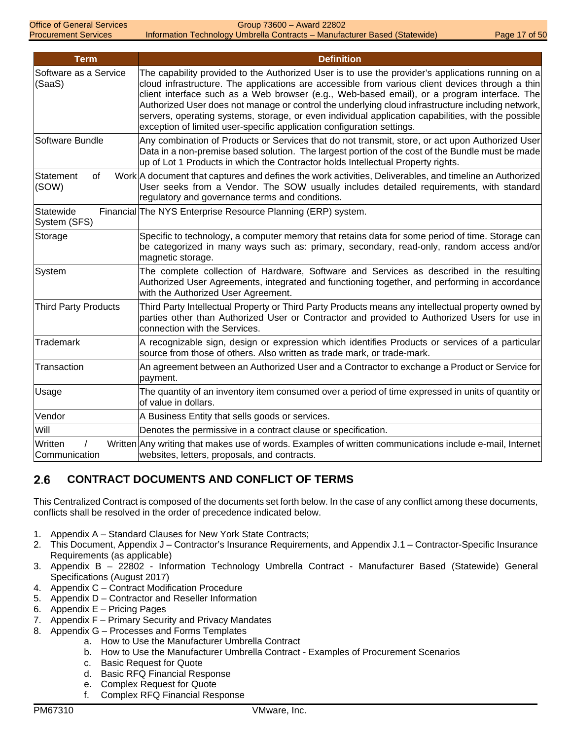Information Technology Umbrella Contracts – Manufacturer Based (Statewide) Page 17 of 50

| <b>Term</b>                     | <b>Definition</b>                                                                                                                                                                                                                                                                                                                                                                                                                                                                                                                                                                          |
|---------------------------------|--------------------------------------------------------------------------------------------------------------------------------------------------------------------------------------------------------------------------------------------------------------------------------------------------------------------------------------------------------------------------------------------------------------------------------------------------------------------------------------------------------------------------------------------------------------------------------------------|
| Software as a Service<br>(SaaS) | The capability provided to the Authorized User is to use the provider's applications running on a<br>cloud infrastructure. The applications are accessible from various client devices through a thin<br>client interface such as a Web browser (e.g., Web-based email), or a program interface. The<br>Authorized User does not manage or control the underlying cloud infrastructure including network,<br>servers, operating systems, storage, or even individual application capabilities, with the possible<br>exception of limited user-specific application configuration settings. |
| Software Bundle                 | Any combination of Products or Services that do not transmit, store, or act upon Authorized User<br>Data in a non-premise based solution. The largest portion of the cost of the Bundle must be made<br>up of Lot 1 Products in which the Contractor holds Intellectual Property rights.                                                                                                                                                                                                                                                                                                   |
| Statement<br>of<br>(SOW)        | Work A document that captures and defines the work activities, Deliverables, and timeline an Authorized<br>User seeks from a Vendor. The SOW usually includes detailed requirements, with standard<br>regulatory and governance terms and conditions.                                                                                                                                                                                                                                                                                                                                      |
| Statewide<br>System (SFS)       | Financial The NYS Enterprise Resource Planning (ERP) system.                                                                                                                                                                                                                                                                                                                                                                                                                                                                                                                               |
| Storage                         | Specific to technology, a computer memory that retains data for some period of time. Storage can<br>be categorized in many ways such as: primary, secondary, read-only, random access and/or<br>magnetic storage.                                                                                                                                                                                                                                                                                                                                                                          |
| System                          | The complete collection of Hardware, Software and Services as described in the resulting<br>Authorized User Agreements, integrated and functioning together, and performing in accordance<br>with the Authorized User Agreement.                                                                                                                                                                                                                                                                                                                                                           |
| <b>Third Party Products</b>     | Third Party Intellectual Property or Third Party Products means any intellectual property owned by<br>parties other than Authorized User or Contractor and provided to Authorized Users for use in<br>connection with the Services.                                                                                                                                                                                                                                                                                                                                                        |
| <b>Trademark</b>                | A recognizable sign, design or expression which identifies Products or services of a particular<br>source from those of others. Also written as trade mark, or trade-mark.                                                                                                                                                                                                                                                                                                                                                                                                                 |
| Transaction                     | An agreement between an Authorized User and a Contractor to exchange a Product or Service for<br>payment.                                                                                                                                                                                                                                                                                                                                                                                                                                                                                  |
| Usage                           | The quantity of an inventory item consumed over a period of time expressed in units of quantity or<br>of value in dollars.                                                                                                                                                                                                                                                                                                                                                                                                                                                                 |
| Vendor                          | A Business Entity that sells goods or services.                                                                                                                                                                                                                                                                                                                                                                                                                                                                                                                                            |
| Will                            | Denotes the permissive in a contract clause or specification.                                                                                                                                                                                                                                                                                                                                                                                                                                                                                                                              |
| Written<br>Communication        | Written Any writing that makes use of words. Examples of written communications include e-mail, Internet<br>websites, letters, proposals, and contracts.                                                                                                                                                                                                                                                                                                                                                                                                                                   |

### **CONTRACT DOCUMENTS AND CONFLICT OF TERMS**

This Centralized Contract is composed of the documents set forth below. In the case of any conflict among these documents, conflicts shall be resolved in the order of precedence indicated below.

- 1. Appendix A Standard Clauses for New York State Contracts;
- 2. This Document, Appendix J Contractor's Insurance Requirements, and Appendix J.1 Contractor-Specific Insurance Requirements (as applicable)
- 3. Appendix B 22802 Information Technology Umbrella Contract Manufacturer Based (Statewide) General Specifications (August 2017)
- 4. Appendix C Contract Modification Procedure
- 5. Appendix D Contractor and Reseller Information
- 6. Appendix E Pricing Pages
- 7. Appendix F Primary Security and Privacy Mandates
- 8. Appendix G Processes and Forms Templates
	- a. How to Use the Manufacturer Umbrella Contract
	- b. How to Use the Manufacturer Umbrella Contract Examples of Procurement Scenarios
	- c. Basic Request for Quote
	- d. Basic RFQ Financial Response
	- e. Complex Request for Quote
	- f. Complex RFQ Financial Response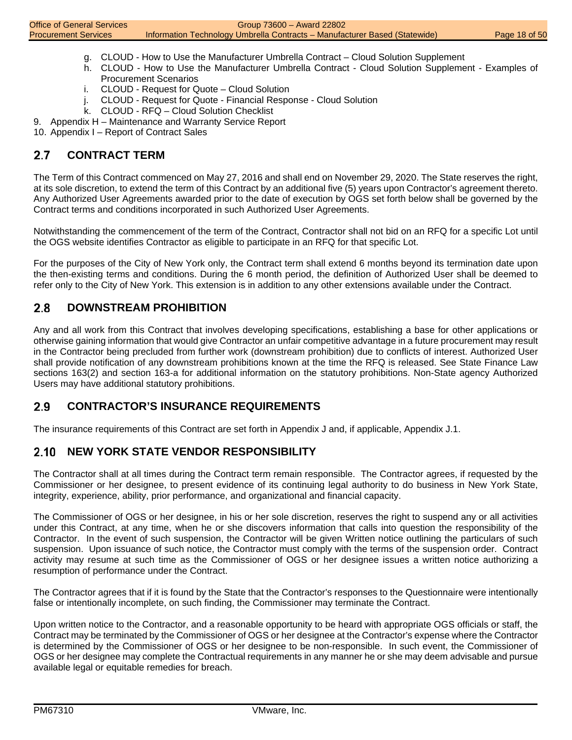| <b>Office of General Services</b> | Group 73600 - Award 22802                                                         |               |
|-----------------------------------|-----------------------------------------------------------------------------------|---------------|
| <b>Procurement Services</b>       | <b>Information Technology Umbrella Contracts – Manufacturer Based (Statewide)</b> | Page 18 of 50 |

- g. CLOUD How to Use the Manufacturer Umbrella Contract Cloud Solution Supplement
- h. CLOUD How to Use the Manufacturer Umbrella Contract Cloud Solution Supplement Examples of Procurement Scenarios
- i. CLOUD Request for Quote Cloud Solution
- j. CLOUD Request for Quote Financial Response Cloud Solution
- k. CLOUD RFQ Cloud Solution Checklist
- 9. Appendix H Maintenance and Warranty Service Report
- 10. Appendix I Report of Contract Sales

### **CONTRACT TERM**

The Term of this Contract commenced on May 27, 2016 and shall end on November 29, 2020. The State reserves the right, at its sole discretion, to extend the term of this Contract by an additional five (5) years upon Contractor's agreement thereto. Any Authorized User Agreements awarded prior to the date of execution by OGS set forth below shall be governed by the Contract terms and conditions incorporated in such Authorized User Agreements.

Notwithstanding the commencement of the term of the Contract, Contractor shall not bid on an RFQ for a specific Lot until the OGS website identifies Contractor as eligible to participate in an RFQ for that specific Lot.

For the purposes of the City of New York only, the Contract term shall extend 6 months beyond its termination date upon the then-existing terms and conditions. During the 6 month period, the definition of Authorized User shall be deemed to refer only to the City of New York. This extension is in addition to any other extensions available under the Contract.

### **DOWNSTREAM PROHIBITION**

Any and all work from this Contract that involves developing specifications, establishing a base for other applications or otherwise gaining information that would give Contractor an unfair competitive advantage in a future procurement may result in the Contractor being precluded from further work (downstream prohibition) due to conflicts of interest. Authorized User shall provide notification of any downstream prohibitions known at the time the RFQ is released. See State Finance Law sections 163(2) and section 163-a for additional information on the statutory prohibitions. Non-State agency Authorized Users may have additional statutory prohibitions.

### **CONTRACTOR'S INSURANCE REQUIREMENTS**

The insurance requirements of this Contract are set forth in Appendix J and, if applicable, Appendix J.1.

### **NEW YORK STATE VENDOR RESPONSIBILITY**

The Contractor shall at all times during the Contract term remain responsible. The Contractor agrees, if requested by the Commissioner or her designee, to present evidence of its continuing legal authority to do business in New York State, integrity, experience, ability, prior performance, and organizational and financial capacity.

The Commissioner of OGS or her designee, in his or her sole discretion, reserves the right to suspend any or all activities under this Contract, at any time, when he or she discovers information that calls into question the responsibility of the Contractor. In the event of such suspension, the Contractor will be given Written notice outlining the particulars of such suspension. Upon issuance of such notice, the Contractor must comply with the terms of the suspension order. Contract activity may resume at such time as the Commissioner of OGS or her designee issues a written notice authorizing a resumption of performance under the Contract.

The Contractor agrees that if it is found by the State that the Contractor's responses to the Questionnaire were intentionally false or intentionally incomplete, on such finding, the Commissioner may terminate the Contract.

Upon written notice to the Contractor, and a reasonable opportunity to be heard with appropriate OGS officials or staff, the Contract may be terminated by the Commissioner of OGS or her designee at the Contractor's expense where the Contractor is determined by the Commissioner of OGS or her designee to be non-responsible. In such event, the Commissioner of OGS or her designee may complete the Contractual requirements in any manner he or she may deem advisable and pursue available legal or equitable remedies for breach.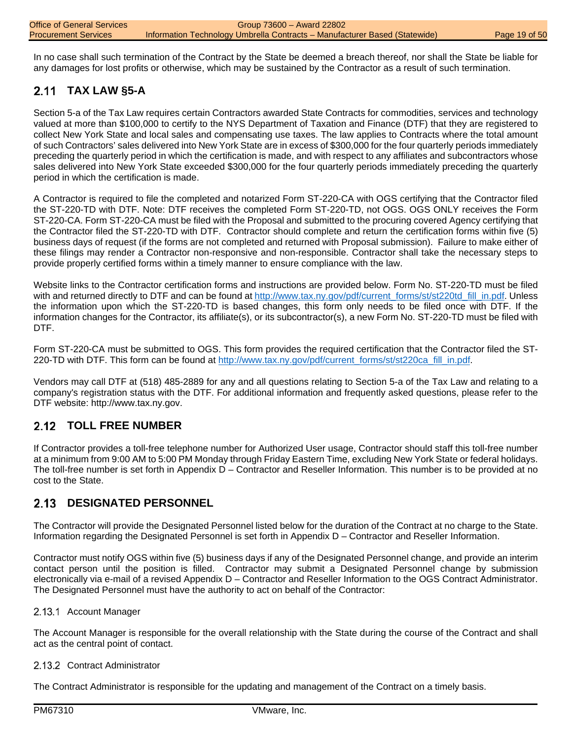In no case shall such termination of the Contract by the State be deemed a breach thereof, nor shall the State be liable for any damages for lost profits or otherwise, which may be sustained by the Contractor as a result of such termination.

### **TAX LAW §5-A**

Section 5-a of the Tax Law requires certain Contractors awarded State Contracts for commodities, services and technology valued at more than \$100,000 to certify to the NYS Department of Taxation and Finance (DTF) that they are registered to collect New York State and local sales and compensating use taxes. The law applies to Contracts where the total amount of such Contractors' sales delivered into New York State are in excess of \$300,000 for the four quarterly periods immediately preceding the quarterly period in which the certification is made, and with respect to any affiliates and subcontractors whose sales delivered into New York State exceeded \$300,000 for the four quarterly periods immediately preceding the quarterly period in which the certification is made.

A Contractor is required to file the completed and notarized Form ST-220-CA with OGS certifying that the Contractor filed the ST-220-TD with DTF. Note: DTF receives the completed Form ST-220-TD, not OGS. OGS ONLY receives the Form ST-220-CA. Form ST-220-CA must be filed with the Proposal and submitted to the procuring covered Agency certifying that the Contractor filed the ST-220-TD with DTF. Contractor should complete and return the certification forms within five (5) business days of request (if the forms are not completed and returned with Proposal submission). Failure to make either of these filings may render a Contractor non-responsive and non-responsible. Contractor shall take the necessary steps to provide properly certified forms within a timely manner to ensure compliance with the law.

Website links to the Contractor certification forms and instructions are provided below. Form No. ST-220-TD must be filed with and returned directly to DTF and can be found at http://www.tax.ny.gov/pdf/current\_forms/st/st220td\_fill\_in.pdf. Unless the information upon which the ST-220-TD is based changes, this form only needs to be filed once with DTF. If the information changes for the Contractor, its affiliate(s), or its subcontractor(s), a new Form No. ST-220-TD must be filed with DTF.

Form ST-220-CA must be submitted to OGS. This form provides the required certification that the Contractor filed the ST-220-TD with DTF. This form can be found at http://www.tax.ny.gov/pdf/current\_forms/st/st220ca\_fill\_in.pdf.

Vendors may call DTF at (518) 485-2889 for any and all questions relating to Section 5-a of the Tax Law and relating to a company's registration status with the DTF. For additional information and frequently asked questions, please refer to the DTF website: http://www.tax.ny.gov.

### **2.12 TOLL FREE NUMBER**

If Contractor provides a toll-free telephone number for Authorized User usage, Contractor should staff this toll-free number at a minimum from 9:00 AM to 5:00 PM Monday through Friday Eastern Time, excluding New York State or federal holidays. The toll-free number is set forth in Appendix D – Contractor and Reseller Information. This number is to be provided at no cost to the State.

### **DESIGNATED PERSONNEL**

The Contractor will provide the Designated Personnel listed below for the duration of the Contract at no charge to the State. Information regarding the Designated Personnel is set forth in Appendix D – Contractor and Reseller Information.

Contractor must notify OGS within five (5) business days if any of the Designated Personnel change, and provide an interim contact person until the position is filled. Contractor may submit a Designated Personnel change by submission electronically via e-mail of a revised Appendix D – Contractor and Reseller Information to the OGS Contract Administrator. The Designated Personnel must have the authority to act on behalf of the Contractor:

#### 2.13.1 Account Manager

The Account Manager is responsible for the overall relationship with the State during the course of the Contract and shall act as the central point of contact.

#### 2.13.2 Contract Administrator

The Contract Administrator is responsible for the updating and management of the Contract on a timely basis.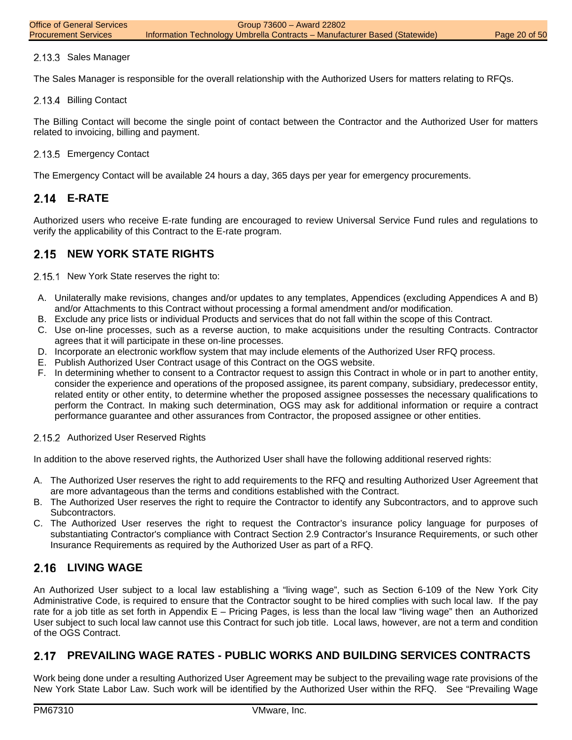#### 2.13.3 Sales Manager

The Sales Manager is responsible for the overall relationship with the Authorized Users for matters relating to RFQs.

#### 2.13.4 Billing Contact

The Billing Contact will become the single point of contact between the Contractor and the Authorized User for matters related to invoicing, billing and payment.

#### 2.13.5 Emergency Contact

The Emergency Contact will be available 24 hours a day, 365 days per year for emergency procurements.

#### **E-RATE**

Authorized users who receive E-rate funding are encouraged to review Universal Service Fund rules and regulations to verify the applicability of this Contract to the E-rate program.

### **2.15 NEW YORK STATE RIGHTS**

2.15.1 New York State reserves the right to:

- A. Unilaterally make revisions, changes and/or updates to any templates, Appendices (excluding Appendices A and B) and/or Attachments to this Contract without processing a formal amendment and/or modification.
- B. Exclude any price lists or individual Products and services that do not fall within the scope of this Contract.
- C. Use on-line processes, such as a reverse auction, to make acquisitions under the resulting Contracts. Contractor agrees that it will participate in these on-line processes.
- D. Incorporate an electronic workflow system that may include elements of the Authorized User RFQ process.
- E. Publish Authorized User Contract usage of this Contract on the OGS website.
- F. In determining whether to consent to a Contractor request to assign this Contract in whole or in part to another entity, consider the experience and operations of the proposed assignee, its parent company, subsidiary, predecessor entity, related entity or other entity, to determine whether the proposed assignee possesses the necessary qualifications to perform the Contract. In making such determination, OGS may ask for additional information or require a contract performance guarantee and other assurances from Contractor, the proposed assignee or other entities.
- 2.15.2 Authorized User Reserved Rights

In addition to the above reserved rights, the Authorized User shall have the following additional reserved rights:

- A. The Authorized User reserves the right to add requirements to the RFQ and resulting Authorized User Agreement that are more advantageous than the terms and conditions established with the Contract.
- B. The Authorized User reserves the right to require the Contractor to identify any Subcontractors, and to approve such Subcontractors.
- C. The Authorized User reserves the right to request the Contractor's insurance policy language for purposes of substantiating Contractor's compliance with Contract Section 2.9 Contractor's Insurance Requirements, or such other Insurance Requirements as required by the Authorized User as part of a RFQ.

### **LIVING WAGE**

An Authorized User subject to a local law establishing a "living wage", such as Section 6-109 of the New York City Administrative Code, is required to ensure that the Contractor sought to be hired complies with such local law. If the pay rate for a job title as set forth in Appendix E – Pricing Pages, is less than the local law "living wage" then an Authorized User subject to such local law cannot use this Contract for such job title. Local laws, however, are not a term and condition of the OGS Contract.

#### **PREVAILING WAGE RATES - PUBLIC WORKS AND BUILDING SERVICES CONTRACTS**

Work being done under a resulting Authorized User Agreement may be subject to the prevailing wage rate provisions of the New York State Labor Law. Such work will be identified by the Authorized User within the RFQ. See "Prevailing Wage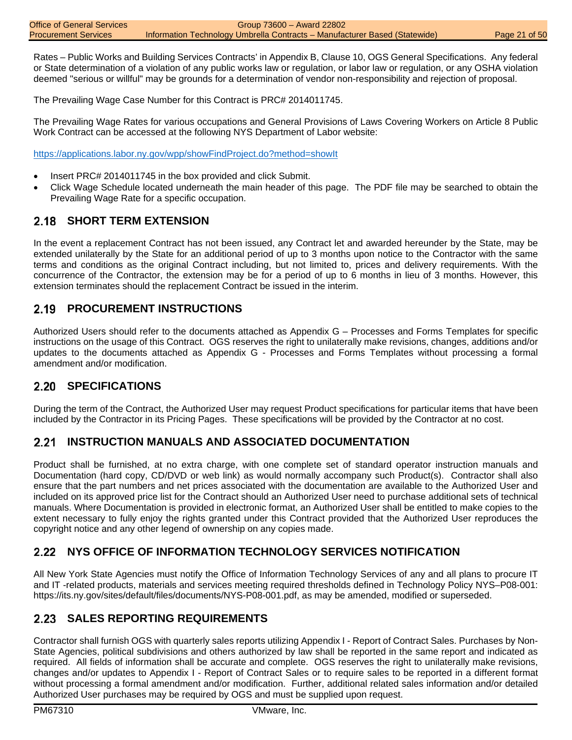| Office of General Services  | Group 73600 - Award 22802                                                  |               |
|-----------------------------|----------------------------------------------------------------------------|---------------|
| <b>Procurement Services</b> | Information Technology Umbrella Contracts – Manufacturer Based (Statewide) | Page 21 of 50 |

Rates – Public Works and Building Services Contracts' in Appendix B, Clause 10, OGS General Specifications. Any federal or State determination of a violation of any public works law or regulation, or labor law or regulation, or any OSHA violation deemed "serious or willful" may be grounds for a determination of vendor non-responsibility and rejection of proposal.

The Prevailing Wage Case Number for this Contract is PRC# 2014011745.

The Prevailing Wage Rates for various occupations and General Provisions of Laws Covering Workers on Article 8 Public Work Contract can be accessed at the following NYS Department of Labor website:

https://applications.labor.ny.gov/wpp/showFindProject.do?method=showIt

- Insert PRC# 2014011745 in the box provided and click Submit.
- Click Wage Schedule located underneath the main header of this page. The PDF file may be searched to obtain the Prevailing Wage Rate for a specific occupation.

### **2.18 SHORT TERM EXTENSION**

In the event a replacement Contract has not been issued, any Contract let and awarded hereunder by the State, may be extended unilaterally by the State for an additional period of up to 3 months upon notice to the Contractor with the same terms and conditions as the original Contract including, but not limited to, prices and delivery requirements. With the concurrence of the Contractor, the extension may be for a period of up to 6 months in lieu of 3 months. However, this extension terminates should the replacement Contract be issued in the interim.

### **2.19 PROCUREMENT INSTRUCTIONS**

Authorized Users should refer to the documents attached as Appendix G – Processes and Forms Templates for specific instructions on the usage of this Contract. OGS reserves the right to unilaterally make revisions, changes, additions and/or updates to the documents attached as Appendix G - Processes and Forms Templates without processing a formal amendment and/or modification.

### **SPECIFICATIONS**

During the term of the Contract, the Authorized User may request Product specifications for particular items that have been included by the Contractor in its Pricing Pages. These specifications will be provided by the Contractor at no cost.

### **INSTRUCTION MANUALS AND ASSOCIATED DOCUMENTATION**

Product shall be furnished, at no extra charge, with one complete set of standard operator instruction manuals and Documentation (hard copy, CD/DVD or web link) as would normally accompany such Product(s). Contractor shall also ensure that the part numbers and net prices associated with the documentation are available to the Authorized User and included on its approved price list for the Contract should an Authorized User need to purchase additional sets of technical manuals. Where Documentation is provided in electronic format, an Authorized User shall be entitled to make copies to the extent necessary to fully enjoy the rights granted under this Contract provided that the Authorized User reproduces the copyright notice and any other legend of ownership on any copies made.

### **2.22 NYS OFFICE OF INFORMATION TECHNOLOGY SERVICES NOTIFICATION**

All New York State Agencies must notify the Office of Information Technology Services of any and all plans to procure IT and IT -related products, materials and services meeting required thresholds defined in Technology Policy NYS–P08-001: https://its.ny.gov/sites/default/files/documents/NYS-P08-001.pdf, as may be amended, modified or superseded.

### **SALES REPORTING REQUIREMENTS**

Contractor shall furnish OGS with quarterly sales reports utilizing Appendix I - Report of Contract Sales. Purchases by Non-State Agencies, political subdivisions and others authorized by law shall be reported in the same report and indicated as required. All fields of information shall be accurate and complete. OGS reserves the right to unilaterally make revisions, changes and/or updates to Appendix I - Report of Contract Sales or to require sales to be reported in a different format without processing a formal amendment and/or modification. Further, additional related sales information and/or detailed Authorized User purchases may be required by OGS and must be supplied upon request.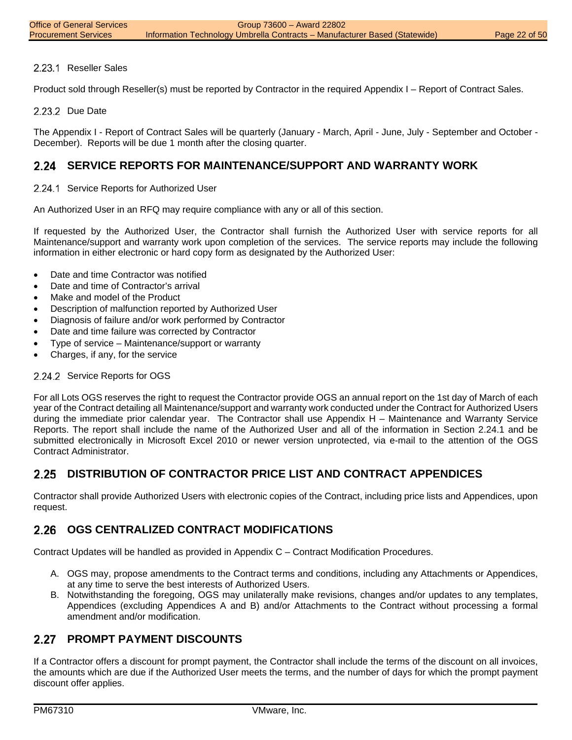#### 2.23.1 Reseller Sales

Product sold through Reseller(s) must be reported by Contractor in the required Appendix I – Report of Contract Sales.

2.23.2 Due Date

The Appendix I - Report of Contract Sales will be quarterly (January - March, April - June, July - September and October - December). Reports will be due 1 month after the closing quarter.

### **SERVICE REPORTS FOR MAINTENANCE/SUPPORT AND WARRANTY WORK**

2.24.1 Service Reports for Authorized User

An Authorized User in an RFQ may require compliance with any or all of this section.

If requested by the Authorized User, the Contractor shall furnish the Authorized User with service reports for all Maintenance/support and warranty work upon completion of the services. The service reports may include the following information in either electronic or hard copy form as designated by the Authorized User:

- Date and time Contractor was notified
- Date and time of Contractor's arrival
- Make and model of the Product
- Description of malfunction reported by Authorized User
- Diagnosis of failure and/or work performed by Contractor
- Date and time failure was corrected by Contractor
- Type of service Maintenance/support or warranty
- Charges, if any, for the service

#### 2.24.2 Service Reports for OGS

For all Lots OGS reserves the right to request the Contractor provide OGS an annual report on the 1st day of March of each year of the Contract detailing all Maintenance/support and warranty work conducted under the Contract for Authorized Users during the immediate prior calendar year. The Contractor shall use Appendix H – Maintenance and Warranty Service Reports. The report shall include the name of the Authorized User and all of the information in Section 2.24.1 and be submitted electronically in Microsoft Excel 2010 or newer version unprotected, via e-mail to the attention of the OGS Contract Administrator.

#### **DISTRIBUTION OF CONTRACTOR PRICE LIST AND CONTRACT APPENDICES**

Contractor shall provide Authorized Users with electronic copies of the Contract, including price lists and Appendices, upon request.

### **OGS CENTRALIZED CONTRACT MODIFICATIONS**

Contract Updates will be handled as provided in Appendix C – Contract Modification Procedures.

- A. OGS may, propose amendments to the Contract terms and conditions, including any Attachments or Appendices, at any time to serve the best interests of Authorized Users.
- B. Notwithstanding the foregoing, OGS may unilaterally make revisions, changes and/or updates to any templates, Appendices (excluding Appendices A and B) and/or Attachments to the Contract without processing a formal amendment and/or modification.

#### **PROMPT PAYMENT DISCOUNTS**

If a Contractor offers a discount for prompt payment, the Contractor shall include the terms of the discount on all invoices, the amounts which are due if the Authorized User meets the terms, and the number of days for which the prompt payment discount offer applies.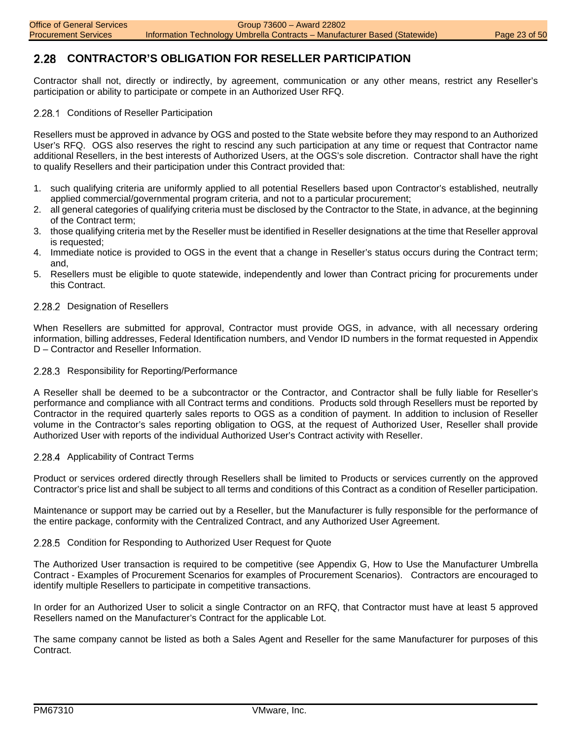### **CONTRACTOR'S OBLIGATION FOR RESELLER PARTICIPATION**

Contractor shall not, directly or indirectly, by agreement, communication or any other means, restrict any Reseller's participation or ability to participate or compete in an Authorized User RFQ.

2.28.1 Conditions of Reseller Participation

Resellers must be approved in advance by OGS and posted to the State website before they may respond to an Authorized User's RFQ. OGS also reserves the right to rescind any such participation at any time or request that Contractor name additional Resellers, in the best interests of Authorized Users, at the OGS's sole discretion. Contractor shall have the right to qualify Resellers and their participation under this Contract provided that:

- 1. such qualifying criteria are uniformly applied to all potential Resellers based upon Contractor's established, neutrally applied commercial/governmental program criteria, and not to a particular procurement;
- 2. all general categories of qualifying criteria must be disclosed by the Contractor to the State, in advance, at the beginning of the Contract term;
- 3. those qualifying criteria met by the Reseller must be identified in Reseller designations at the time that Reseller approval is requested;
- 4. Immediate notice is provided to OGS in the event that a change in Reseller's status occurs during the Contract term; and,
- 5. Resellers must be eligible to quote statewide, independently and lower than Contract pricing for procurements under this Contract.

#### 2.28.2 Designation of Resellers

When Resellers are submitted for approval, Contractor must provide OGS, in advance, with all necessary ordering information, billing addresses, Federal Identification numbers, and Vendor ID numbers in the format requested in Appendix D – Contractor and Reseller Information.

#### 2.28.3 Responsibility for Reporting/Performance

A Reseller shall be deemed to be a subcontractor or the Contractor, and Contractor shall be fully liable for Reseller's performance and compliance with all Contract terms and conditions. Products sold through Resellers must be reported by Contractor in the required quarterly sales reports to OGS as a condition of payment. In addition to inclusion of Reseller volume in the Contractor's sales reporting obligation to OGS, at the request of Authorized User, Reseller shall provide Authorized User with reports of the individual Authorized User's Contract activity with Reseller.

#### 2.28.4 Applicability of Contract Terms

Product or services ordered directly through Resellers shall be limited to Products or services currently on the approved Contractor's price list and shall be subject to all terms and conditions of this Contract as a condition of Reseller participation.

Maintenance or support may be carried out by a Reseller, but the Manufacturer is fully responsible for the performance of the entire package, conformity with the Centralized Contract, and any Authorized User Agreement.

#### 2.28.5 Condition for Responding to Authorized User Request for Quote

The Authorized User transaction is required to be competitive (see Appendix G, How to Use the Manufacturer Umbrella Contract - Examples of Procurement Scenarios for examples of Procurement Scenarios). Contractors are encouraged to identify multiple Resellers to participate in competitive transactions.

In order for an Authorized User to solicit a single Contractor on an RFQ, that Contractor must have at least 5 approved Resellers named on the Manufacturer's Contract for the applicable Lot.

The same company cannot be listed as both a Sales Agent and Reseller for the same Manufacturer for purposes of this Contract.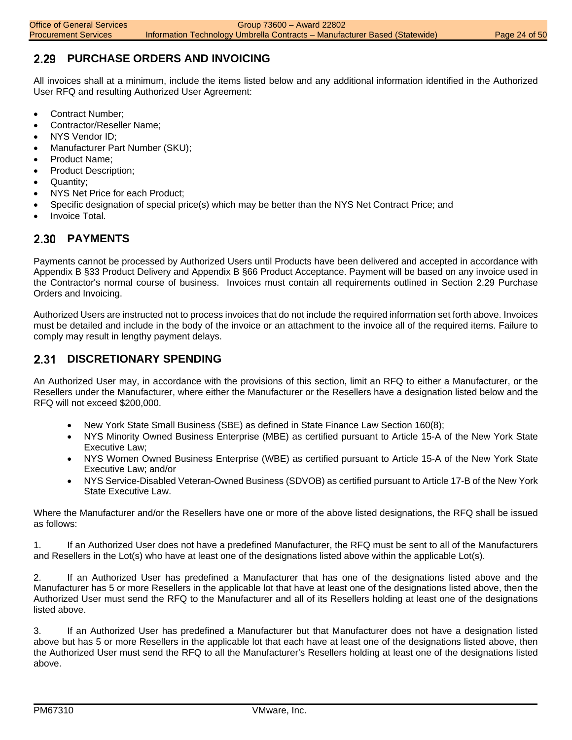### **PURCHASE ORDERS AND INVOICING**

All invoices shall at a minimum, include the items listed below and any additional information identified in the Authorized User RFQ and resulting Authorized User Agreement:

- Contract Number:
- Contractor/Reseller Name;
- NYS Vendor ID:
- Manufacturer Part Number (SKU);
- Product Name;
- Product Description;
- Quantity;
- NYS Net Price for each Product;
- Specific designation of special price(s) which may be better than the NYS Net Contract Price; and
- Invoice Total.

### **PAYMENTS**

Payments cannot be processed by Authorized Users until Products have been delivered and accepted in accordance with Appendix B §33 Product Delivery and Appendix B §66 Product Acceptance. Payment will be based on any invoice used in the Contractor's normal course of business. Invoices must contain all requirements outlined in Section 2.29 Purchase Orders and Invoicing.

Authorized Users are instructed not to process invoices that do not include the required information set forth above. Invoices must be detailed and include in the body of the invoice or an attachment to the invoice all of the required items. Failure to comply may result in lengthy payment delays.

### **DISCRETIONARY SPENDING**

An Authorized User may, in accordance with the provisions of this section, limit an RFQ to either a Manufacturer, or the Resellers under the Manufacturer, where either the Manufacturer or the Resellers have a designation listed below and the RFQ will not exceed \$200,000.

- New York State Small Business (SBE) as defined in State Finance Law Section 160(8);
- NYS Minority Owned Business Enterprise (MBE) as certified pursuant to Article 15-A of the New York State Executive Law;
- NYS Women Owned Business Enterprise (WBE) as certified pursuant to Article 15-A of the New York State Executive Law; and/or
- NYS Service-Disabled Veteran-Owned Business (SDVOB) as certified pursuant to Article 17-B of the New York State Executive Law.

Where the Manufacturer and/or the Resellers have one or more of the above listed designations, the RFQ shall be issued as follows:

1. If an Authorized User does not have a predefined Manufacturer, the RFQ must be sent to all of the Manufacturers and Resellers in the Lot(s) who have at least one of the designations listed above within the applicable Lot(s).

2. If an Authorized User has predefined a Manufacturer that has one of the designations listed above and the Manufacturer has 5 or more Resellers in the applicable lot that have at least one of the designations listed above, then the Authorized User must send the RFQ to the Manufacturer and all of its Resellers holding at least one of the designations listed above.

3. If an Authorized User has predefined a Manufacturer but that Manufacturer does not have a designation listed above but has 5 or more Resellers in the applicable lot that each have at least one of the designations listed above, then the Authorized User must send the RFQ to all the Manufacturer's Resellers holding at least one of the designations listed above.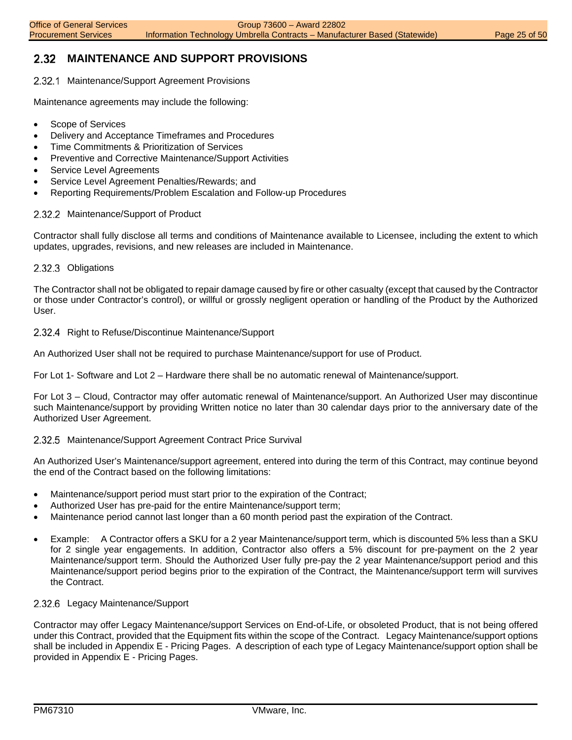### **MAINTENANCE AND SUPPORT PROVISIONS**

#### 2.32.1 Maintenance/Support Agreement Provisions

Maintenance agreements may include the following:

- Scope of Services
- Delivery and Acceptance Timeframes and Procedures
- Time Commitments & Prioritization of Services
- Preventive and Corrective Maintenance/Support Activities
- Service Level Agreements
- Service Level Agreement Penalties/Rewards; and
- Reporting Requirements/Problem Escalation and Follow-up Procedures

#### 2.32.2 Maintenance/Support of Product

Contractor shall fully disclose all terms and conditions of Maintenance available to Licensee, including the extent to which updates, upgrades, revisions, and new releases are included in Maintenance.

#### 2.32.3 Obligations

The Contractor shall not be obligated to repair damage caused by fire or other casualty (except that caused by the Contractor or those under Contractor's control), or willful or grossly negligent operation or handling of the Product by the Authorized User.

#### 2.32.4 Right to Refuse/Discontinue Maintenance/Support

An Authorized User shall not be required to purchase Maintenance/support for use of Product.

For Lot 1- Software and Lot 2 – Hardware there shall be no automatic renewal of Maintenance/support.

For Lot 3 – Cloud, Contractor may offer automatic renewal of Maintenance/support. An Authorized User may discontinue such Maintenance/support by providing Written notice no later than 30 calendar days prior to the anniversary date of the Authorized User Agreement.

#### 2.32.5 Maintenance/Support Agreement Contract Price Survival

An Authorized User's Maintenance/support agreement, entered into during the term of this Contract, may continue beyond the end of the Contract based on the following limitations:

- Maintenance/support period must start prior to the expiration of the Contract;
- Authorized User has pre-paid for the entire Maintenance/support term;
- Maintenance period cannot last longer than a 60 month period past the expiration of the Contract.
- Example: A Contractor offers a SKU for a 2 year Maintenance/support term, which is discounted 5% less than a SKU for 2 single year engagements. In addition, Contractor also offers a 5% discount for pre-payment on the 2 year Maintenance/support term. Should the Authorized User fully pre-pay the 2 year Maintenance/support period and this Maintenance/support period begins prior to the expiration of the Contract, the Maintenance/support term will survives the Contract.

#### 2.32.6 Legacy Maintenance/Support

Contractor may offer Legacy Maintenance/support Services on End-of-Life, or obsoleted Product, that is not being offered under this Contract, provided that the Equipment fits within the scope of the Contract. Legacy Maintenance/support options shall be included in Appendix E - Pricing Pages. A description of each type of Legacy Maintenance/support option shall be provided in Appendix E - Pricing Pages.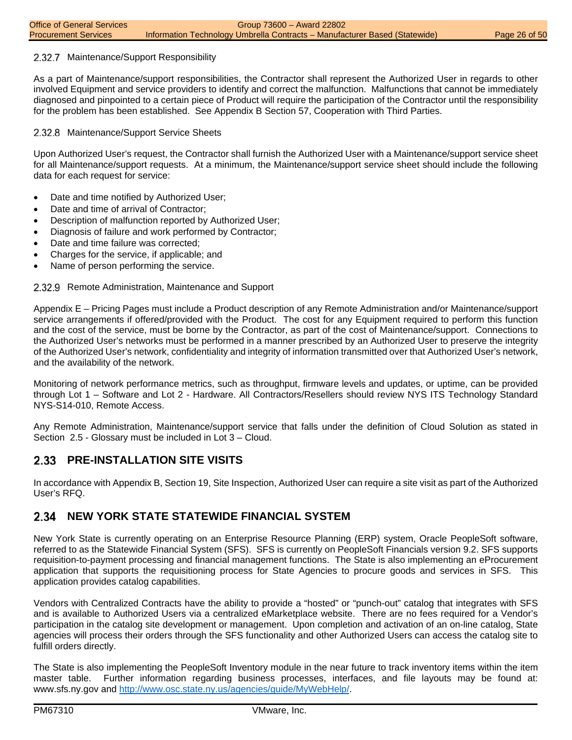#### 2.32.7 Maintenance/Support Responsibility

As a part of Maintenance/support responsibilities, the Contractor shall represent the Authorized User in regards to other involved Equipment and service providers to identify and correct the malfunction. Malfunctions that cannot be immediately diagnosed and pinpointed to a certain piece of Product will require the participation of the Contractor until the responsibility for the problem has been established. See Appendix B Section 57, Cooperation with Third Parties.

#### 2.32.8 Maintenance/Support Service Sheets

Upon Authorized User's request, the Contractor shall furnish the Authorized User with a Maintenance/support service sheet for all Maintenance/support requests. At a minimum, the Maintenance/support service sheet should include the following data for each request for service:

- Date and time notified by Authorized User;
- Date and time of arrival of Contractor;
- Description of malfunction reported by Authorized User;
- Diagnosis of failure and work performed by Contractor;
- Date and time failure was corrected;
- Charges for the service, if applicable; and
- Name of person performing the service.

#### 2.32.9 Remote Administration, Maintenance and Support

Appendix E – Pricing Pages must include a Product description of any Remote Administration and/or Maintenance/support service arrangements if offered/provided with the Product. The cost for any Equipment required to perform this function and the cost of the service, must be borne by the Contractor, as part of the cost of Maintenance/support. Connections to the Authorized User's networks must be performed in a manner prescribed by an Authorized User to preserve the integrity of the Authorized User's network, confidentiality and integrity of information transmitted over that Authorized User's network, and the availability of the network.

Monitoring of network performance metrics, such as throughput, firmware levels and updates, or uptime, can be provided through Lot 1 – Software and Lot 2 - Hardware. All Contractors/Resellers should review NYS ITS Technology Standard NYS-S14-010, Remote Access.

Any Remote Administration, Maintenance/support service that falls under the definition of Cloud Solution as stated in Section 2.5 - Glossary must be included in Lot 3 – Cloud.

#### **PRE-INSTALLATION SITE VISITS**

In accordance with Appendix B, Section 19, Site Inspection, Authorized User can require a site visit as part of the Authorized User's RFQ.

#### **NEW YORK STATE STATEWIDE FINANCIAL SYSTEM**

New York State is currently operating on an Enterprise Resource Planning (ERP) system, Oracle PeopleSoft software, referred to as the Statewide Financial System (SFS). SFS is currently on PeopleSoft Financials version 9.2. SFS supports requisition-to-payment processing and financial management functions. The State is also implementing an eProcurement application that supports the requisitioning process for State Agencies to procure goods and services in SFS. This application provides catalog capabilities.

Vendors with Centralized Contracts have the ability to provide a "hosted" or "punch-out" catalog that integrates with SFS and is available to Authorized Users via a centralized eMarketplace website. There are no fees required for a Vendor's participation in the catalog site development or management. Upon completion and activation of an on-line catalog, State agencies will process their orders through the SFS functionality and other Authorized Users can access the catalog site to fulfill orders directly.

The State is also implementing the PeopleSoft Inventory module in the near future to track inventory items within the item master table. Further information regarding business processes, interfaces, and file layouts may be found at: www.sfs.ny.gov and http://www.osc.state.ny.us/agencies/guide/MyWebHelp/.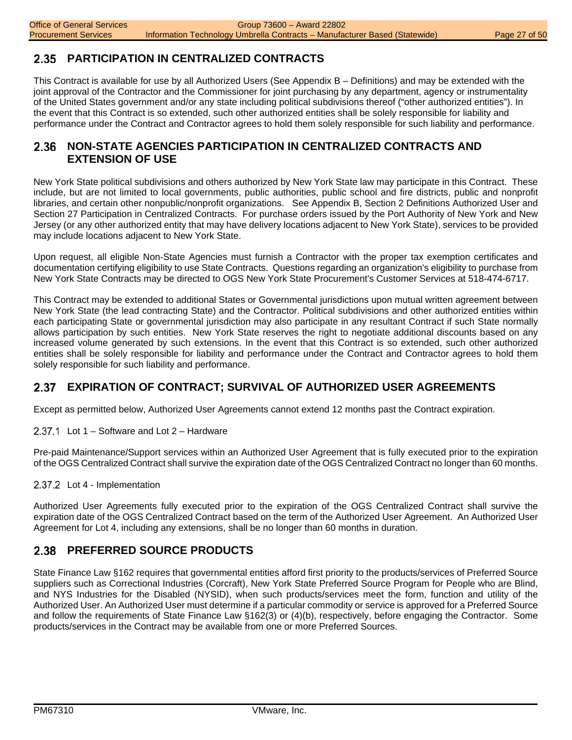### **PARTICIPATION IN CENTRALIZED CONTRACTS**

This Contract is available for use by all Authorized Users (See Appendix B – Definitions) and may be extended with the joint approval of the Contractor and the Commissioner for joint purchasing by any department, agency or instrumentality of the United States government and/or any state including political subdivisions thereof ("other authorized entities"). In the event that this Contract is so extended, such other authorized entities shall be solely responsible for liability and performance under the Contract and Contractor agrees to hold them solely responsible for such liability and performance.

### **NON-STATE AGENCIES PARTICIPATION IN CENTRALIZED CONTRACTS AND EXTENSION OF USE**

New York State political subdivisions and others authorized by New York State law may participate in this Contract. These include, but are not limited to local governments, public authorities, public school and fire districts, public and nonprofit libraries, and certain other nonpublic/nonprofit organizations. See Appendix B, Section 2 Definitions Authorized User and Section 27 Participation in Centralized Contracts. For purchase orders issued by the Port Authority of New York and New Jersey (or any other authorized entity that may have delivery locations adjacent to New York State), services to be provided may include locations adjacent to New York State.

Upon request, all eligible Non-State Agencies must furnish a Contractor with the proper tax exemption certificates and documentation certifying eligibility to use State Contracts. Questions regarding an organization's eligibility to purchase from New York State Contracts may be directed to OGS New York State Procurement's Customer Services at 518-474-6717.

This Contract may be extended to additional States or Governmental jurisdictions upon mutual written agreement between New York State (the lead contracting State) and the Contractor. Political subdivisions and other authorized entities within each participating State or governmental jurisdiction may also participate in any resultant Contract if such State normally allows participation by such entities. New York State reserves the right to negotiate additional discounts based on any increased volume generated by such extensions. In the event that this Contract is so extended, such other authorized entities shall be solely responsible for liability and performance under the Contract and Contractor agrees to hold them solely responsible for such liability and performance.

### **EXPIRATION OF CONTRACT; SURVIVAL OF AUTHORIZED USER AGREEMENTS**

Except as permitted below, Authorized User Agreements cannot extend 12 months past the Contract expiration.

2.37.1 Lot  $1 -$  Software and Lot  $2 -$  Hardware

Pre-paid Maintenance/Support services within an Authorized User Agreement that is fully executed prior to the expiration of the OGS Centralized Contract shall survive the expiration date of the OGS Centralized Contract no longer than 60 months.

#### 2.37.2 Lot 4 - Implementation

Authorized User Agreements fully executed prior to the expiration of the OGS Centralized Contract shall survive the expiration date of the OGS Centralized Contract based on the term of the Authorized User Agreement. An Authorized User Agreement for Lot 4, including any extensions, shall be no longer than 60 months in duration.

### **PREFERRED SOURCE PRODUCTS**

State Finance Law §162 requires that governmental entities afford first priority to the products/services of Preferred Source suppliers such as Correctional Industries (Corcraft), New York State Preferred Source Program for People who are Blind, and NYS Industries for the Disabled (NYSID), when such products/services meet the form, function and utility of the Authorized User. An Authorized User must determine if a particular commodity or service is approved for a Preferred Source and follow the requirements of State Finance Law §162(3) or (4)(b), respectively, before engaging the Contractor. Some products/services in the Contract may be available from one or more Preferred Sources.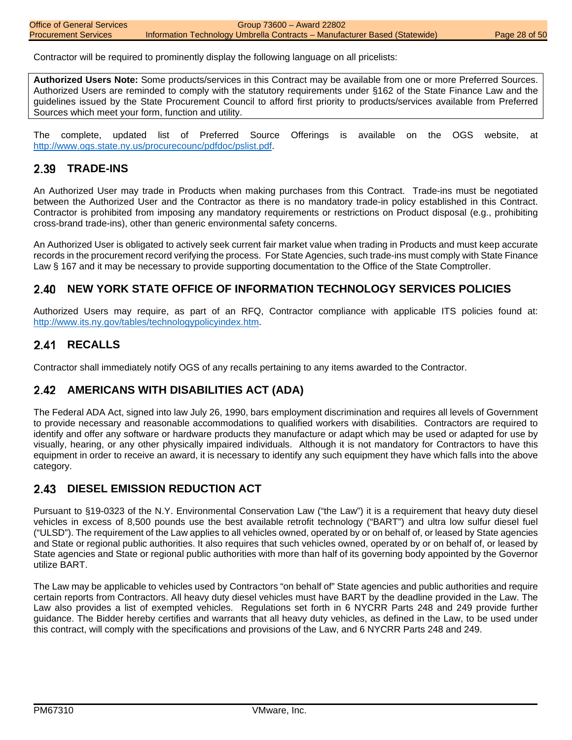| Office of General Services  | Group 73600 - Award 22802                                                         |               |  |  |
|-----------------------------|-----------------------------------------------------------------------------------|---------------|--|--|
| <b>Procurement Services</b> | <b>Information Technology Umbrella Contracts - Manufacturer Based (Statewide)</b> | Page 28 of 50 |  |  |

Contractor will be required to prominently display the following language on all pricelists:

**Authorized Users Note:** Some products/services in this Contract may be available from one or more Preferred Sources. Authorized Users are reminded to comply with the statutory requirements under §162 of the State Finance Law and the guidelines issued by the State Procurement Council to afford first priority to products/services available from Preferred Sources which meet your form, function and utility.

The complete, updated list of Preferred Source Offerings is available on the OGS website, at http://www.ogs.state.ny.us/procurecounc/pdfdoc/pslist.pdf.

#### **TRADE-INS**

An Authorized User may trade in Products when making purchases from this Contract. Trade-ins must be negotiated between the Authorized User and the Contractor as there is no mandatory trade-in policy established in this Contract. Contractor is prohibited from imposing any mandatory requirements or restrictions on Product disposal (e.g., prohibiting cross-brand trade-ins), other than generic environmental safety concerns.

An Authorized User is obligated to actively seek current fair market value when trading in Products and must keep accurate records in the procurement record verifying the process. For State Agencies, such trade-ins must comply with State Finance Law § 167 and it may be necessary to provide supporting documentation to the Office of the State Comptroller.

### **NEW YORK STATE OFFICE OF INFORMATION TECHNOLOGY SERVICES POLICIES**

Authorized Users may require, as part of an RFQ, Contractor compliance with applicable ITS policies found at: http://www.its.ny.gov/tables/technologypolicyindex.htm.

### **RECALLS**

Contractor shall immediately notify OGS of any recalls pertaining to any items awarded to the Contractor.

### **AMERICANS WITH DISABILITIES ACT (ADA)**

The Federal ADA Act, signed into law July 26, 1990, bars employment discrimination and requires all levels of Government to provide necessary and reasonable accommodations to qualified workers with disabilities. Contractors are required to identify and offer any software or hardware products they manufacture or adapt which may be used or adapted for use by visually, hearing, or any other physically impaired individuals. Although it is not mandatory for Contractors to have this equipment in order to receive an award, it is necessary to identify any such equipment they have which falls into the above category.

### **2.43 DIESEL EMISSION REDUCTION ACT**

Pursuant to §19-0323 of the N.Y. Environmental Conservation Law ("the Law") it is a requirement that heavy duty diesel vehicles in excess of 8,500 pounds use the best available retrofit technology ("BART") and ultra low sulfur diesel fuel ("ULSD"). The requirement of the Law applies to all vehicles owned, operated by or on behalf of, or leased by State agencies and State or regional public authorities. It also requires that such vehicles owned, operated by or on behalf of, or leased by State agencies and State or regional public authorities with more than half of its governing body appointed by the Governor utilize BART.

The Law may be applicable to vehicles used by Contractors "on behalf of" State agencies and public authorities and require certain reports from Contractors. All heavy duty diesel vehicles must have BART by the deadline provided in the Law. The Law also provides a list of exempted vehicles. Regulations set forth in 6 NYCRR Parts 248 and 249 provide further guidance. The Bidder hereby certifies and warrants that all heavy duty vehicles, as defined in the Law, to be used under this contract, will comply with the specifications and provisions of the Law, and 6 NYCRR Parts 248 and 249.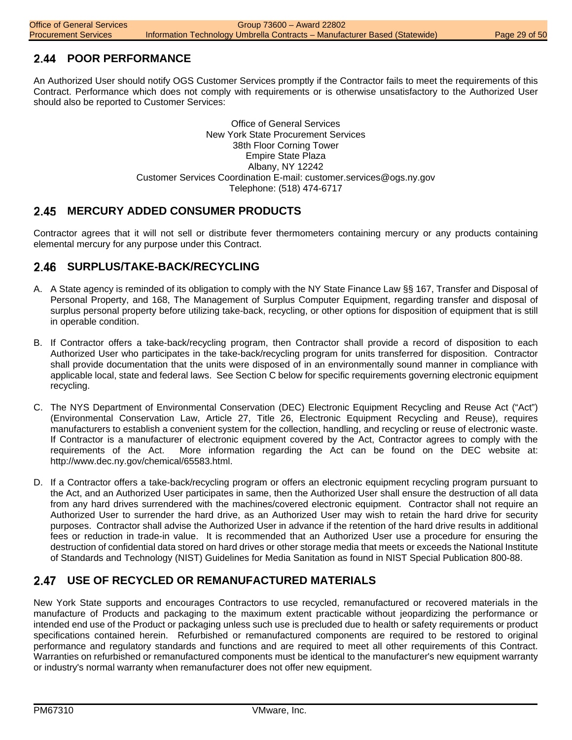An Authorized User should notify OGS Customer Services promptly if the Contractor fails to meet the requirements of this Contract. Performance which does not comply with requirements or is otherwise unsatisfactory to the Authorized User should also be reported to Customer Services:

> Office of General Services New York State Procurement Services 38th Floor Corning Tower Empire State Plaza Albany, NY 12242 Customer Services CoordinationE-mail: customer.services@ogs.ny.gov Telephone: (518) 474-6717

### **2.45 MERCURY ADDED CONSUMER PRODUCTS**

Contractor agrees that it will not sell or distribute fever thermometers containing mercury or any products containing elemental mercury for any purpose under this Contract.

### **SURPLUS/TAKE-BACK/RECYCLING**

- A. A State agency is reminded of its obligation to comply with the NY State Finance Law §§ 167, Transfer and Disposal of Personal Property, and 168, The Management of Surplus Computer Equipment, regarding transfer and disposal of surplus personal property before utilizing take-back, recycling, or other options for disposition of equipment that is still in operable condition.
- B. If Contractor offers a take-back/recycling program, then Contractor shall provide a record of disposition to each Authorized User who participates in the take-back/recycling program for units transferred for disposition. Contractor shall provide documentation that the units were disposed of in an environmentally sound manner in compliance with applicable local, state and federal laws. See Section C below for specific requirements governing electronic equipment recycling.
- C. The NYS Department of Environmental Conservation (DEC) Electronic Equipment Recycling and Reuse Act ("Act") (Environmental Conservation Law, Article 27, Title 26, Electronic Equipment Recycling and Reuse), requires manufacturers to establish a convenient system for the collection, handling, and recycling or reuse of electronic waste. If Contractor is a manufacturer of electronic equipment covered by the Act, Contractor agrees to comply with the requirements of the Act. More information regarding the Act can be found on the DEC website at: http://www.dec.ny.gov/chemical/65583.html.
- D. If a Contractor offers a take-back/recycling program or offers an electronic equipment recycling program pursuant to the Act, and an Authorized User participates in same, then the Authorized User shall ensure the destruction of all data from any hard drives surrendered with the machines/covered electronic equipment. Contractor shall not require an Authorized User to surrender the hard drive, as an Authorized User may wish to retain the hard drive for security purposes. Contractor shall advise the Authorized User in advance if the retention of the hard drive results in additional fees or reduction in trade-in value. It is recommended that an Authorized User use a procedure for ensuring the destruction of confidential data stored on hard drives or other storage media that meets or exceeds the National Institute of Standards and Technology (NIST) Guidelines for Media Sanitation as found in NIST Special Publication 800-88.

### **USE OF RECYCLED OR REMANUFACTURED MATERIALS**

New York State supports and encourages Contractors to use recycled, remanufactured or recovered materials in the manufacture of Products and packaging to the maximum extent practicable without jeopardizing the performance or intended end use of the Product or packaging unless such use is precluded due to health or safety requirements or product specifications contained herein. Refurbished or remanufactured components are required to be restored to original performance and regulatory standards and functions and are required to meet all other requirements of this Contract. Warranties on refurbished or remanufactured components must be identical to the manufacturer's new equipment warranty or industry's normal warranty when remanufacturer does not offer new equipment.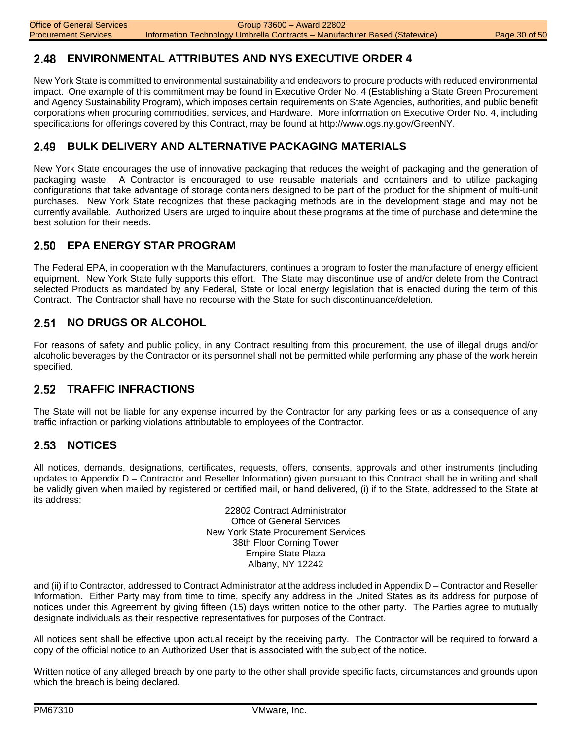### **ENVIRONMENTAL ATTRIBUTES AND NYS EXECUTIVE ORDER 4**

New York State is committed to environmental sustainability and endeavors to procure products with reduced environmental impact. One example of this commitment may be found in Executive Order No. 4 (Establishing a State Green Procurement and Agency Sustainability Program), which imposes certain requirements on State Agencies, authorities, and public benefit corporations when procuring commodities, services, and Hardware. More information on Executive Order No. 4, including specifications for offerings covered by this Contract, may be found at http://www.ogs.ny.gov/GreenNY.

#### **BULK DELIVERY AND ALTERNATIVE PACKAGING MATERIALS**

New York State encourages the use of innovative packaging that reduces the weight of packaging and the generation of packaging waste. A Contractor is encouraged to use reusable materials and containers and to utilize packaging configurations that take advantage of storage containers designed to be part of the product for the shipment of multi-unit purchases. New York State recognizes that these packaging methods are in the development stage and may not be currently available. Authorized Users are urged to inquire about these programs at the time of purchase and determine the best solution for their needs.

#### **2.50 EPA ENERGY STAR PROGRAM**

The Federal EPA, in cooperation with the Manufacturers, continues a program to foster the manufacture of energy efficient equipment. New York State fully supports this effort. The State may discontinue use of and/or delete from the Contract selected Products as mandated by any Federal, State or local energy legislation that is enacted during the term of this Contract. The Contractor shall have no recourse with the State for such discontinuance/deletion.

#### **2.51 NO DRUGS OR ALCOHOL**

For reasons of safety and public policy, in any Contract resulting from this procurement, the use of illegal drugs and/or alcoholic beverages by the Contractor or its personnel shall not be permitted while performing any phase of the work herein specified.

#### **2.52 TRAFFIC INFRACTIONS**

The State will not be liable for any expense incurred by the Contractor for any parking fees or as a consequence of any traffic infraction or parking violations attributable to employees of the Contractor.

### **NOTICES**

All notices, demands, designations, certificates, requests, offers, consents, approvals and other instruments (including updates to Appendix D – Contractor and Reseller Information) given pursuant to this Contract shall be in writing and shall be validly given when mailed by registered or certified mail, or hand delivered, (i) if to the State, addressed to the State at its address:

> 22802 Contract Administrator Office of General Services New York State Procurement Services 38th Floor Corning Tower Empire State Plaza Albany, NY 12242

and (ii) if to Contractor, addressed to Contract Administrator at the address included in Appendix D – Contractor and Reseller Information. Either Party may from time to time, specify any address in the United States as its address for purpose of notices under this Agreement by giving fifteen (15) days written notice to the other party. The Parties agree to mutually designate individuals as their respective representatives for purposes of the Contract.

All notices sent shall be effective upon actual receipt by the receiving party. The Contractor will be required to forward a copy of the official notice to an Authorized User that is associated with the subject of the notice.

Written notice of any alleged breach by one party to the other shall provide specific facts, circumstances and grounds upon which the breach is being declared.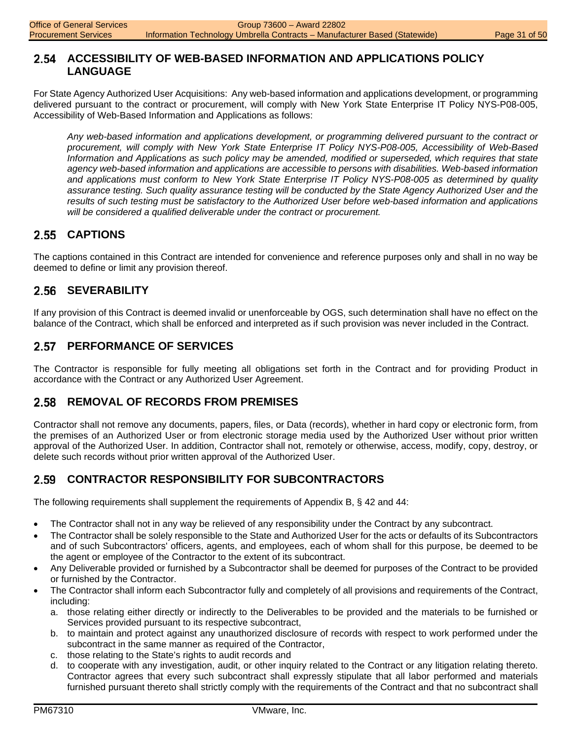### **ACCESSIBILITY OF WEB-BASED INFORMATION AND APPLICATIONS POLICY LANGUAGE**

For State Agency Authorized User Acquisitions: Any web-based information and applications development, or programming delivered pursuant to the contract or procurement, will comply with New York State Enterprise IT Policy NYS-P08-005, Accessibility of Web-Based Information and Applications as follows:

*Any web-based information and applications development, or programming delivered pursuant to the contract or procurement, will comply with New York State Enterprise IT Policy NYS-P08-005, Accessibility of Web-Based Information and Applications as such policy may be amended, modified or superseded, which requires that state agency web-based information and applications are accessible to persons with disabilities. Web-based information and applications must conform to New York State Enterprise IT Policy NYS-P08-005 as determined by quality assurance testing. Such quality assurance testing will be conducted by the State Agency Authorized User and the results of such testing must be satisfactory to the Authorized User before web-based information and applications will be considered a qualified deliverable under the contract or procurement.* 

### **CAPTIONS**

The captions contained in this Contract are intended for convenience and reference purposes only and shall in no way be deemed to define or limit any provision thereof.

### **SEVERABILITY**

If any provision of this Contract is deemed invalid or unenforceable by OGS, such determination shall have no effect on the balance of the Contract, which shall be enforced and interpreted as if such provision was never included in the Contract.

### **2.57 PERFORMANCE OF SERVICES**

The Contractor is responsible for fully meeting all obligations set forth in the Contract and for providing Product in accordance with the Contract or any Authorized User Agreement.

#### **2.58 REMOVAL OF RECORDS FROM PREMISES**

Contractor shall not remove any documents, papers, files, or Data (records), whether in hard copy or electronic form, from the premises of an Authorized User or from electronic storage media used by the Authorized User without prior written approval of the Authorized User. In addition, Contractor shall not, remotely or otherwise, access, modify, copy, destroy, or delete such records without prior written approval of the Authorized User.

### **CONTRACTOR RESPONSIBILITY FOR SUBCONTRACTORS**

The following requirements shall supplement the requirements of Appendix B, § 42 and 44:

- The Contractor shall not in any way be relieved of any responsibility under the Contract by any subcontract.
- The Contractor shall be solely responsible to the State and Authorized User for the acts or defaults of its Subcontractors and of such Subcontractors' officers, agents, and employees, each of whom shall for this purpose, be deemed to be the agent or employee of the Contractor to the extent of its subcontract.
- Any Deliverable provided or furnished by a Subcontractor shall be deemed for purposes of the Contract to be provided or furnished by the Contractor.
- The Contractor shall inform each Subcontractor fully and completely of all provisions and requirements of the Contract, including:
	- a. those relating either directly or indirectly to the Deliverables to be provided and the materials to be furnished or Services provided pursuant to its respective subcontract,
	- b. to maintain and protect against any unauthorized disclosure of records with respect to work performed under the subcontract in the same manner as required of the Contractor,
	- c. those relating to the State's rights to audit records and
	- d. to cooperate with any investigation, audit, or other inquiry related to the Contract or any litigation relating thereto. Contractor agrees that every such subcontract shall expressly stipulate that all labor performed and materials furnished pursuant thereto shall strictly comply with the requirements of the Contract and that no subcontract shall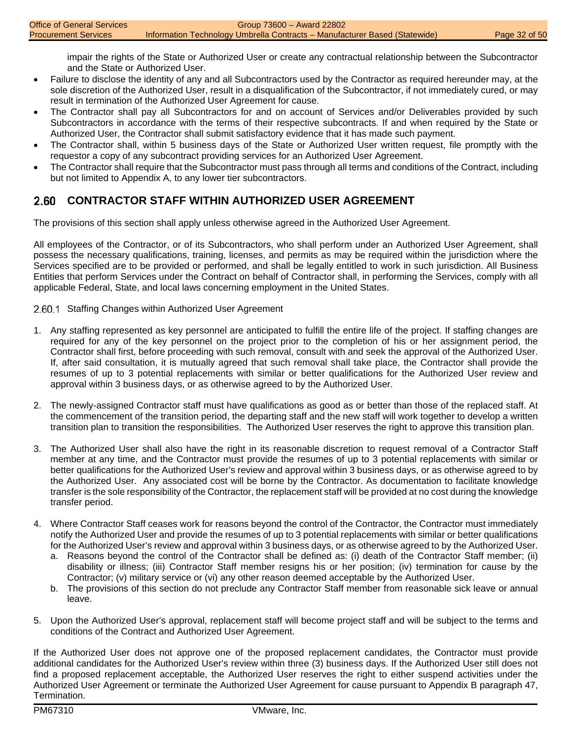impair the rights of the State or Authorized User or create any contractual relationship between the Subcontractor and the State or Authorized User.

- Failure to disclose the identity of any and all Subcontractors used by the Contractor as required hereunder may, at the sole discretion of the Authorized User, result in a disqualification of the Subcontractor, if not immediately cured, or may result in termination of the Authorized User Agreement for cause.
- The Contractor shall pay all Subcontractors for and on account of Services and/or Deliverables provided by such Subcontractors in accordance with the terms of their respective subcontracts. If and when required by the State or Authorized User, the Contractor shall submit satisfactory evidence that it has made such payment.
- The Contractor shall, within 5 business days of the State or Authorized User written request, file promptly with the requestor a copy of any subcontract providing services for an Authorized User Agreement.
- The Contractor shall require that the Subcontractor must pass through all terms and conditions of the Contract, including but not limited to Appendix A, to any lower tier subcontractors.

### **CONTRACTOR STAFF WITHIN AUTHORIZED USER AGREEMENT**

The provisions of this section shall apply unless otherwise agreed in the Authorized User Agreement.

All employees of the Contractor, or of its Subcontractors, who shall perform under an Authorized User Agreement, shall possess the necessary qualifications, training, licenses, and permits as may be required within the jurisdiction where the Services specified are to be provided or performed, and shall be legally entitled to work in such jurisdiction. All Business Entities that perform Services under the Contract on behalf of Contractor shall, in performing the Services, comply with all applicable Federal, State, and local laws concerning employment in the United States.

#### 2.60.1 Staffing Changes within Authorized User Agreement

- 1. Any staffing represented as key personnel are anticipated to fulfill the entire life of the project. If staffing changes are required for any of the key personnel on the project prior to the completion of his or her assignment period, the Contractor shall first, before proceeding with such removal, consult with and seek the approval of the Authorized User. If, after said consultation, it is mutually agreed that such removal shall take place, the Contractor shall provide the resumes of up to 3 potential replacements with similar or better qualifications for the Authorized User review and approval within 3 business days, or as otherwise agreed to by the Authorized User.
- 2. The newly-assigned Contractor staff must have qualifications as good as or better than those of the replaced staff. At the commencement of the transition period, the departing staff and the new staff will work together to develop a written transition plan to transition the responsibilities. The Authorized User reserves the right to approve this transition plan.
- 3. The Authorized User shall also have the right in its reasonable discretion to request removal of a Contractor Staff member at any time, and the Contractor must provide the resumes of up to 3 potential replacements with similar or better qualifications for the Authorized User's review and approval within 3 business days, or as otherwise agreed to by the Authorized User. Any associated cost will be borne by the Contractor. As documentation to facilitate knowledge transfer is the sole responsibility of the Contractor, the replacement staff will be provided at no cost during the knowledge transfer period.
- 4. Where Contractor Staff ceases work for reasons beyond the control of the Contractor, the Contractor must immediately notify the Authorized User and provide the resumes of up to 3 potential replacements with similar or better qualifications for the Authorized User's review and approval within 3 business days, or as otherwise agreed to by the Authorized User.
	- a. Reasons beyond the control of the Contractor shall be defined as: (i) death of the Contractor Staff member; (ii) disability or illness; (iii) Contractor Staff member resigns his or her position; (iv) termination for cause by the Contractor; (v) military service or (vi) any other reason deemed acceptable by the Authorized User.
	- b. The provisions of this section do not preclude any Contractor Staff member from reasonable sick leave or annual leave.
- 5. Upon the Authorized User's approval, replacement staff will become project staff and will be subject to the terms and conditions of the Contract and Authorized User Agreement.

If the Authorized User does not approve one of the proposed replacement candidates, the Contractor must provide additional candidates for the Authorized User's review within three (3) business days. If the Authorized User still does not find a proposed replacement acceptable, the Authorized User reserves the right to either suspend activities under the Authorized User Agreement or terminate the Authorized User Agreement for cause pursuant to Appendix B paragraph 47, Termination.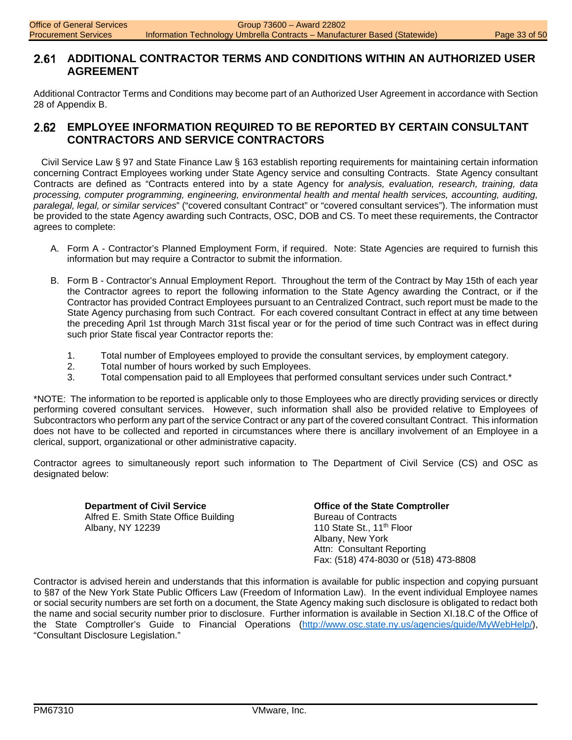#### **ADDITIONAL CONTRACTOR TERMS AND CONDITIONS WITHIN AN AUTHORIZED USER AGREEMENT**

Additional Contractor Terms and Conditions may become part of an Authorized User Agreement in accordance with Section 28 of Appendix B.

#### **EMPLOYEE INFORMATION REQUIRED TO BE REPORTED BY CERTAIN CONSULTANT CONTRACTORS AND SERVICE CONTRACTORS**

 Civil Service Law § 97 and State Finance Law § 163 establish reporting requirements for maintaining certain information concerning Contract Employees working under State Agency service and consulting Contracts. State Agency consultant Contracts are defined as "Contracts entered into by a state Agency for *analysis, evaluation, research, training, data processing, computer programming, engineering, environmental health and mental health services, accounting, auditing, paralegal, legal, or similar services*" ("covered consultant Contract" or "covered consultant services"). The information must be provided to the state Agency awarding such Contracts, OSC, DOB and CS. To meet these requirements, the Contractor agrees to complete:

- A. Form A Contractor's Planned Employment Form, if required. Note: State Agencies are required to furnish this information but may require a Contractor to submit the information.
- B. Form B Contractor's Annual Employment Report. Throughout the term of the Contract by May 15th of each year the Contractor agrees to report the following information to the State Agency awarding the Contract, or if the Contractor has provided Contract Employees pursuant to an Centralized Contract, such report must be made to the State Agency purchasing from such Contract. For each covered consultant Contract in effect at any time between the preceding April 1st through March 31st fiscal year or for the period of time such Contract was in effect during such prior State fiscal year Contractor reports the:
	- 1. Total number of Employees employed to provide the consultant services, by employment category.
	- 2. Total number of hours worked by such Employees.
	- 3. Total compensation paid to all Employees that performed consultant services under such Contract.\*

\*NOTE: The information to be reported is applicable only to those Employees who are directly providing services or directly performing covered consultant services. However, such information shall also be provided relative to Employees of Subcontractors who perform any part of the service Contract or any part of the covered consultant Contract. This information does not have to be collected and reported in circumstances where there is ancillary involvement of an Employee in a clerical, support, organizational or other administrative capacity.

Contractor agrees to simultaneously report such information to The Department of Civil Service (CS) and OSC as designated below:

**Department of Civil Service**  Alfred E. Smith State Office Building Albany, NY 12239

**Office of the State Comptroller** Bureau of Contracts 110 State St., 11<sup>th</sup> Floor Albany, New York Attn: Consultant Reporting Fax: (518) 474-8030 or (518) 473-8808

Contractor is advised herein and understands that this information is available for public inspection and copying pursuant to §87 of the New York State Public Officers Law (Freedom of Information Law). In the event individual Employee names or social security numbers are set forth on a document, the State Agency making such disclosure is obligated to redact both the name and social security number prior to disclosure. Further information is available in Section XI.18.C of the Office of the State Comptroller's Guide to Financial Operations (http://www.osc.state.ny.us/agencies/guide/MyWebHelp/), "Consultant Disclosure Legislation."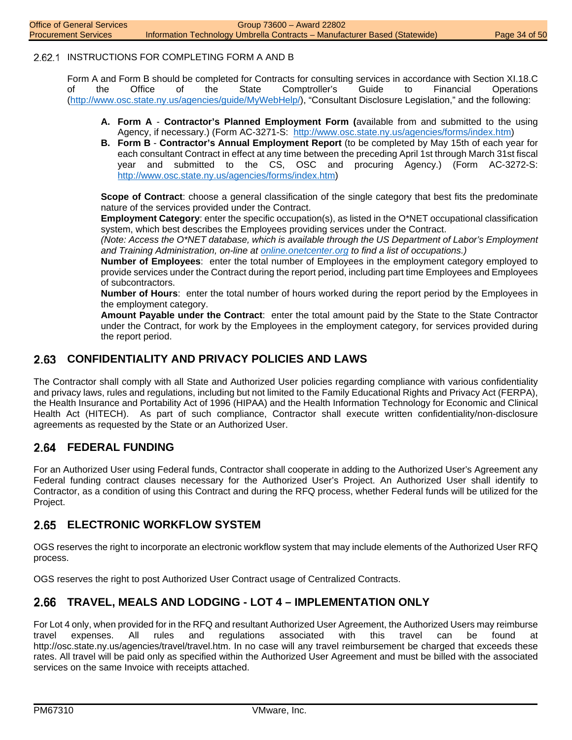#### 2.62.1 INSTRUCTIONS FOR COMPLETING FORM A AND B

Form A and Form B should be completed for Contracts for consulting services in accordance with Section XI.18.C of the Office of the State Comptroller's Guide to Financial Operations (http://www.osc.state.ny.us/agencies/guide/MyWebHelp/), "Consultant Disclosure Legislation," and the following:

- **A. Form A Contractor's Planned Employment Form (**available from and submitted to the using Agency, if necessary.) (Form AC-3271-S: http://www.osc.state.ny.us/agencies/forms/index.htm)
- **B. Form B Contractor's Annual Employment Report** (to be completed by May 15th of each year for each consultant Contract in effect at any time between the preceding April 1st through March 31st fiscal year and submitted to the CS, OSC and procuring Agency.) (Form AC-3272-S: http://www.osc.state.ny.us/agencies/forms/index.htm)

**Scope of Contract**: choose a general classification of the single category that best fits the predominate nature of the services provided under the Contract.

**Employment Category**: enter the specific occupation(s), as listed in the O\*NET occupational classification system, which best describes the Employees providing services under the Contract.

*(Note: Access the O\*NET database, which is available through the US Department of Labor's Employment and Training Administration, on-line at online.onetcenter.org to find a list of occupations.)* 

**Number of Employees**: enter the total number of Employees in the employment category employed to provide services under the Contract during the report period, including part time Employees and Employees of subcontractors.

**Number of Hours**: enter the total number of hours worked during the report period by the Employees in the employment category.

**Amount Payable under the Contract**: enter the total amount paid by the State to the State Contractor under the Contract, for work by the Employees in the employment category, for services provided during the report period.

### **CONFIDENTIALITY AND PRIVACY POLICIES AND LAWS**

The Contractor shall comply with all State and Authorized User policies regarding compliance with various confidentiality and privacy laws, rules and regulations, including but not limited to the Family Educational Rights and Privacy Act (FERPA), the Health Insurance and Portability Act of 1996 (HIPAA) and the Health Information Technology for Economic and Clinical Health Act (HITECH). As part of such compliance, Contractor shall execute written confidentiality/non-disclosure agreements as requested by the State or an Authorized User.

### **FEDERAL FUNDING**

For an Authorized User using Federal funds, Contractor shall cooperate in adding to the Authorized User's Agreement any Federal funding contract clauses necessary for the Authorized User's Project. An Authorized User shall identify to Contractor, as a condition of using this Contract and during the RFQ process, whether Federal funds will be utilized for the Project.

### **ELECTRONIC WORKFLOW SYSTEM**

OGS reserves the right to incorporate an electronic workflow system that may include elements of the Authorized User RFQ process.

OGS reserves the right to post Authorized User Contract usage of Centralized Contracts.

### **TRAVEL, MEALS AND LODGING - LOT 4 – IMPLEMENTATION ONLY**

For Lot 4 only, when provided for in the RFQ and resultant Authorized User Agreement, the Authorized Users may reimburse travel expenses. All rules and regulations associated with this travel can be found at http://osc.state.ny.us/agencies/travel/travel.htm. In no case will any travel reimbursement be charged that exceeds these rates. All travel will be paid only as specified within the Authorized User Agreement and must be billed with the associated services on the same Invoice with receipts attached.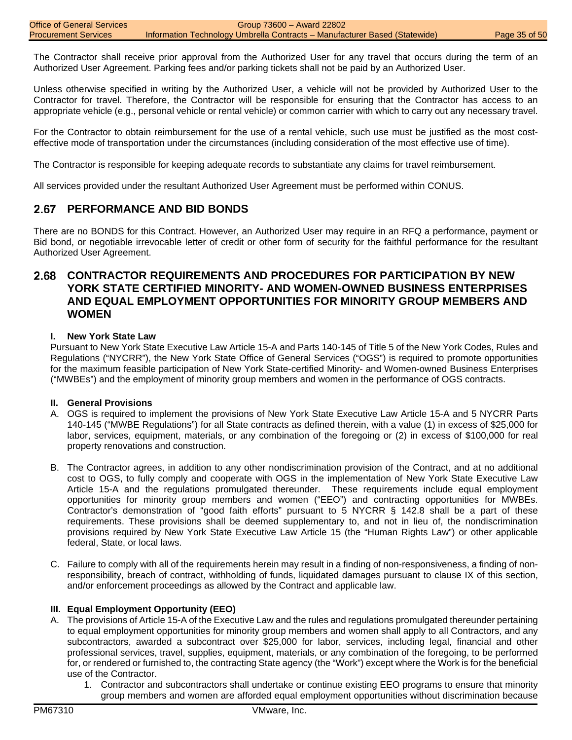The Contractor shall receive prior approval from the Authorized User for any travel that occurs during the term of an Authorized User Agreement. Parking fees and/or parking tickets shall not be paid by an Authorized User.

Unless otherwise specified in writing by the Authorized User, a vehicle will not be provided by Authorized User to the Contractor for travel. Therefore, the Contractor will be responsible for ensuring that the Contractor has access to an appropriate vehicle (e.g., personal vehicle or rental vehicle) or common carrier with which to carry out any necessary travel.

For the Contractor to obtain reimbursement for the use of a rental vehicle, such use must be justified as the most costeffective mode of transportation under the circumstances (including consideration of the most effective use of time).

The Contractor is responsible for keeping adequate records to substantiate any claims for travel reimbursement.

All services provided under the resultant Authorized User Agreement must be performed within CONUS.

### **PERFORMANCE AND BID BONDS**

There are no BONDS for this Contract. However, an Authorized User may require in an RFQ a performance, payment or Bid bond, or negotiable irrevocable letter of credit or other form of security for the faithful performance for the resultant Authorized User Agreement.

#### **CONTRACTOR REQUIREMENTS AND PROCEDURES FOR PARTICIPATION BY NEW YORK STATE CERTIFIED MINORITY- AND WOMEN-OWNED BUSINESS ENTERPRISES AND EQUAL EMPLOYMENT OPPORTUNITIES FOR MINORITY GROUP MEMBERS AND WOMEN**

#### **I. New York State Law**

Pursuant to New York State Executive Law Article 15-A and Parts 140-145 of Title 5 of the New York Codes, Rules and Regulations ("NYCRR"), the New York State Office of General Services ("OGS") is required to promote opportunities for the maximum feasible participation of New York State-certified Minority- and Women-owned Business Enterprises ("MWBEs") and the employment of minority group members and women in the performance of OGS contracts.

#### **II. General Provisions**

- A. OGS is required to implement the provisions of New York State Executive Law Article 15-A and 5 NYCRR Parts 140-145 ("MWBE Regulations") for all State contracts as defined therein, with a value (1) in excess of \$25,000 for labor, services, equipment, materials, or any combination of the foregoing or (2) in excess of \$100,000 for real property renovations and construction.
- B. The Contractor agrees, in addition to any other nondiscrimination provision of the Contract, and at no additional cost to OGS, to fully comply and cooperate with OGS in the implementation of New York State Executive Law Article 15-A and the regulations promulgated thereunder. These requirements include equal employment opportunities for minority group members and women ("EEO") and contracting opportunities for MWBEs. Contractor's demonstration of "good faith efforts" pursuant to 5 NYCRR § 142.8 shall be a part of these requirements. These provisions shall be deemed supplementary to, and not in lieu of, the nondiscrimination provisions required by New York State Executive Law Article 15 (the "Human Rights Law") or other applicable federal, State, or local laws.
- C. Failure to comply with all of the requirements herein may result in a finding of non-responsiveness, a finding of nonresponsibility, breach of contract, withholding of funds, liquidated damages pursuant to clause IX of this section, and/or enforcement proceedings as allowed by the Contract and applicable law.

#### **III. Equal Employment Opportunity (EEO)**

- A. The provisions of Article 15-A of the Executive Law and the rules and regulations promulgated thereunder pertaining to equal employment opportunities for minority group members and women shall apply to all Contractors, and any subcontractors, awarded a subcontract over \$25,000 for labor, services, including legal, financial and other professional services, travel, supplies, equipment, materials, or any combination of the foregoing, to be performed for, or rendered or furnished to, the contracting State agency (the "Work") except where the Work is for the beneficial use of the Contractor.
	- 1. Contractor and subcontractors shall undertake or continue existing EEO programs to ensure that minority group members and women are afforded equal employment opportunities without discrimination because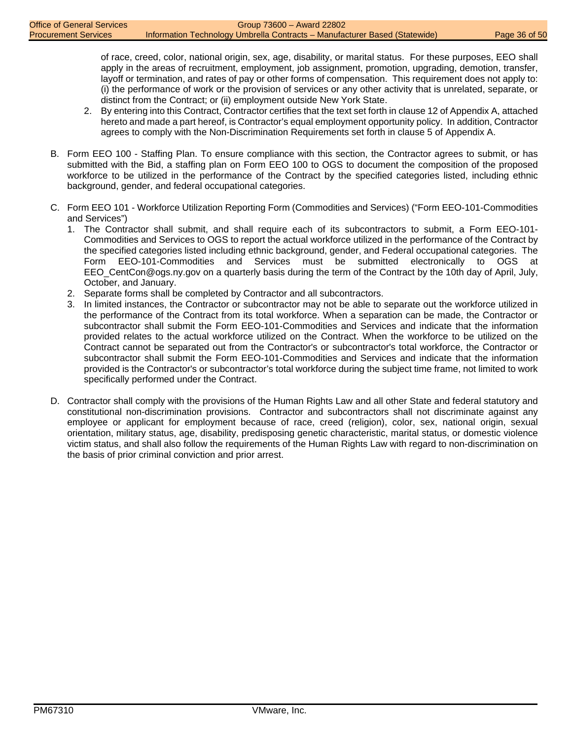of race, creed, color, national origin, sex, age, disability, or marital status. For these purposes, EEO shall apply in the areas of recruitment, employment, job assignment, promotion, upgrading, demotion, transfer, layoff or termination, and rates of pay or other forms of compensation. This requirement does not apply to: (i) the performance of work or the provision of services or any other activity that is unrelated, separate, or distinct from the Contract; or (ii) employment outside New York State.

- 2. By entering into this Contract, Contractor certifies that the text set forth in clause 12 of Appendix A, attached hereto and made a part hereof, is Contractor's equal employment opportunity policy. In addition, Contractor agrees to comply with the Non-Discrimination Requirements set forth in clause 5 of Appendix A.
- B. Form EEO 100 Staffing Plan. To ensure compliance with this section, the Contractor agrees to submit, or has submitted with the Bid, a staffing plan on Form EEO 100 to OGS to document the composition of the proposed workforce to be utilized in the performance of the Contract by the specified categories listed, including ethnic background, gender, and federal occupational categories.
- C. Form EEO 101 Workforce Utilization Reporting Form (Commodities and Services) ("Form EEO-101-Commodities and Services")
	- 1. The Contractor shall submit, and shall require each of its subcontractors to submit, a Form EEO-101- Commodities and Services to OGS to report the actual workforce utilized in the performance of the Contract by the specified categories listed including ethnic background, gender, and Federal occupational categories. The Form EEO-101-Commodities and Services must be submitted electronically to OGS at EEO\_CentCon@ogs.ny.gov on a quarterly basis during the term of the Contract by the 10th day of April, July, October, and January.
	- 2. Separate forms shall be completed by Contractor and all subcontractors.
	- 3. In limited instances, the Contractor or subcontractor may not be able to separate out the workforce utilized in the performance of the Contract from its total workforce. When a separation can be made, the Contractor or subcontractor shall submit the Form EEO-101-Commodities and Services and indicate that the information provided relates to the actual workforce utilized on the Contract. When the workforce to be utilized on the Contract cannot be separated out from the Contractor's or subcontractor's total workforce, the Contractor or subcontractor shall submit the Form EEO-101-Commodities and Services and indicate that the information provided is the Contractor's or subcontractor's total workforce during the subject time frame, not limited to work specifically performed under the Contract.
- D. Contractor shall comply with the provisions of the Human Rights Law and all other State and federal statutory and constitutional non-discrimination provisions. Contractor and subcontractors shall not discriminate against any employee or applicant for employment because of race, creed (religion), color, sex, national origin, sexual orientation, military status, age, disability, predisposing genetic characteristic, marital status, or domestic violence victim status, and shall also follow the requirements of the Human Rights Law with regard to non-discrimination on the basis of prior criminal conviction and prior arrest.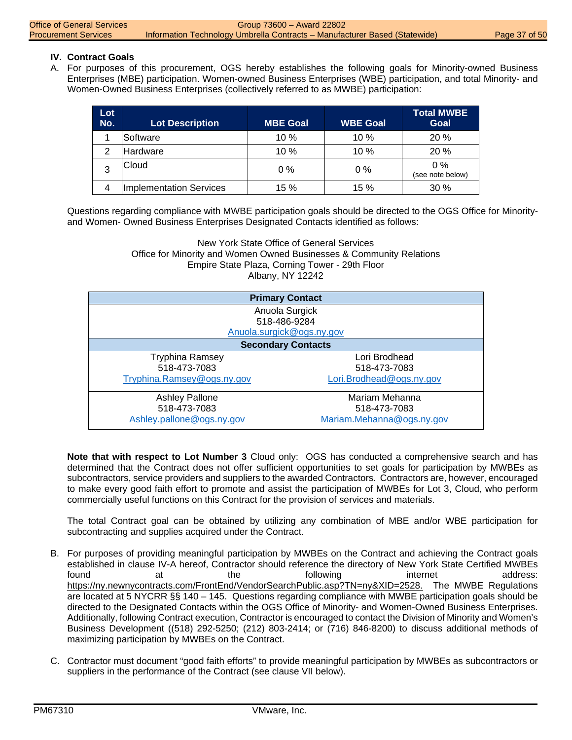#### **IV. Contract Goals**

A. For purposes of this procurement, OGS hereby establishes the following goals for Minority-owned Business Enterprises (MBE) participation. Women-owned Business Enterprises (WBE) participation, and total Minority- and Women-Owned Business Enterprises (collectively referred to as MWBE) participation:

| Lot<br>No. | <b>Lot Description</b>         | <b>MBE Goal</b> | <b>WBE Goal</b> | <b>Total MWBE</b><br>Goal |
|------------|--------------------------------|-----------------|-----------------|---------------------------|
|            | Software                       | $10\%$          | $10\%$          | 20%                       |
| 2          | Hardware                       | 10%             | $10\%$          | 20%                       |
| 3          | Cloud                          | $0\%$           | $0\%$           | $0\%$<br>(see note below) |
| 4          | <b>Implementation Services</b> | 15%             | 15%             | 30%                       |

Questions regarding compliance with MWBE participation goals should be directed to the OGS Office for Minorityand Women- Owned Business Enterprises Designated Contacts identified as follows:

> New York State Office of General Services Office for Minority and Women Owned Businesses & Community Relations Empire State Plaza, Corning Tower - 29th Floor Albany, NY 12242

| <b>Primary Contact</b>                                 |                           |  |  |  |
|--------------------------------------------------------|---------------------------|--|--|--|
| Anuola Surgick                                         |                           |  |  |  |
| 518-486-9284                                           |                           |  |  |  |
| Anuola.surgick@ogs.ny.gov                              |                           |  |  |  |
| <b>Secondary Contacts</b>                              |                           |  |  |  |
| <b>Tryphina Ramsey</b>                                 | Lori Brodhead             |  |  |  |
| 518-473-7083<br>518-473-7083                           |                           |  |  |  |
| Tryphina.Ramsey@ogs.ny.gov<br>Lori.Brodhead@ogs.ny.gov |                           |  |  |  |
|                                                        |                           |  |  |  |
| <b>Ashley Pallone</b>                                  | Mariam Mehanna            |  |  |  |
| 518-473-7083                                           | 518-473-7083              |  |  |  |
| Ashley.pallone@ogs.ny.gov                              | Mariam.Mehanna@ogs.ny.gov |  |  |  |

**Note that with respect to Lot Number 3** Cloud only: OGS has conducted a comprehensive search and has determined that the Contract does not offer sufficient opportunities to set goals for participation by MWBEs as subcontractors, service providers and suppliers to the awarded Contractors. Contractors are, however, encouraged to make every good faith effort to promote and assist the participation of MWBEs for Lot 3, Cloud, who perform commercially useful functions on this Contract for the provision of services and materials.

The total Contract goal can be obtained by utilizing any combination of MBE and/or WBE participation for subcontracting and supplies acquired under the Contract.

- B. For purposes of providing meaningful participation by MWBEs on the Contract and achieving the Contract goals established in clause IV-A hereof, Contractor should reference the directory of New York State Certified MWBEs found at the following internet address: https://ny.newnycontracts.com/FrontEnd/VendorSearchPublic.asp?TN=ny&XID=2528. The MWBE Regulations are located at 5 NYCRR §§ 140 – 145. Questions regarding compliance with MWBE participation goals should be directed to the Designated Contacts within the OGS Office of Minority- and Women-Owned Business Enterprises. Additionally, following Contract execution, Contractor is encouraged to contact the Division of Minority and Women's Business Development ((518) 292-5250; (212) 803-2414; or (716) 846-8200) to discuss additional methods of maximizing participation by MWBEs on the Contract.
- C. Contractor must document "good faith efforts" to provide meaningful participation by MWBEs as subcontractors or suppliers in the performance of the Contract (see clause VII below).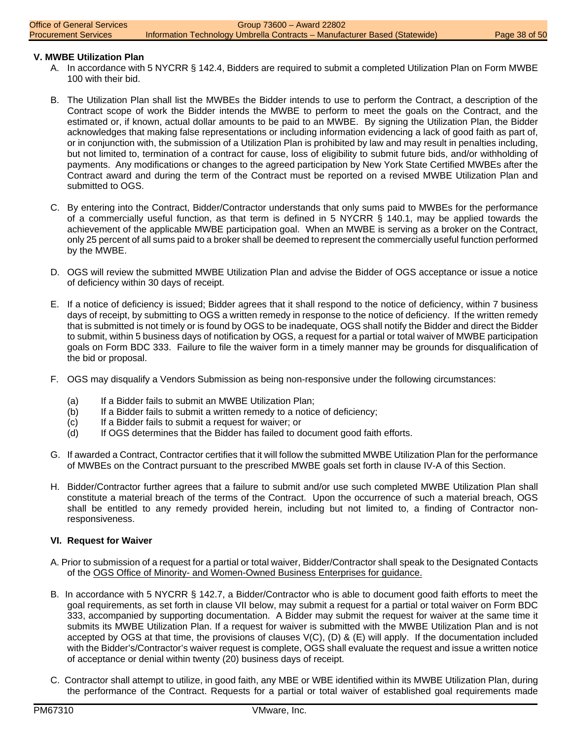#### **V. MWBE Utilization Plan**

- A. In accordance with 5 NYCRR § 142.4, Bidders are required to submit a completed Utilization Plan on Form MWBE 100 with their bid.
- B. The Utilization Plan shall list the MWBEs the Bidder intends to use to perform the Contract, a description of the Contract scope of work the Bidder intends the MWBE to perform to meet the goals on the Contract, and the estimated or, if known, actual dollar amounts to be paid to an MWBE. By signing the Utilization Plan, the Bidder acknowledges that making false representations or including information evidencing a lack of good faith as part of, or in conjunction with, the submission of a Utilization Plan is prohibited by law and may result in penalties including, but not limited to, termination of a contract for cause, loss of eligibility to submit future bids, and/or withholding of payments. Any modifications or changes to the agreed participation by New York State Certified MWBEs after the Contract award and during the term of the Contract must be reported on a revised MWBE Utilization Plan and submitted to OGS.
- C. By entering into the Contract, Bidder/Contractor understands that only sums paid to MWBEs for the performance of a commercially useful function, as that term is defined in 5 NYCRR § 140.1, may be applied towards the achievement of the applicable MWBE participation goal. When an MWBE is serving as a broker on the Contract, only 25 percent of all sums paid to a broker shall be deemed to represent the commercially useful function performed by the MWBE.
- D. OGS will review the submitted MWBE Utilization Plan and advise the Bidder of OGS acceptance or issue a notice of deficiency within 30 days of receipt.
- E. If a notice of deficiency is issued; Bidder agrees that it shall respond to the notice of deficiency, within 7 business days of receipt, by submitting to OGS a written remedy in response to the notice of deficiency. If the written remedy that is submitted is not timely or is found by OGS to be inadequate, OGS shall notify the Bidder and direct the Bidder to submit, within 5 business days of notification by OGS, a request for a partial or total waiver of MWBE participation goals on Form BDC 333. Failure to file the waiver form in a timely manner may be grounds for disqualification of the bid or proposal.
- F. OGS may disqualify a Vendors Submission as being non-responsive under the following circumstances:
	- (a) If a Bidder fails to submit an MWBE Utilization Plan;
	- (b) If a Bidder fails to submit a written remedy to a notice of deficiency;
	- (c) If a Bidder fails to submit a request for waiver; or
	- (d) If OGS determines that the Bidder has failed to document good faith efforts.
- G. If awarded a Contract, Contractor certifies that it will follow the submitted MWBE Utilization Plan for the performance of MWBEs on the Contract pursuant to the prescribed MWBE goals set forth in clause IV-A of this Section.
- H. Bidder/Contractor further agrees that a failure to submit and/or use such completed MWBE Utilization Plan shall constitute a material breach of the terms of the Contract. Upon the occurrence of such a material breach, OGS shall be entitled to any remedy provided herein, including but not limited to, a finding of Contractor nonresponsiveness.

#### **VI. Request for Waiver**

- A. Prior to submission of a request for a partial or total waiver, Bidder/Contractor shall speak to the Designated Contacts of the OGS Office of Minority- and Women-Owned Business Enterprises for guidance.
- B. In accordance with 5 NYCRR § 142.7, a Bidder/Contractor who is able to document good faith efforts to meet the goal requirements, as set forth in clause VII below, may submit a request for a partial or total waiver on Form BDC 333, accompanied by supporting documentation. A Bidder may submit the request for waiver at the same time it submits its MWBE Utilization Plan. If a request for waiver is submitted with the MWBE Utilization Plan and is not accepted by OGS at that time, the provisions of clauses V(C), (D) & (E) will apply. If the documentation included with the Bidder's/Contractor's waiver request is complete, OGS shall evaluate the request and issue a written notice of acceptance or denial within twenty (20) business days of receipt.
- C. Contractor shall attempt to utilize, in good faith, any MBE or WBE identified within its MWBE Utilization Plan, during the performance of the Contract. Requests for a partial or total waiver of established goal requirements made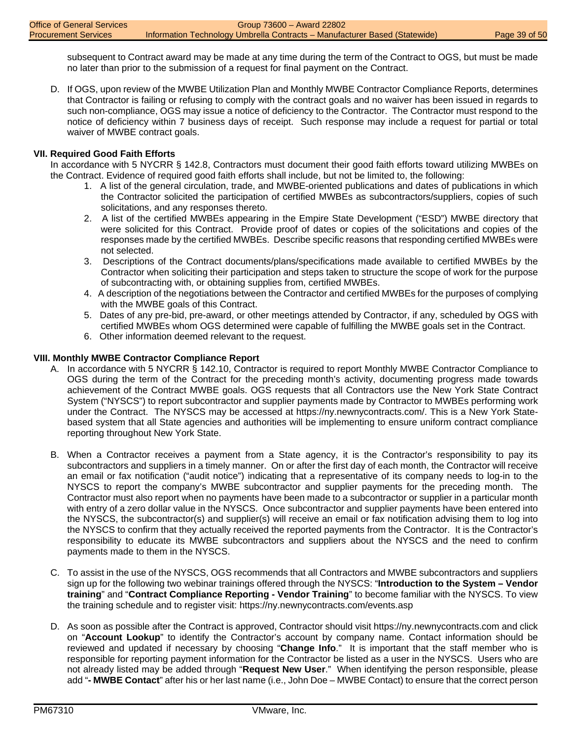subsequent to Contract award may be made at any time during the term of the Contract to OGS, but must be made no later than prior to the submission of a request for final payment on the Contract.

D. If OGS, upon review of the MWBE Utilization Plan and Monthly MWBE Contractor Compliance Reports, determines that Contractor is failing or refusing to comply with the contract goals and no waiver has been issued in regards to such non-compliance, OGS may issue a notice of deficiency to the Contractor. The Contractor must respond to the notice of deficiency within 7 business days of receipt. Such response may include a request for partial or total waiver of MWBE contract goals.

#### **VII. Required Good Faith Efforts**

In accordance with 5 NYCRR § 142.8, Contractors must document their good faith efforts toward utilizing MWBEs on the Contract. Evidence of required good faith efforts shall include, but not be limited to, the following:

- 1. A list of the general circulation, trade, and MWBE-oriented publications and dates of publications in which the Contractor solicited the participation of certified MWBEs as subcontractors/suppliers, copies of such solicitations, and any responses thereto.
- 2. A list of the certified MWBEs appearing in the Empire State Development ("ESD") MWBE directory that were solicited for this Contract. Provide proof of dates or copies of the solicitations and copies of the responses made by the certified MWBEs. Describe specific reasons that responding certified MWBEs were not selected.
- 3. Descriptions of the Contract documents/plans/specifications made available to certified MWBEs by the Contractor when soliciting their participation and steps taken to structure the scope of work for the purpose of subcontracting with, or obtaining supplies from, certified MWBEs.
- 4. A description of the negotiations between the Contractor and certified MWBEs for the purposes of complying with the MWBE goals of this Contract.
- 5. Dates of any pre-bid, pre-award, or other meetings attended by Contractor, if any, scheduled by OGS with certified MWBEs whom OGS determined were capable of fulfilling the MWBE goals set in the Contract.
- 6. Other information deemed relevant to the request.

#### **VIII. Monthly MWBE Contractor Compliance Report**

- A. In accordance with 5 NYCRR § 142.10, Contractor is required to report Monthly MWBE Contractor Compliance to OGS during the term of the Contract for the preceding month's activity, documenting progress made towards achievement of the Contract MWBE goals. OGS requests that all Contractors use the New York State Contract System ("NYSCS") to report subcontractor and supplier payments made by Contractor to MWBEs performing work under the Contract. The NYSCS may be accessed at https://ny.newnycontracts.com/. This is a New York Statebased system that all State agencies and authorities will be implementing to ensure uniform contract compliance reporting throughout New York State.
- B. When a Contractor receives a payment from a State agency, it is the Contractor's responsibility to pay its subcontractors and suppliers in a timely manner. On or after the first day of each month, the Contractor will receive an email or fax notification ("audit notice") indicating that a representative of its company needs to log-in to the NYSCS to report the company's MWBE subcontractor and supplier payments for the preceding month. The Contractor must also report when no payments have been made to a subcontractor or supplier in a particular month with entry of a zero dollar value in the NYSCS. Once subcontractor and supplier payments have been entered into the NYSCS, the subcontractor(s) and supplier(s) will receive an email or fax notification advising them to log into the NYSCS to confirm that they actually received the reported payments from the Contractor. It is the Contractor's responsibility to educate its MWBE subcontractors and suppliers about the NYSCS and the need to confirm payments made to them in the NYSCS.
- C. To assist in the use of the NYSCS, OGS recommends that all Contractors and MWBE subcontractors and suppliers sign up for the following two webinar trainings offered through the NYSCS: "**Introduction to the System – Vendor training**" and "**Contract Compliance Reporting - Vendor Training**" to become familiar with the NYSCS. To view the training schedule and to register visit: https://ny.newnycontracts.com/events.asp
- D. As soon as possible after the Contract is approved, Contractor should visit https://ny.newnycontracts.com and click on "**Account Lookup**" to identify the Contractor's account by company name. Contact information should be reviewed and updated if necessary by choosing "**Change Info**." It is important that the staff member who is responsible for reporting payment information for the Contractor be listed as a user in the NYSCS. Users who are not already listed may be added through "**Request New User**." When identifying the person responsible, please add "**- MWBE Contact**" after his or her last name (i.e., John Doe – MWBE Contact) to ensure that the correct person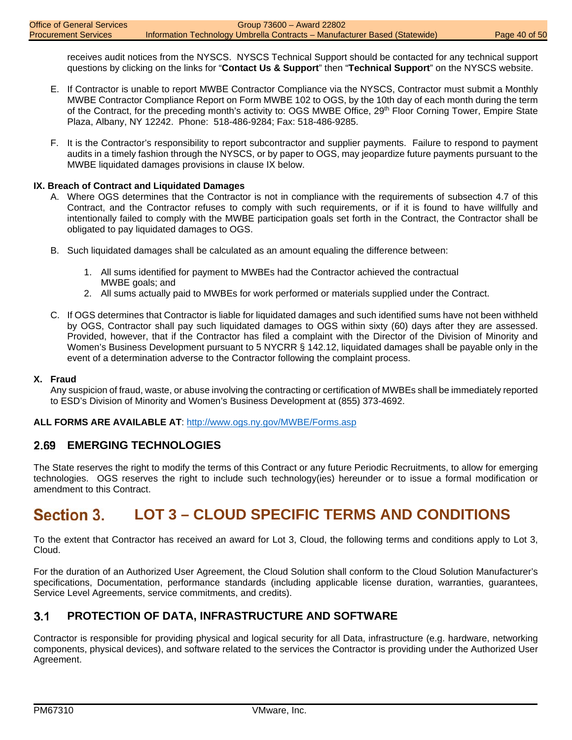receives audit notices from the NYSCS. NYSCS Technical Support should be contacted for any technical support questions by clicking on the links for "**Contact Us & Support**" then "**Technical Support**" on the NYSCS website.

- E. If Contractor is unable to report MWBE Contractor Compliance via the NYSCS, Contractor must submit a Monthly MWBE Contractor Compliance Report on Form MWBE 102 to OGS, by the 10th day of each month during the term of the Contract, for the preceding month's activity to: OGS MWBE Office, 29<sup>th</sup> Floor Corning Tower, Empire State Plaza, Albany, NY 12242. Phone: 518-486-9284; Fax: 518-486-9285.
- F. It is the Contractor's responsibility to report subcontractor and supplier payments. Failure to respond to payment audits in a timely fashion through the NYSCS, or by paper to OGS, may jeopardize future payments pursuant to the MWBE liquidated damages provisions in clause IX below.

#### **IX. Breach of Contract and Liquidated Damages**

- A. Where OGS determines that the Contractor is not in compliance with the requirements of subsection 4.7 of this Contract, and the Contractor refuses to comply with such requirements, or if it is found to have willfully and intentionally failed to comply with the MWBE participation goals set forth in the Contract, the Contractor shall be obligated to pay liquidated damages to OGS.
- B. Such liquidated damages shall be calculated as an amount equaling the difference between:
	- 1. All sums identified for payment to MWBEs had the Contractor achieved the contractual MWBE goals; and
	- 2. All sums actually paid to MWBEs for work performed or materials supplied under the Contract.
- C. If OGS determines that Contractor is liable for liquidated damages and such identified sums have not been withheld by OGS, Contractor shall pay such liquidated damages to OGS within sixty (60) days after they are assessed. Provided, however, that if the Contractor has filed a complaint with the Director of the Division of Minority and Women's Business Development pursuant to 5 NYCRR § 142.12, liquidated damages shall be payable only in the event of a determination adverse to the Contractor following the complaint process.

#### **X. Fraud**

Any suspicion of fraud, waste, or abuse involving the contracting or certification of MWBEs shall be immediately reported to ESD's Division of Minority and Women's Business Development at (855) 373-4692.

#### **ALL FORMS ARE AVAILABLE AT**: http://www.ogs.ny.gov/MWBE/Forms.asp

#### **EMERGING TECHNOLOGIES**

The State reserves the right to modify the terms of this Contract or any future Periodic Recruitments, to allow for emerging technologies. OGS reserves the right to include such technology(ies) hereunder or to issue a formal modification or amendment to this Contract.

#### **LOT 3 – CLOUD SPECIFIC TERMS AND CONDITIONS Section 3.**

To the extent that Contractor has received an award for Lot 3, Cloud, the following terms and conditions apply to Lot 3, Cloud.

For the duration of an Authorized User Agreement, the Cloud Solution shall conform to the Cloud Solution Manufacturer's specifications, Documentation, performance standards (including applicable license duration, warranties, guarantees, Service Level Agreements, service commitments, and credits).

### **PROTECTION OF DATA, INFRASTRUCTURE AND SOFTWARE**

Contractor is responsible for providing physical and logical security for all Data, infrastructure (e.g. hardware, networking components, physical devices), and software related to the services the Contractor is providing under the Authorized User Agreement.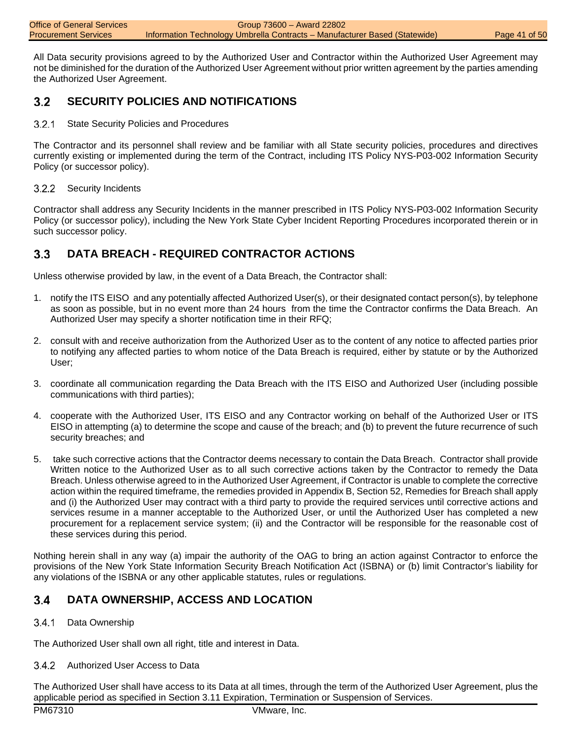All Data security provisions agreed to by the Authorized User and Contractor within the Authorized User Agreement may not be diminished for the duration of the Authorized User Agreement without prior written agreement by the parties amending the Authorized User Agreement.

### **SECURITY POLICIES AND NOTIFICATIONS**

3.2.1 State Security Policies and Procedures

The Contractor and its personnel shall review and be familiar with all State security policies, procedures and directives currently existing or implemented during the term of the Contract, including ITS Policy NYS-P03-002 Information Security Policy (or successor policy).

#### 3.2.2 Security Incidents

Contractor shall address any Security Incidents in the manner prescribed in ITS Policy NYS-P03-002 Information Security Policy (or successor policy), including the New York State Cyber Incident Reporting Procedures incorporated therein or in such successor policy.

### **DATA BREACH - REQUIRED CONTRACTOR ACTIONS**

Unless otherwise provided by law, in the event of a Data Breach, the Contractor shall:

- 1. notify the ITS EISO and any potentially affected Authorized User(s), or their designated contact person(s), by telephone as soon as possible, but in no event more than 24 hours from the time the Contractor confirms the Data Breach. An Authorized User may specify a shorter notification time in their RFQ;
- 2. consult with and receive authorization from the Authorized User as to the content of any notice to affected parties prior to notifying any affected parties to whom notice of the Data Breach is required, either by statute or by the Authorized User;
- 3. coordinate all communication regarding the Data Breach with the ITS EISO and Authorized User (including possible communications with third parties);
- 4. cooperate with the Authorized User, ITS EISO and any Contractor working on behalf of the Authorized User or ITS EISO in attempting (a) to determine the scope and cause of the breach; and (b) to prevent the future recurrence of such security breaches; and
- 5. take such corrective actions that the Contractor deems necessary to contain the Data Breach. Contractor shall provide Written notice to the Authorized User as to all such corrective actions taken by the Contractor to remedy the Data Breach. Unless otherwise agreed to in the Authorized User Agreement, if Contractor is unable to complete the corrective action within the required timeframe, the remedies provided in Appendix B, Section 52, Remedies for Breach shall apply and (i) the Authorized User may contract with a third party to provide the required services until corrective actions and services resume in a manner acceptable to the Authorized User, or until the Authorized User has completed a new procurement for a replacement service system; (ii) and the Contractor will be responsible for the reasonable cost of these services during this period.

Nothing herein shall in any way (a) impair the authority of the OAG to bring an action against Contractor to enforce the provisions of the New York State Information Security Breach Notification Act (ISBNA) or (b) limit Contractor's liability for any violations of the ISBNA or any other applicable statutes, rules or regulations.

### **DATA OWNERSHIP, ACCESS AND LOCATION**

#### 3.4.1 Data Ownership

The Authorized User shall own all right, title and interest in Data.

#### 3.4.2 Authorized User Access to Data

The Authorized User shall have access to its Data at all times, through the term of the Authorized User Agreement, plus the applicable period as specified in Section 3.11 Expiration, Termination or Suspension of Services.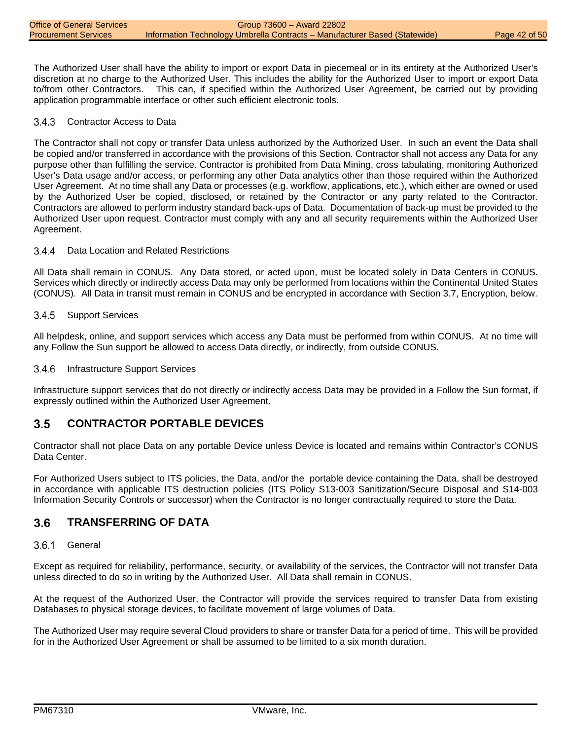The Authorized User shall have the ability to import or export Data in piecemeal or in its entirety at the Authorized User's discretion at no charge to the Authorized User. This includes the ability for the Authorized User to import or export Data to/from other Contractors. This can, if specified within the Authorized User Agreement, be carried out by providing application programmable interface or other such efficient electronic tools.

#### 3.4.3 Contractor Access to Data

The Contractor shall not copy or transfer Data unless authorized by the Authorized User. In such an event the Data shall be copied and/or transferred in accordance with the provisions of this Section. Contractor shall not access any Data for any purpose other than fulfilling the service. Contractor is prohibited from Data Mining, cross tabulating, monitoring Authorized User's Data usage and/or access, or performing any other Data analytics other than those required within the Authorized User Agreement. At no time shall any Data or processes (e.g. workflow, applications, etc.), which either are owned or used by the Authorized User be copied, disclosed, or retained by the Contractor or any party related to the Contractor. Contractors are allowed to perform industry standard back-ups of Data. Documentation of back-up must be provided to the Authorized User upon request. Contractor must comply with any and all security requirements within the Authorized User Agreement.

#### Data Location and Related Restrictions

All Data shall remain in CONUS. Any Data stored, or acted upon, must be located solely in Data Centers in CONUS. Services which directly or indirectly access Data may only be performed from locations within the Continental United States (CONUS). All Data in transit must remain in CONUS and be encrypted in accordance with Section 3.7, Encryption, below.

#### 3.4.5 Support Services

All helpdesk, online, and support services which access any Data must be performed from within CONUS. At no time will any Follow the Sun support be allowed to access Data directly, or indirectly, from outside CONUS.

#### 3.4.6 Infrastructure Support Services

Infrastructure support services that do not directly or indirectly access Data may be provided in a Follow the Sun format, if expressly outlined within the Authorized User Agreement.

#### **CONTRACTOR PORTABLE DEVICES**

Contractor shall not place Data on any portable Device unless Device is located and remains within Contractor's CONUS Data Center.

For Authorized Users subject to ITS policies, the Data, and/or the portable device containing the Data, shall be destroyed in accordance with applicable ITS destruction policies (ITS Policy S13-003 Sanitization/Secure Disposal and S14-003 Information Security Controls or successor) when the Contractor is no longer contractually required to store the Data.

#### **TRANSFERRING OF DATA**

#### 3.6.1 General

Except as required for reliability, performance, security, or availability of the services, the Contractor will not transfer Data unless directed to do so in writing by the Authorized User. All Data shall remain in CONUS.

At the request of the Authorized User, the Contractor will provide the services required to transfer Data from existing Databases to physical storage devices, to facilitate movement of large volumes of Data.

The Authorized User may require several Cloud providers to share or transfer Data for a period of time. This will be provided for in the Authorized User Agreement or shall be assumed to be limited to a six month duration.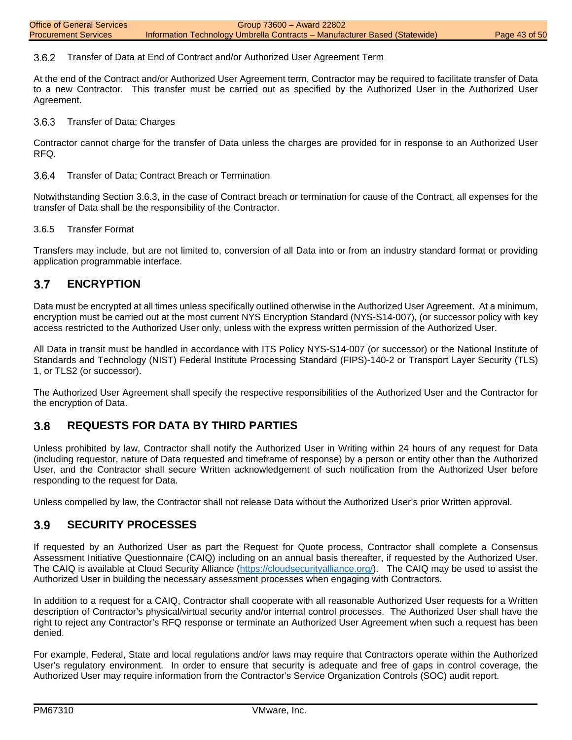3.6.2 Transfer of Data at End of Contract and/or Authorized User Agreement Term

At the end of the Contract and/or Authorized User Agreement term, Contractor may be required to facilitate transfer of Data to a new Contractor. This transfer must be carried out as specified by the Authorized User in the Authorized User Agreement.

3.6.3 Transfer of Data; Charges

Contractor cannot charge for the transfer of Data unless the charges are provided for in response to an Authorized User RFQ.

3.6.4 Transfer of Data; Contract Breach or Termination

Notwithstanding Section 3.6.3, in the case of Contract breach or termination for cause of the Contract, all expenses for the transfer of Data shall be the responsibility of the Contractor.

#### 3.6.5 Transfer Format

Transfers may include, but are not limited to, conversion of all Data into or from an industry standard format or providing application programmable interface.

#### **ENCRYPTION**

Data must be encrypted at all times unless specifically outlined otherwise in the Authorized User Agreement. At a minimum, encryption must be carried out at the most current NYS Encryption Standard (NYS-S14-007), (or successor policy with key access restricted to the Authorized User only, unless with the express written permission of the Authorized User.

All Data in transit must be handled in accordance with ITS Policy NYS-S14-007 (or successor) or the National Institute of Standards and Technology (NIST) Federal Institute Processing Standard (FIPS)-140-2 or Transport Layer Security (TLS) 1, or TLS2 (or successor).

The Authorized User Agreement shall specify the respective responsibilities of the Authorized User and the Contractor for the encryption of Data.

#### **REQUESTS FOR DATA BY THIRD PARTIES**

Unless prohibited by law, Contractor shall notify the Authorized User in Writing within 24 hours of any request for Data (including requestor, nature of Data requested and timeframe of response) by a person or entity other than the Authorized User, and the Contractor shall secure Written acknowledgement of such notification from the Authorized User before responding to the request for Data.

Unless compelled by law, the Contractor shall not release Data without the Authorized User's prior Written approval.

#### **SECURITY PROCESSES**

If requested by an Authorized User as part the Request for Quote process, Contractor shall complete a Consensus Assessment Initiative Questionnaire (CAIQ) including on an annual basis thereafter, if requested by the Authorized User. The CAIQ is available at Cloud Security Alliance (https://cloudsecurityalliance.org/). The CAIQ may be used to assist the Authorized User in building the necessary assessment processes when engaging with Contractors.

In addition to a request for a CAIQ, Contractor shall cooperate with all reasonable Authorized User requests for a Written description of Contractor's physical/virtual security and/or internal control processes. The Authorized User shall have the right to reject any Contractor's RFQ response or terminate an Authorized User Agreement when such a request has been denied.

For example, Federal, State and local regulations and/or laws may require that Contractors operate within the Authorized User's regulatory environment. In order to ensure that security is adequate and free of gaps in control coverage, the Authorized User may require information from the Contractor's Service Organization Controls (SOC) audit report.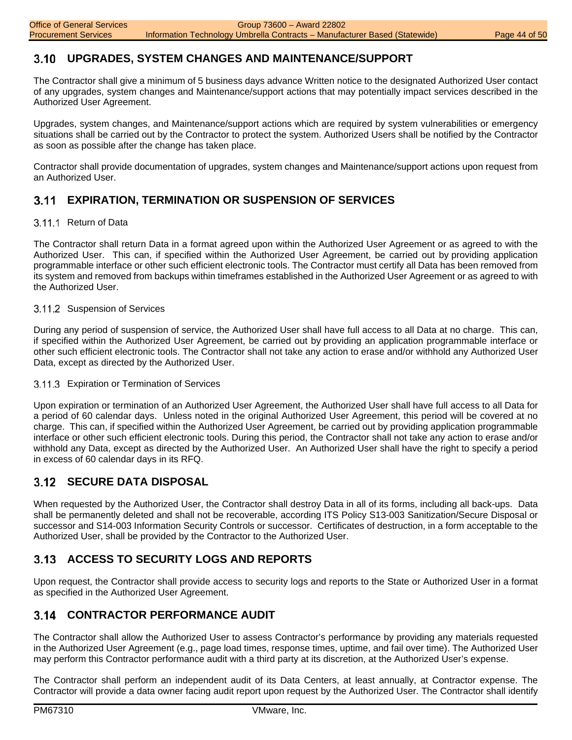### **UPGRADES, SYSTEM CHANGES AND MAINTENANCE/SUPPORT**

The Contractor shall give a minimum of 5 business days advance Written notice to the designated Authorized User contact of any upgrades, system changes and Maintenance/support actions that may potentially impact services described in the Authorized User Agreement.

Upgrades, system changes, and Maintenance/support actions which are required by system vulnerabilities or emergency situations shall be carried out by the Contractor to protect the system. Authorized Users shall be notified by the Contractor as soon as possible after the change has taken place.

Contractor shall provide documentation of upgrades, system changes and Maintenance/support actions upon request from an Authorized User.

### **EXPIRATION, TERMINATION OR SUSPENSION OF SERVICES**

#### 3.11.1 Return of Data

The Contractor shall return Data in a format agreed upon within the Authorized User Agreement or as agreed to with the Authorized User. This can, if specified within the Authorized User Agreement, be carried out by providing application programmable interface or other such efficient electronic tools. The Contractor must certify all Data has been removed from its system and removed from backups within timeframes established in the Authorized User Agreement or as agreed to with the Authorized User.

#### 3.11.2 Suspension of Services

During any period of suspension of service, the Authorized User shall have full access to all Data at no charge. This can, if specified within the Authorized User Agreement, be carried out by providing an application programmable interface or other such efficient electronic tools. The Contractor shall not take any action to erase and/or withhold any Authorized User Data, except as directed by the Authorized User.

#### Expiration or Termination of Services

Upon expiration or termination of an Authorized User Agreement, the Authorized User shall have full access to all Data for a period of 60 calendar days. Unless noted in the original Authorized User Agreement, this period will be covered at no charge. This can, if specified within the Authorized User Agreement, be carried out by providing application programmable interface or other such efficient electronic tools. During this period, the Contractor shall not take any action to erase and/or withhold any Data, except as directed by the Authorized User. An Authorized User shall have the right to specify a period in excess of 60 calendar days in its RFQ.

### **SECURE DATA DISPOSAL**

When requested by the Authorized User, the Contractor shall destroy Data in all of its forms, including all back-ups. Data shall be permanently deleted and shall not be recoverable, according ITS Policy S13-003 Sanitization/Secure Disposal or successor and S14-003 Information Security Controls or successor. Certificates of destruction, in a form acceptable to the Authorized User, shall be provided by the Contractor to the Authorized User.

### **3.13 ACCESS TO SECURITY LOGS AND REPORTS**

Upon request, the Contractor shall provide access to security logs and reports to the State or Authorized User in a format as specified in the Authorized User Agreement.

### **CONTRACTOR PERFORMANCE AUDIT**

The Contractor shall allow the Authorized User to assess Contractor's performance by providing any materials requested in the Authorized User Agreement (e.g., page load times, response times, uptime, and fail over time). The Authorized User may perform this Contractor performance audit with a third party at its discretion, at the Authorized User's expense.

The Contractor shall perform an independent audit of its Data Centers, at least annually, at Contractor expense. The Contractor will provide a data owner facing audit report upon request by the Authorized User. The Contractor shall identify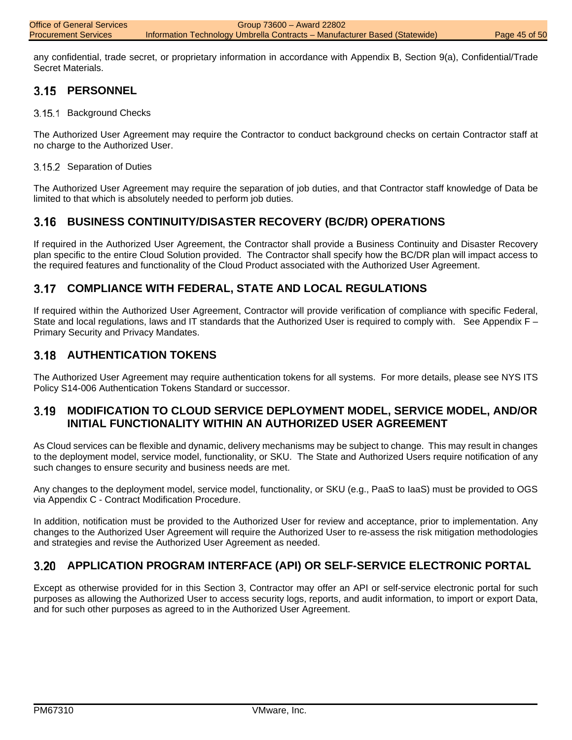any confidential, trade secret, or proprietary information in accordance with Appendix B, Section 9(a), Confidential/Trade Secret Materials.

#### **3.15 PERSONNEL**

#### 3.15.1 Background Checks

The Authorized User Agreement may require the Contractor to conduct background checks on certain Contractor staff at no charge to the Authorized User.

#### Separation of Duties

The Authorized User Agreement may require the separation of job duties, and that Contractor staff knowledge of Data be limited to that which is absolutely needed to perform job duties.

#### **BUSINESS CONTINUITY/DISASTER RECOVERY (BC/DR) OPERATIONS**

If required in the Authorized User Agreement, the Contractor shall provide a Business Continuity and Disaster Recovery plan specific to the entire Cloud Solution provided. The Contractor shall specify how the BC/DR plan will impact access to the required features and functionality of the Cloud Product associated with the Authorized User Agreement.

#### **COMPLIANCE WITH FEDERAL, STATE AND LOCAL REGULATIONS**

If required within the Authorized User Agreement, Contractor will provide verification of compliance with specific Federal, State and local regulations, laws and IT standards that the Authorized User is required to comply with. See Appendix  $F -$ Primary Security and Privacy Mandates.

### **3.18 AUTHENTICATION TOKENS**

The Authorized User Agreement may require authentication tokens for all systems. For more details, please see NYS ITS Policy S14-006 Authentication Tokens Standard or successor.

#### **MODIFICATION TO CLOUD SERVICE DEPLOYMENT MODEL, SERVICE MODEL, AND/OR INITIAL FUNCTIONALITY WITHIN AN AUTHORIZED USER AGREEMENT**

As Cloud services can be flexible and dynamic, delivery mechanisms may be subject to change. This may result in changes to the deployment model, service model, functionality, or SKU. The State and Authorized Users require notification of any such changes to ensure security and business needs are met.

Any changes to the deployment model, service model, functionality, or SKU (e.g., PaaS to IaaS) must be provided to OGS via Appendix C - Contract Modification Procedure.

In addition, notification must be provided to the Authorized User for review and acceptance, prior to implementation. Any changes to the Authorized User Agreement will require the Authorized User to re-assess the risk mitigation methodologies and strategies and revise the Authorized User Agreement as needed.

### **APPLICATION PROGRAM INTERFACE (API) OR SELF-SERVICE ELECTRONIC PORTAL**

Except as otherwise provided for in this Section 3, Contractor may offer an API or self-service electronic portal for such purposes as allowing the Authorized User to access security logs, reports, and audit information, to import or export Data, and for such other purposes as agreed to in the Authorized User Agreement.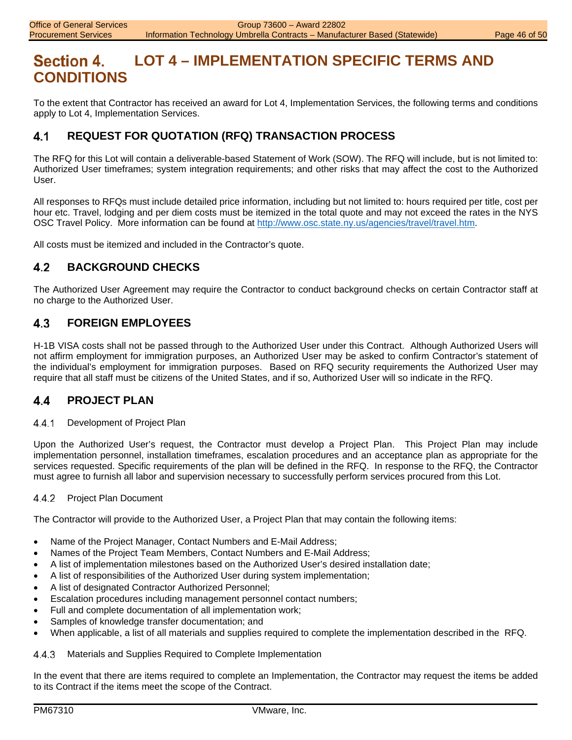#### **Section 4. LOT 4 – IMPLEMENTATION SPECIFIC TERMS AND CONDITIONS**

To the extent that Contractor has received an award for Lot 4, Implementation Services, the following terms and conditions apply to Lot 4, Implementation Services.

### **REQUEST FOR QUOTATION (RFQ) TRANSACTION PROCESS**

The RFQ for this Lot will contain a deliverable-based Statement of Work (SOW). The RFQ will include, but is not limited to: Authorized User timeframes; system integration requirements; and other risks that may affect the cost to the Authorized User.

All responses to RFQs must include detailed price information, including but not limited to: hours required per title, cost per hour etc. Travel, lodging and per diem costs must be itemized in the total quote and may not exceed the rates in the NYS OSC Travel Policy. More information can be found at http://www.osc.state.ny.us/agencies/travel/travel.htm.

All costs must be itemized and included in the Contractor's quote.

### **BACKGROUND CHECKS**

The Authorized User Agreement may require the Contractor to conduct background checks on certain Contractor staff at no charge to the Authorized User.

### **FOREIGN EMPLOYEES**

H-1B VISA costs shall not be passed through to the Authorized User under this Contract. Although Authorized Users will not affirm employment for immigration purposes, an Authorized User may be asked to confirm Contractor's statement of the individual's employment for immigration purposes. Based on RFQ security requirements the Authorized User may require that all staff must be citizens of the United States, and if so, Authorized User will so indicate in the RFQ.

### **4.4 PROJECT PLAN**

#### 4.4.1 Development of Project Plan

Upon the Authorized User's request, the Contractor must develop a Project Plan. This Project Plan may include implementation personnel, installation timeframes, escalation procedures and an acceptance plan as appropriate for the services requested. Specific requirements of the plan will be defined in the RFQ. In response to the RFQ, the Contractor must agree to furnish all labor and supervision necessary to successfully perform services procured from this Lot.

#### 4.4.2 Project Plan Document

The Contractor will provide to the Authorized User, a Project Plan that may contain the following items:

- Name of the Project Manager, Contact Numbers and E-Mail Address;
- Names of the Project Team Members, Contact Numbers and E-Mail Address;
- A list of implementation milestones based on the Authorized User's desired installation date;
- A list of responsibilities of the Authorized User during system implementation;
- A list of designated Contractor Authorized Personnel;
- Escalation procedures including management personnel contact numbers;
- Full and complete documentation of all implementation work;
- Samples of knowledge transfer documentation; and
- When applicable, a list of all materials and supplies required to complete the implementation described in the RFQ.

#### Materials and Supplies Required to Complete Implementation

In the event that there are items required to complete an Implementation, the Contractor may request the items be added to its Contract if the items meet the scope of the Contract.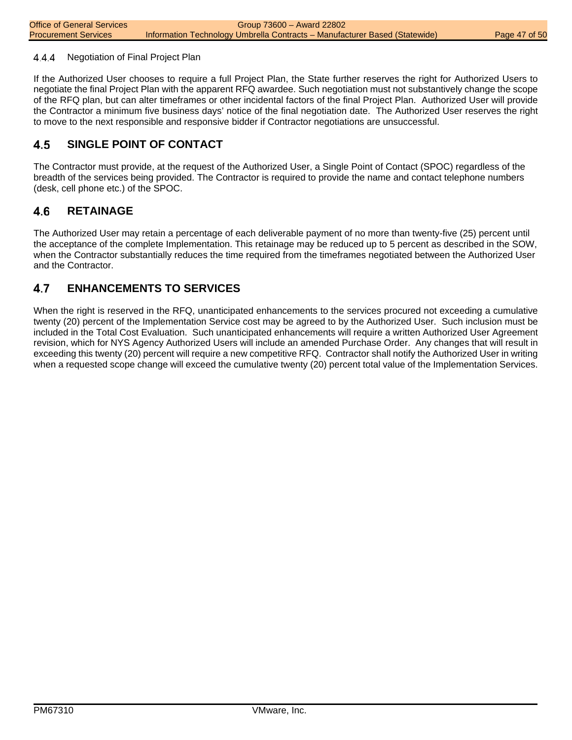#### 4.4.4 Negotiation of Final Project Plan

If the Authorized User chooses to require a full Project Plan, the State further reserves the right for Authorized Users to negotiate the final Project Plan with the apparent RFQ awardee. Such negotiation must not substantively change the scope of the RFQ plan, but can alter timeframes or other incidental factors of the final Project Plan. Authorized User will provide the Contractor a minimum five business days' notice of the final negotiation date. The Authorized User reserves the right to move to the next responsible and responsive bidder if Contractor negotiations are unsuccessful.

#### **SINGLE POINT OF CONTACT**

The Contractor must provide, at the request of the Authorized User, a Single Point of Contact (SPOC) regardless of the breadth of the services being provided. The Contractor is required to provide the name and contact telephone numbers (desk, cell phone etc.) of the SPOC.

### **RETAINAGE**

The Authorized User may retain a percentage of each deliverable payment of no more than twenty-five (25) percent until the acceptance of the complete Implementation. This retainage may be reduced up to 5 percent as described in the SOW, when the Contractor substantially reduces the time required from the timeframes negotiated between the Authorized User and the Contractor.

### **ENHANCEMENTS TO SERVICES**

When the right is reserved in the RFQ, unanticipated enhancements to the services procured not exceeding a cumulative twenty (20) percent of the Implementation Service cost may be agreed to by the Authorized User. Such inclusion must be included in the Total Cost Evaluation. Such unanticipated enhancements will require a written Authorized User Agreement revision, which for NYS Agency Authorized Users will include an amended Purchase Order. Any changes that will result in exceeding this twenty (20) percent will require a new competitive RFQ. Contractor shall notify the Authorized User in writing when a requested scope change will exceed the cumulative twenty (20) percent total value of the Implementation Services.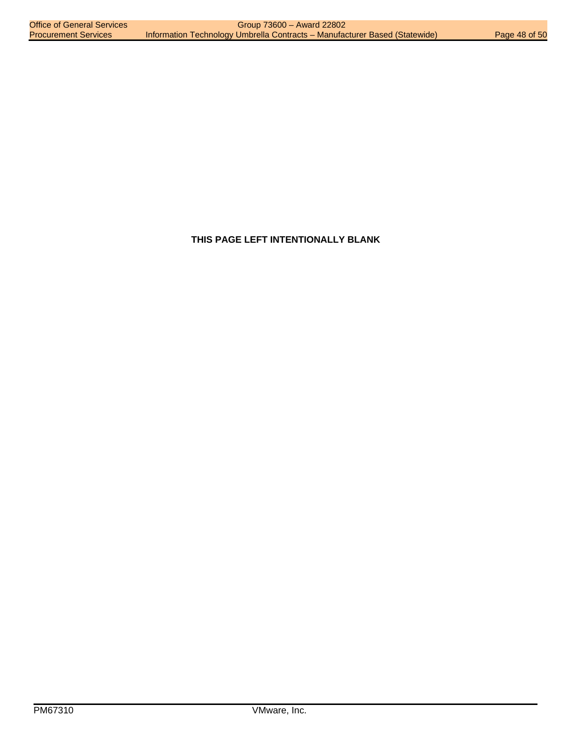#### **THIS PAGE LEFT INTENTIONALLY BLANK**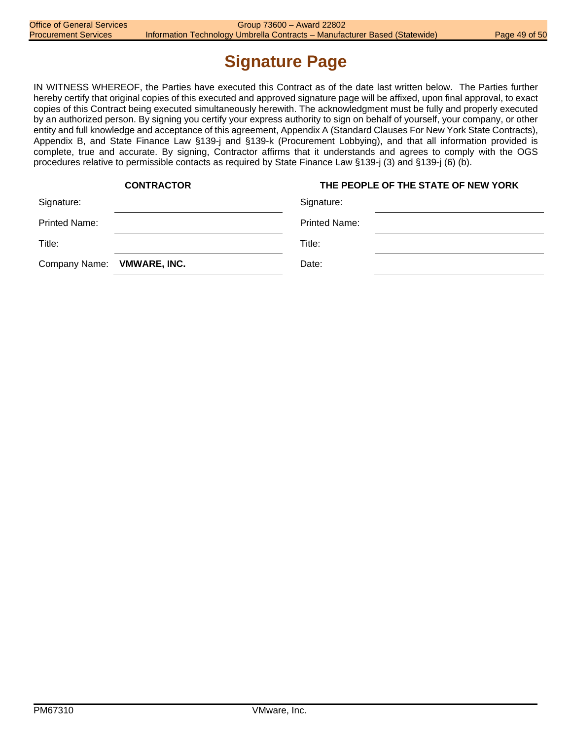# **Signature Page**

IN WITNESS WHEREOF, the Parties have executed this Contract as of the date last written below. The Parties further hereby certify that original copies of this executed and approved signature page will be affixed, upon final approval, to exact copies of this Contract being executed simultaneously herewith. The acknowledgment must be fully and properly executed by an authorized person. By signing you certify your express authority to sign on behalf of yourself, your company, or other entity and full knowledge and acceptance of this agreement, Appendix A (Standard Clauses For New York State Contracts), Appendix B, and State Finance Law §139-j and §139-k (Procurement Lobbying), and that all information provided is complete, true and accurate. By signing, Contractor affirms that it understands and agrees to comply with the OGS procedures relative to permissible contacts as required by State Finance Law §139-j (3) and §139-j (6) (b).

| <b>CONTRACTOR</b>          |  | THE PEOPLE OF THE STATE OF NEW YORK |  |  |
|----------------------------|--|-------------------------------------|--|--|
| Signature:                 |  | Signature:                          |  |  |
| <b>Printed Name:</b>       |  | <b>Printed Name:</b>                |  |  |
| Title:                     |  | Title:                              |  |  |
| Company Name: VMWARE, INC. |  | Date:                               |  |  |